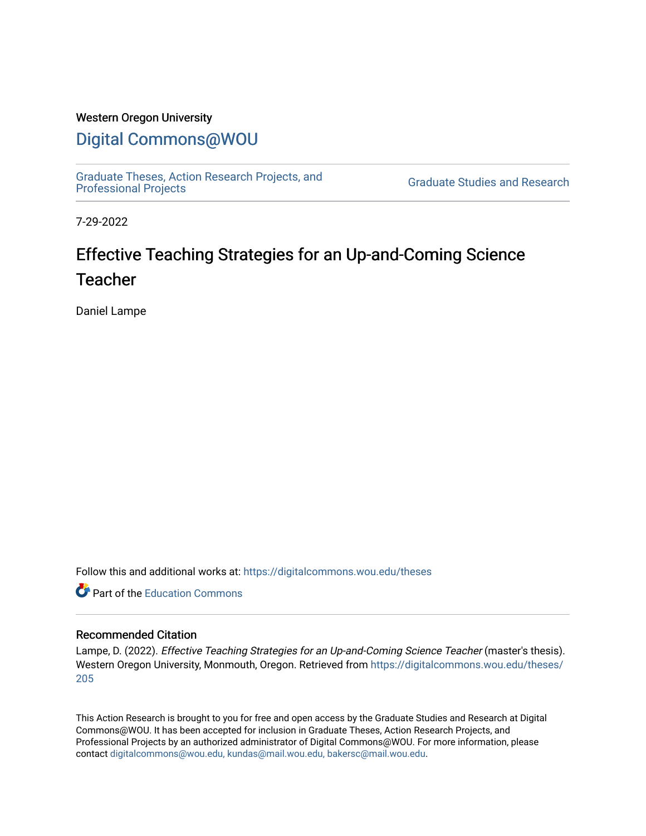# Western Oregon University

# [Digital Commons@WOU](https://digitalcommons.wou.edu/)

[Graduate Theses, Action Research Projects, and](https://digitalcommons.wou.edu/theses) 

**Graduate Studies and Research** 

7-29-2022

# Effective Teaching Strategies for an Up-and-Coming Science Teacher

Daniel Lampe

Follow this and additional works at: [https://digitalcommons.wou.edu/theses](https://digitalcommons.wou.edu/theses?utm_source=digitalcommons.wou.edu%2Ftheses%2F205&utm_medium=PDF&utm_campaign=PDFCoverPages) 

**C** Part of the [Education Commons](https://network.bepress.com/hgg/discipline/784?utm_source=digitalcommons.wou.edu%2Ftheses%2F205&utm_medium=PDF&utm_campaign=PDFCoverPages)

# Recommended Citation

Lampe, D. (2022). Effective Teaching Strategies for an Up-and-Coming Science Teacher (master's thesis). Western Oregon University, Monmouth, Oregon. Retrieved from [https://digitalcommons.wou.edu/theses/](https://digitalcommons.wou.edu/theses/205?utm_source=digitalcommons.wou.edu%2Ftheses%2F205&utm_medium=PDF&utm_campaign=PDFCoverPages) [205](https://digitalcommons.wou.edu/theses/205?utm_source=digitalcommons.wou.edu%2Ftheses%2F205&utm_medium=PDF&utm_campaign=PDFCoverPages) 

This Action Research is brought to you for free and open access by the Graduate Studies and Research at Digital Commons@WOU. It has been accepted for inclusion in Graduate Theses, Action Research Projects, and Professional Projects by an authorized administrator of Digital Commons@WOU. For more information, please contact [digitalcommons@wou.edu, kundas@mail.wou.edu, bakersc@mail.wou.edu](mailto:digitalcommons@wou.edu,%20kundas@mail.wou.edu,%20bakersc@mail.wou.edu).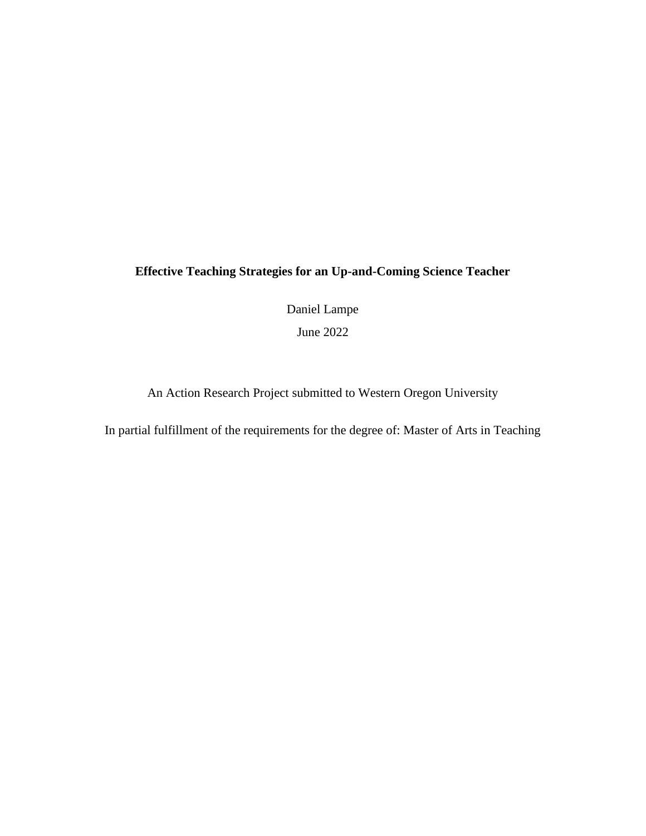# **Effective Teaching Strategies for an Up-and-Coming Science Teacher**

Daniel Lampe

June 2022

An Action Research Project submitted to Western Oregon University

In partial fulfillment of the requirements for the degree of: Master of Arts in Teaching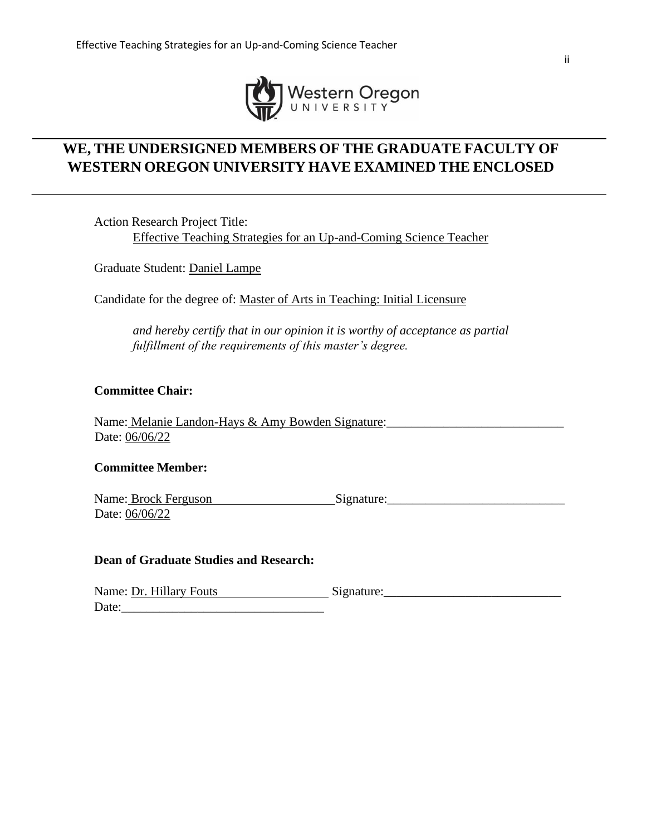

# **WE, THE UNDERSIGNED MEMBERS OF THE GRADUATE FACULTY OF WESTERN OREGON UNIVERSITY HAVE EXAMINED THE ENCLOSED**

Action Research Project Title: Effective Teaching Strategies for an Up-and-Coming Science Teacher

Graduate Student: Daniel Lampe

Candidate for the degree of: Master of Arts in Teaching: Initial Licensure

*and hereby certify that in our opinion it is worthy of acceptance as partial fulfillment of the requirements of this master's degree.* 

# **Committee Chair:**

Name: Melanie Landon-Hays & Amy Bowden Signature: Date: 06/06/22

# **Committee Member:**

Name: Brock Ferguson Signature: Date: 06/06/22

# **Dean of Graduate Studies and Research:**

| Name: Dr. Hillary Fouts | Signature: |
|-------------------------|------------|
| Date:                   |            |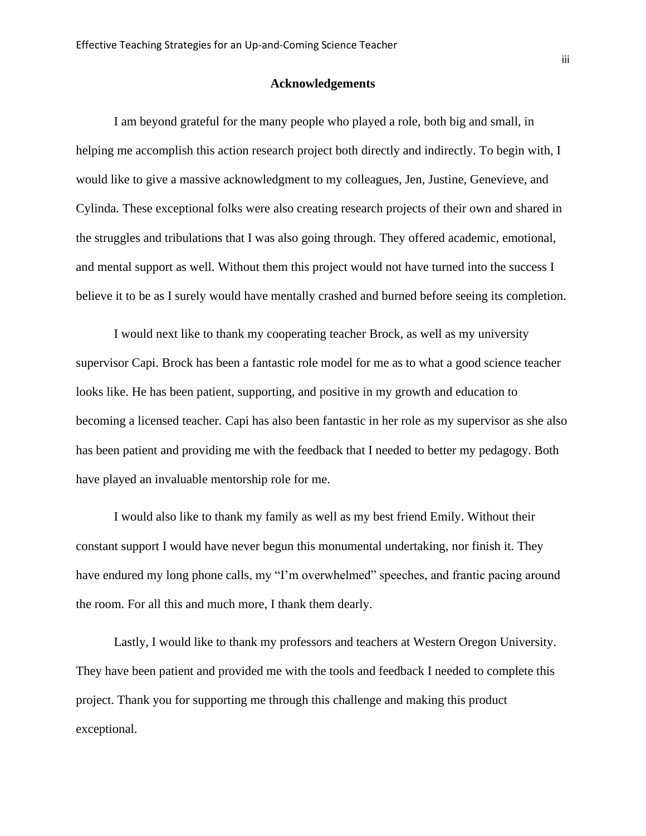#### **Acknowledgements**

I am beyond grateful for the many people who played a role, both big and small, in helping me accomplish this action research project both directly and indirectly. To begin with, I would like to give a massive acknowledgment to my colleagues, Jen, Justine, Genevieve, and Cylinda. These exceptional folks were also creating research projects of their own and shared in the struggles and tribulations that I was also going through. They offered academic, emotional, and mental support as well. Without them this project would not have turned into the success I believe it to be as I surely would have mentally crashed and burned before seeing its completion.

I would next like to thank my cooperating teacher Brock, as well as my university supervisor Capi. Brock has been a fantastic role model for me as to what a good science teacher looks like. He has been patient, supporting, and positive in my growth and education to becoming a licensed teacher. Capi has also been fantastic in her role as my supervisor as she also has been patient and providing me with the feedback that I needed to better my pedagogy. Both have played an invaluable mentorship role for me.

I would also like to thank my family as well as my best friend Emily. Without their constant support I would have never begun this monumental undertaking, nor finish it. They have endured my long phone calls, my "I'm overwhelmed" speeches, and frantic pacing around the room. For all this and much more, I thank them dearly.

Lastly, I would like to thank my professors and teachers at Western Oregon University. They have been patient and provided me with the tools and feedback I needed to complete this project. Thank you for supporting me through this challenge and making this product exceptional.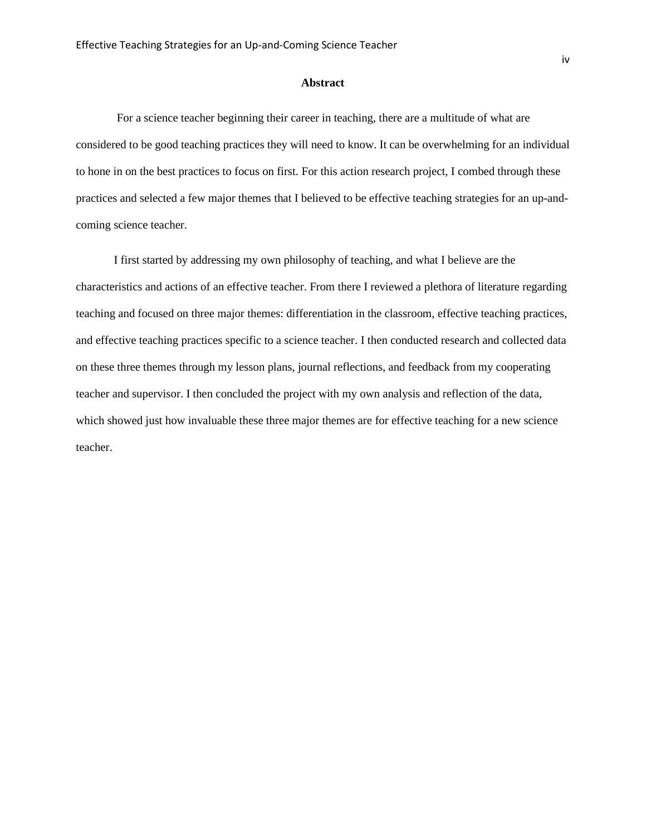#### **Abstract**

For a science teacher beginning their career in teaching, there are a multitude of what are considered to be good teaching practices they will need to know. It can be overwhelming for an individual to hone in on the best practices to focus on first. For this action research project, I combed through these practices and selected a few major themes that I believed to be effective teaching strategies for an up-andcoming science teacher.

I first started by addressing my own philosophy of teaching, and what I believe are the characteristics and actions of an effective teacher. From there I reviewed a plethora of literature regarding teaching and focused on three major themes: differentiation in the classroom, effective teaching practices, and effective teaching practices specific to a science teacher. I then conducted research and collected data on these three themes through my lesson plans, journal reflections, and feedback from my cooperating teacher and supervisor. I then concluded the project with my own analysis and reflection of the data, which showed just how invaluable these three major themes are for effective teaching for a new science teacher.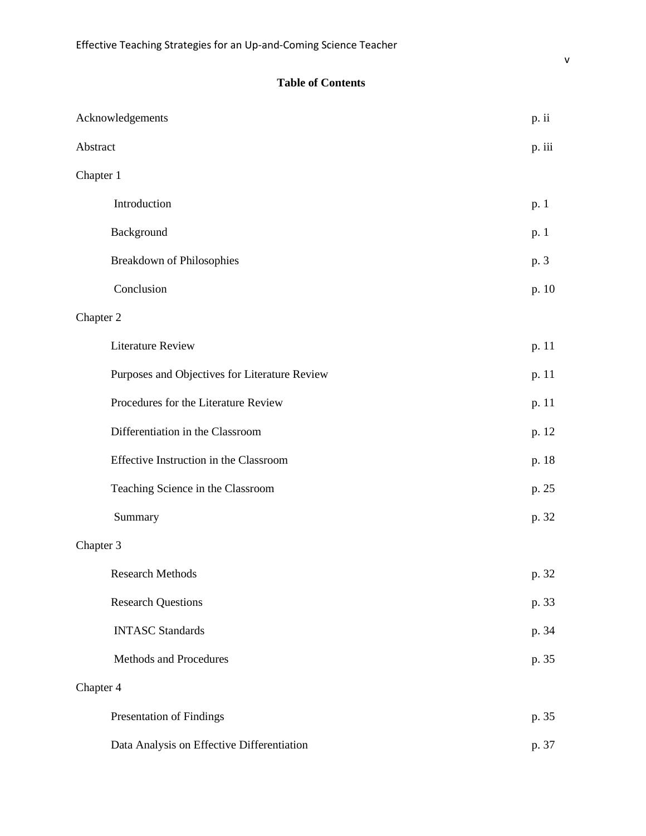# **Table of Contents**

| Acknowledgements                              | p. ii  |
|-----------------------------------------------|--------|
| Abstract                                      | p. iii |
| Chapter 1                                     |        |
| Introduction                                  | p. 1   |
| Background                                    | p. 1   |
| <b>Breakdown of Philosophies</b>              | p. 3   |
| Conclusion                                    | p. 10  |
| Chapter 2                                     |        |
| <b>Literature Review</b>                      | p. 11  |
| Purposes and Objectives for Literature Review | p. 11  |
| Procedures for the Literature Review          | p. 11  |
| Differentiation in the Classroom              | p. 12  |
| Effective Instruction in the Classroom        | p. 18  |
| Teaching Science in the Classroom             | p. 25  |
| Summary                                       | p. 32  |
| Chapter 3                                     |        |
| <b>Research Methods</b>                       | p. 32  |
| <b>Research Questions</b>                     | p. 33  |
| <b>INTASC Standards</b>                       | p. 34  |
| Methods and Procedures                        | p. 35  |
| Chapter 4                                     |        |
| Presentation of Findings                      | p. 35  |
| Data Analysis on Effective Differentiation    | p. 37  |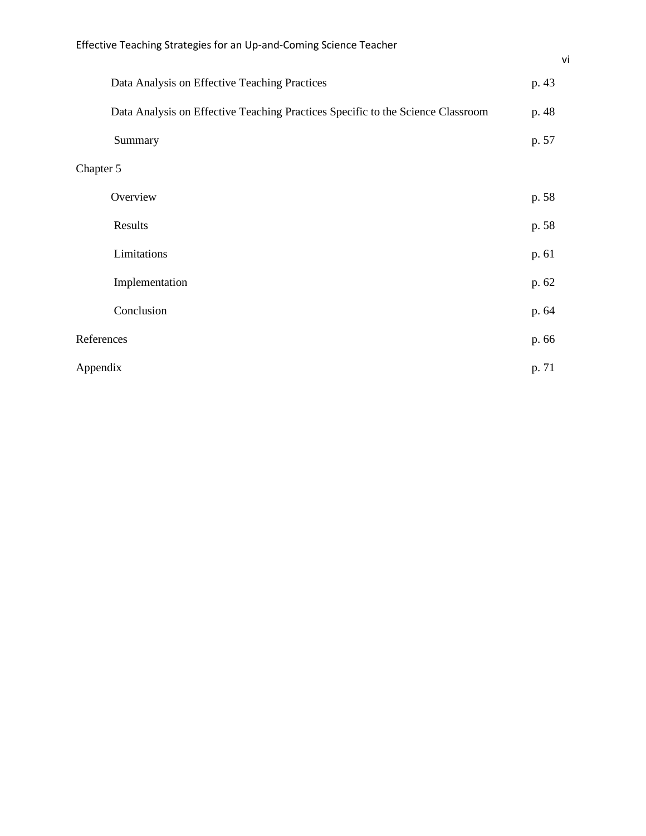|            | Data Analysis on Effective Teaching Practices                                   | p. 43 |
|------------|---------------------------------------------------------------------------------|-------|
|            | Data Analysis on Effective Teaching Practices Specific to the Science Classroom | p. 48 |
|            | Summary                                                                         | p. 57 |
| Chapter 5  |                                                                                 |       |
|            | Overview                                                                        | p. 58 |
|            | Results                                                                         | p. 58 |
|            | Limitations                                                                     | p. 61 |
|            | Implementation                                                                  | p. 62 |
|            | Conclusion                                                                      | p. 64 |
| References |                                                                                 | p. 66 |
| Appendix   |                                                                                 | p. 71 |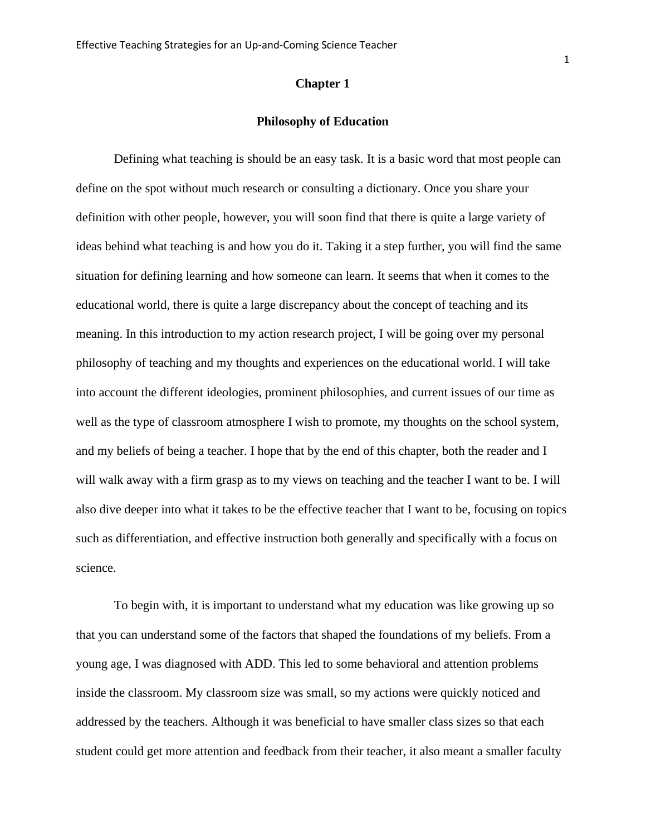#### **Chapter 1**

#### **Philosophy of Education**

Defining what teaching is should be an easy task. It is a basic word that most people can define on the spot without much research or consulting a dictionary. Once you share your definition with other people, however, you will soon find that there is quite a large variety of ideas behind what teaching is and how you do it. Taking it a step further, you will find the same situation for defining learning and how someone can learn. It seems that when it comes to the educational world, there is quite a large discrepancy about the concept of teaching and its meaning. In this introduction to my action research project, I will be going over my personal philosophy of teaching and my thoughts and experiences on the educational world. I will take into account the different ideologies, prominent philosophies, and current issues of our time as well as the type of classroom atmosphere I wish to promote, my thoughts on the school system, and my beliefs of being a teacher. I hope that by the end of this chapter, both the reader and I will walk away with a firm grasp as to my views on teaching and the teacher I want to be. I will also dive deeper into what it takes to be the effective teacher that I want to be, focusing on topics such as differentiation, and effective instruction both generally and specifically with a focus on science.

To begin with, it is important to understand what my education was like growing up so that you can understand some of the factors that shaped the foundations of my beliefs. From a young age, I was diagnosed with ADD. This led to some behavioral and attention problems inside the classroom. My classroom size was small, so my actions were quickly noticed and addressed by the teachers. Although it was beneficial to have smaller class sizes so that each student could get more attention and feedback from their teacher, it also meant a smaller faculty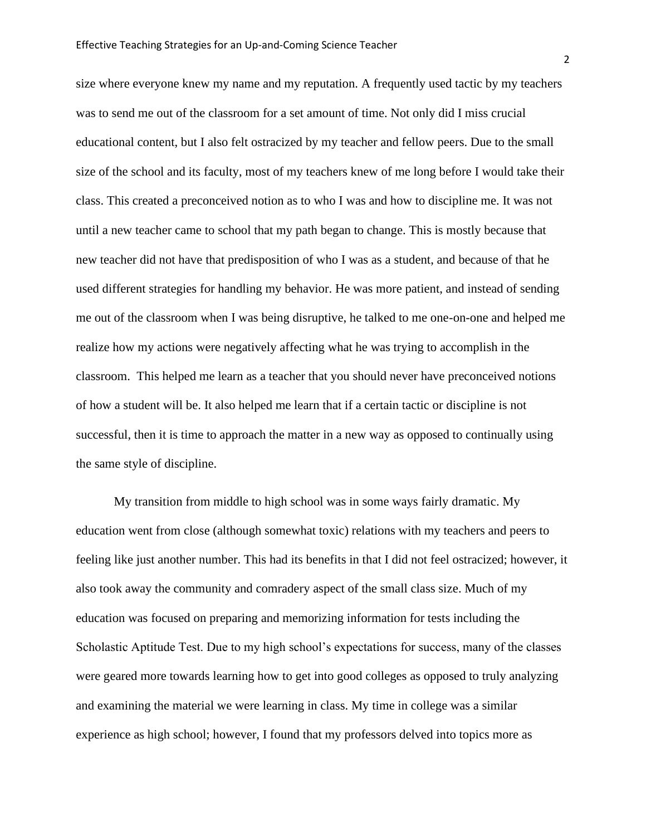size where everyone knew my name and my reputation. A frequently used tactic by my teachers was to send me out of the classroom for a set amount of time. Not only did I miss crucial educational content, but I also felt ostracized by my teacher and fellow peers. Due to the small size of the school and its faculty, most of my teachers knew of me long before I would take their class. This created a preconceived notion as to who I was and how to discipline me. It was not until a new teacher came to school that my path began to change. This is mostly because that new teacher did not have that predisposition of who I was as a student, and because of that he used different strategies for handling my behavior. He was more patient, and instead of sending me out of the classroom when I was being disruptive, he talked to me one-on-one and helped me realize how my actions were negatively affecting what he was trying to accomplish in the classroom. This helped me learn as a teacher that you should never have preconceived notions of how a student will be. It also helped me learn that if a certain tactic or discipline is not successful, then it is time to approach the matter in a new way as opposed to continually using the same style of discipline.

My transition from middle to high school was in some ways fairly dramatic. My education went from close (although somewhat toxic) relations with my teachers and peers to feeling like just another number. This had its benefits in that I did not feel ostracized; however, it also took away the community and comradery aspect of the small class size. Much of my education was focused on preparing and memorizing information for tests including the Scholastic Aptitude Test. Due to my high school's expectations for success, many of the classes were geared more towards learning how to get into good colleges as opposed to truly analyzing and examining the material we were learning in class. My time in college was a similar experience as high school; however, I found that my professors delved into topics more as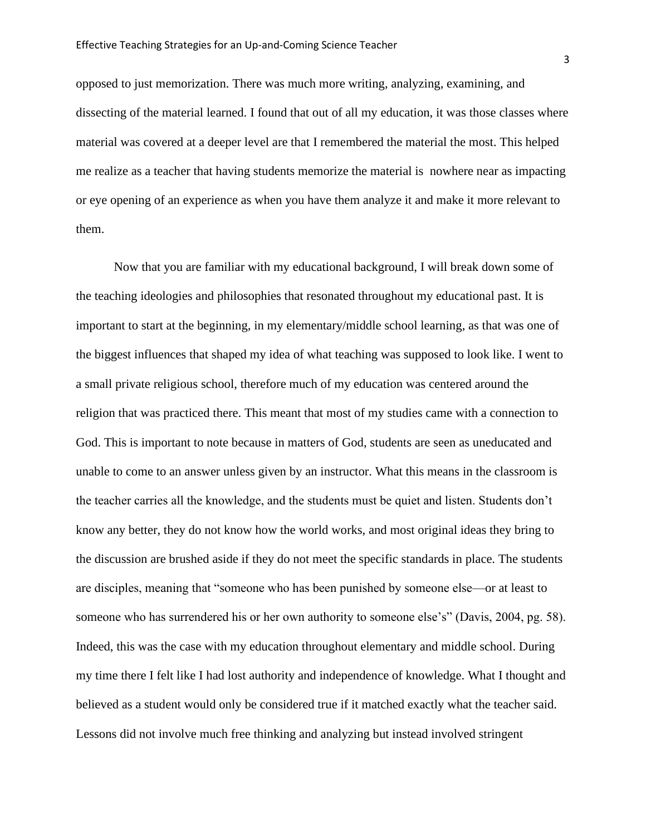opposed to just memorization. There was much more writing, analyzing, examining, and dissecting of the material learned. I found that out of all my education, it was those classes where material was covered at a deeper level are that I remembered the material the most. This helped me realize as a teacher that having students memorize the material is nowhere near as impacting or eye opening of an experience as when you have them analyze it and make it more relevant to them.

Now that you are familiar with my educational background, I will break down some of the teaching ideologies and philosophies that resonated throughout my educational past. It is important to start at the beginning, in my elementary/middle school learning, as that was one of the biggest influences that shaped my idea of what teaching was supposed to look like. I went to a small private religious school, therefore much of my education was centered around the religion that was practiced there. This meant that most of my studies came with a connection to God. This is important to note because in matters of God, students are seen as uneducated and unable to come to an answer unless given by an instructor. What this means in the classroom is the teacher carries all the knowledge, and the students must be quiet and listen. Students don't know any better, they do not know how the world works, and most original ideas they bring to the discussion are brushed aside if they do not meet the specific standards in place. The students are disciples, meaning that "someone who has been punished by someone else—or at least to someone who has surrendered his or her own authority to someone else's" (Davis, 2004, pg. 58). Indeed, this was the case with my education throughout elementary and middle school. During my time there I felt like I had lost authority and independence of knowledge. What I thought and believed as a student would only be considered true if it matched exactly what the teacher said. Lessons did not involve much free thinking and analyzing but instead involved stringent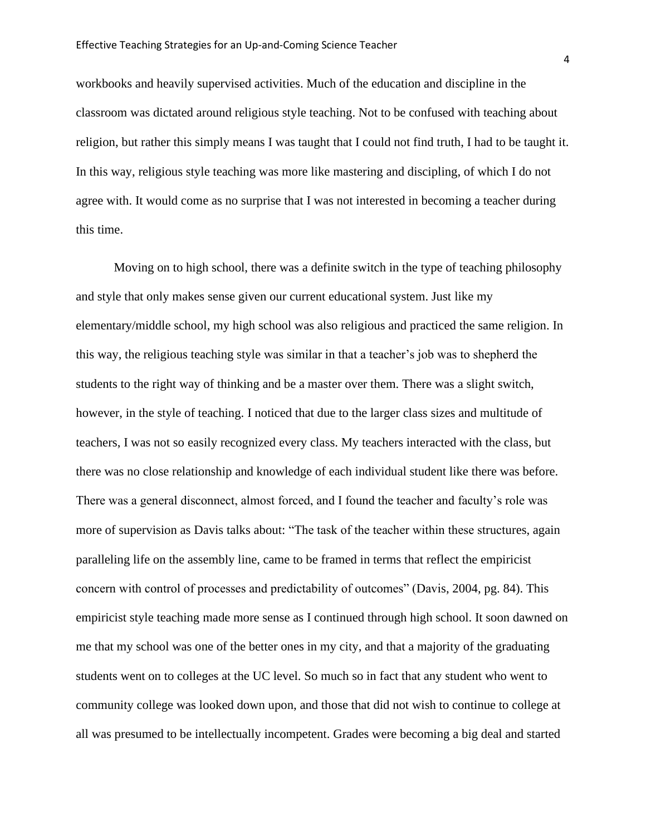workbooks and heavily supervised activities. Much of the education and discipline in the classroom was dictated around religious style teaching. Not to be confused with teaching about religion, but rather this simply means I was taught that I could not find truth, I had to be taught it. In this way, religious style teaching was more like mastering and discipling, of which I do not agree with. It would come as no surprise that I was not interested in becoming a teacher during this time.

Moving on to high school, there was a definite switch in the type of teaching philosophy and style that only makes sense given our current educational system. Just like my elementary/middle school, my high school was also religious and practiced the same religion. In this way, the religious teaching style was similar in that a teacher's job was to shepherd the students to the right way of thinking and be a master over them. There was a slight switch, however, in the style of teaching. I noticed that due to the larger class sizes and multitude of teachers, I was not so easily recognized every class. My teachers interacted with the class, but there was no close relationship and knowledge of each individual student like there was before. There was a general disconnect, almost forced, and I found the teacher and faculty's role was more of supervision as Davis talks about: "The task of the teacher within these structures, again paralleling life on the assembly line, came to be framed in terms that reflect the empiricist concern with control of processes and predictability of outcomes" (Davis, 2004, pg. 84). This empiricist style teaching made more sense as I continued through high school. It soon dawned on me that my school was one of the better ones in my city, and that a majority of the graduating students went on to colleges at the UC level. So much so in fact that any student who went to community college was looked down upon, and those that did not wish to continue to college at all was presumed to be intellectually incompetent. Grades were becoming a big deal and started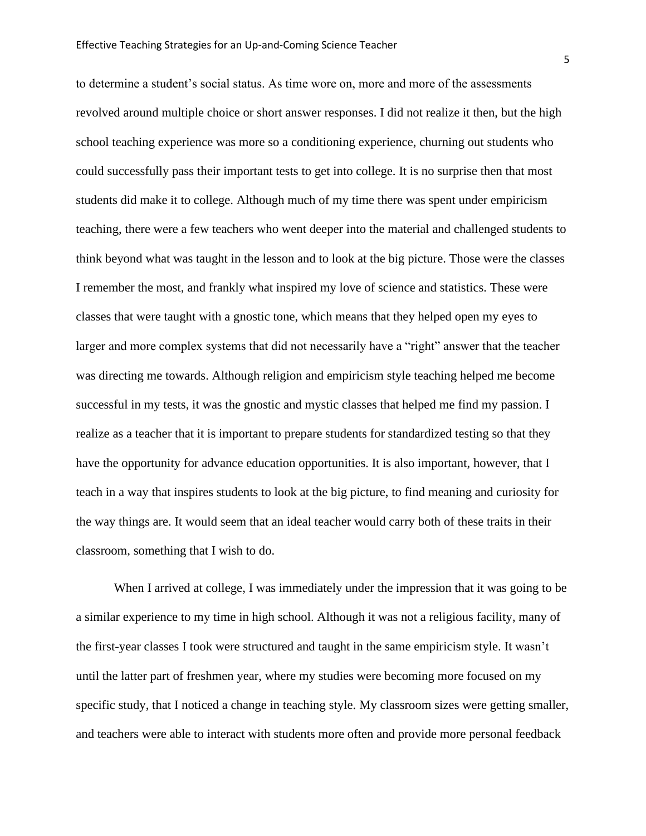to determine a student's social status. As time wore on, more and more of the assessments revolved around multiple choice or short answer responses. I did not realize it then, but the high school teaching experience was more so a conditioning experience, churning out students who could successfully pass their important tests to get into college. It is no surprise then that most students did make it to college. Although much of my time there was spent under empiricism teaching, there were a few teachers who went deeper into the material and challenged students to think beyond what was taught in the lesson and to look at the big picture. Those were the classes I remember the most, and frankly what inspired my love of science and statistics. These were classes that were taught with a gnostic tone, which means that they helped open my eyes to larger and more complex systems that did not necessarily have a "right" answer that the teacher was directing me towards. Although religion and empiricism style teaching helped me become successful in my tests, it was the gnostic and mystic classes that helped me find my passion. I realize as a teacher that it is important to prepare students for standardized testing so that they have the opportunity for advance education opportunities. It is also important, however, that I teach in a way that inspires students to look at the big picture, to find meaning and curiosity for the way things are. It would seem that an ideal teacher would carry both of these traits in their classroom, something that I wish to do.

When I arrived at college, I was immediately under the impression that it was going to be a similar experience to my time in high school. Although it was not a religious facility, many of the first-year classes I took were structured and taught in the same empiricism style. It wasn't until the latter part of freshmen year, where my studies were becoming more focused on my specific study, that I noticed a change in teaching style. My classroom sizes were getting smaller, and teachers were able to interact with students more often and provide more personal feedback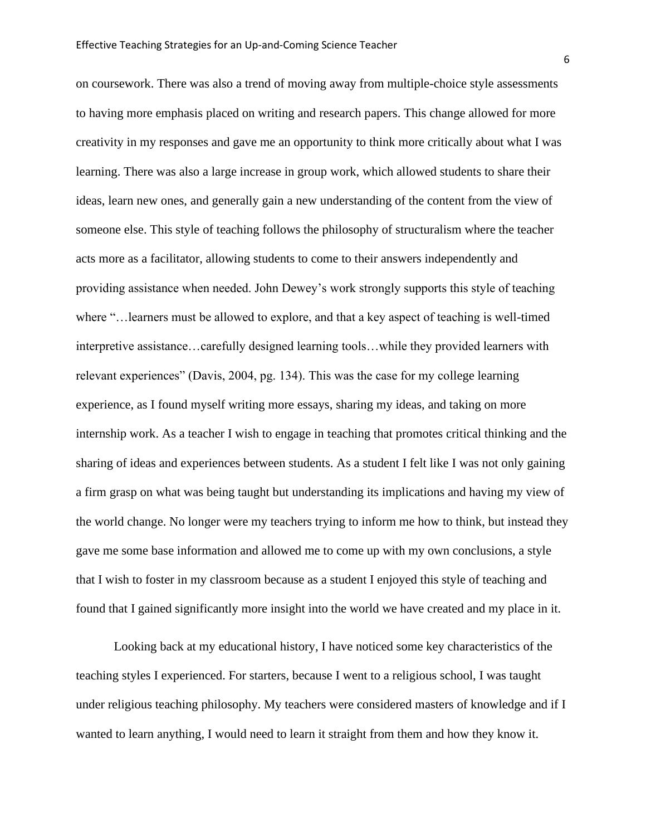on coursework. There was also a trend of moving away from multiple-choice style assessments to having more emphasis placed on writing and research papers. This change allowed for more creativity in my responses and gave me an opportunity to think more critically about what I was learning. There was also a large increase in group work, which allowed students to share their ideas, learn new ones, and generally gain a new understanding of the content from the view of someone else. This style of teaching follows the philosophy of structuralism where the teacher acts more as a facilitator, allowing students to come to their answers independently and providing assistance when needed. John Dewey's work strongly supports this style of teaching where "…learners must be allowed to explore, and that a key aspect of teaching is well-timed interpretive assistance…carefully designed learning tools…while they provided learners with relevant experiences" (Davis, 2004, pg. 134). This was the case for my college learning experience, as I found myself writing more essays, sharing my ideas, and taking on more internship work. As a teacher I wish to engage in teaching that promotes critical thinking and the sharing of ideas and experiences between students. As a student I felt like I was not only gaining a firm grasp on what was being taught but understanding its implications and having my view of the world change. No longer were my teachers trying to inform me how to think, but instead they gave me some base information and allowed me to come up with my own conclusions, a style that I wish to foster in my classroom because as a student I enjoyed this style of teaching and found that I gained significantly more insight into the world we have created and my place in it.

Looking back at my educational history, I have noticed some key characteristics of the teaching styles I experienced. For starters, because I went to a religious school, I was taught under religious teaching philosophy. My teachers were considered masters of knowledge and if I wanted to learn anything, I would need to learn it straight from them and how they know it.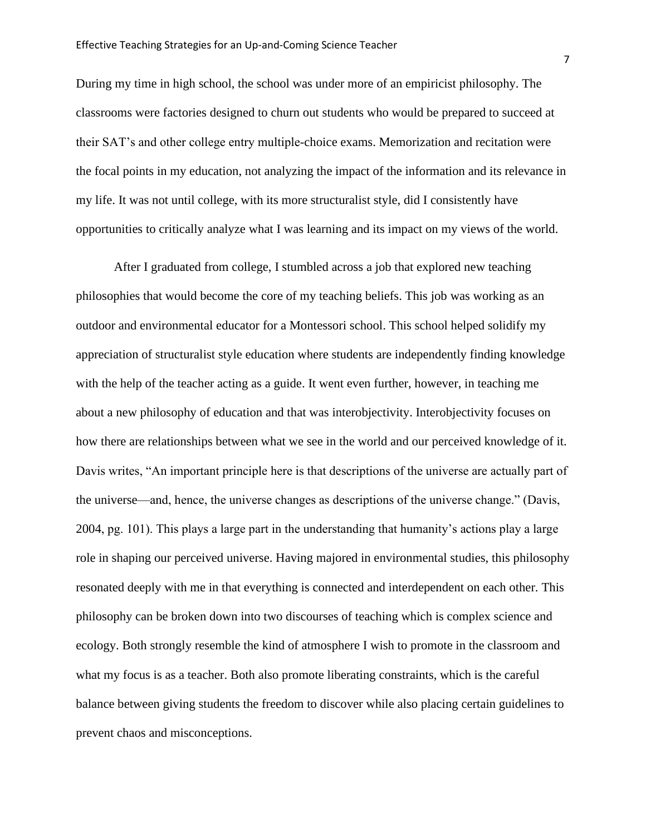During my time in high school, the school was under more of an empiricist philosophy. The classrooms were factories designed to churn out students who would be prepared to succeed at their SAT's and other college entry multiple-choice exams. Memorization and recitation were the focal points in my education, not analyzing the impact of the information and its relevance in my life. It was not until college, with its more structuralist style, did I consistently have opportunities to critically analyze what I was learning and its impact on my views of the world.

After I graduated from college, I stumbled across a job that explored new teaching philosophies that would become the core of my teaching beliefs. This job was working as an outdoor and environmental educator for a Montessori school. This school helped solidify my appreciation of structuralist style education where students are independently finding knowledge with the help of the teacher acting as a guide. It went even further, however, in teaching me about a new philosophy of education and that was interobjectivity. Interobjectivity focuses on how there are relationships between what we see in the world and our perceived knowledge of it. Davis writes, "An important principle here is that descriptions of the universe are actually part of the universe—and, hence, the universe changes as descriptions of the universe change." (Davis, 2004, pg. 101). This plays a large part in the understanding that humanity's actions play a large role in shaping our perceived universe. Having majored in environmental studies, this philosophy resonated deeply with me in that everything is connected and interdependent on each other. This philosophy can be broken down into two discourses of teaching which is complex science and ecology. Both strongly resemble the kind of atmosphere I wish to promote in the classroom and what my focus is as a teacher. Both also promote liberating constraints, which is the careful balance between giving students the freedom to discover while also placing certain guidelines to prevent chaos and misconceptions.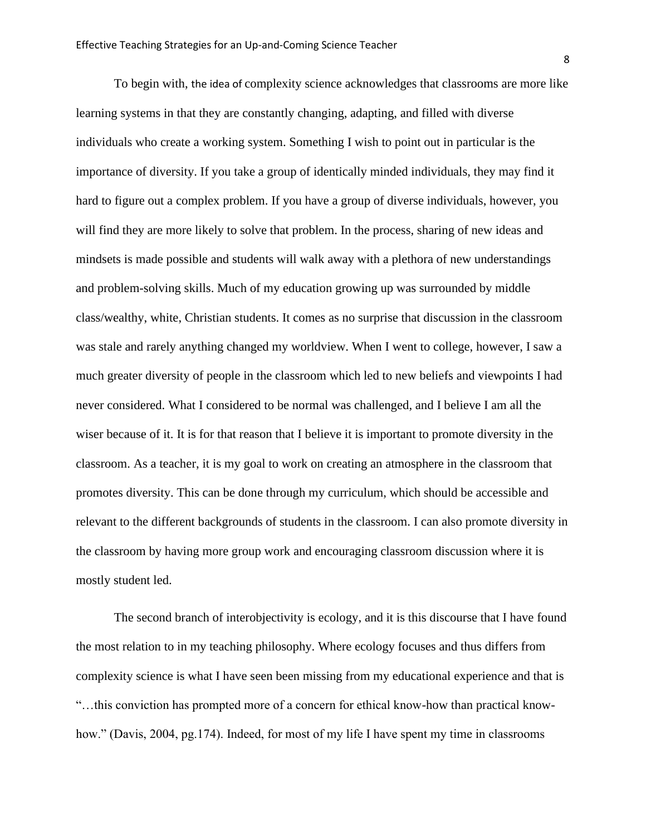To begin with, the idea of complexity science acknowledges that classrooms are more like learning systems in that they are constantly changing, adapting, and filled with diverse individuals who create a working system. Something I wish to point out in particular is the importance of diversity. If you take a group of identically minded individuals, they may find it hard to figure out a complex problem. If you have a group of diverse individuals, however, you will find they are more likely to solve that problem. In the process, sharing of new ideas and mindsets is made possible and students will walk away with a plethora of new understandings and problem-solving skills. Much of my education growing up was surrounded by middle class/wealthy, white, Christian students. It comes as no surprise that discussion in the classroom was stale and rarely anything changed my worldview. When I went to college, however, I saw a much greater diversity of people in the classroom which led to new beliefs and viewpoints I had never considered. What I considered to be normal was challenged, and I believe I am all the wiser because of it. It is for that reason that I believe it is important to promote diversity in the classroom. As a teacher, it is my goal to work on creating an atmosphere in the classroom that promotes diversity. This can be done through my curriculum, which should be accessible and relevant to the different backgrounds of students in the classroom. I can also promote diversity in the classroom by having more group work and encouraging classroom discussion where it is mostly student led.

The second branch of interobjectivity is ecology, and it is this discourse that I have found the most relation to in my teaching philosophy. Where ecology focuses and thus differs from complexity science is what I have seen been missing from my educational experience and that is "…this conviction has prompted more of a concern for ethical know-how than practical knowhow." (Davis, 2004, pg. 174). Indeed, for most of my life I have spent my time in classrooms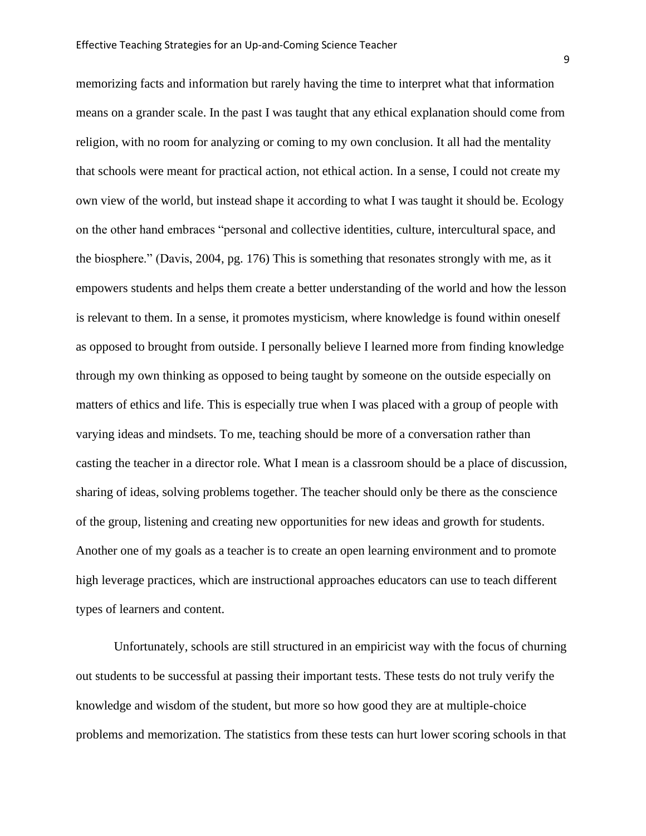memorizing facts and information but rarely having the time to interpret what that information means on a grander scale. In the past I was taught that any ethical explanation should come from religion, with no room for analyzing or coming to my own conclusion. It all had the mentality that schools were meant for practical action, not ethical action. In a sense, I could not create my own view of the world, but instead shape it according to what I was taught it should be. Ecology on the other hand embraces "personal and collective identities, culture, intercultural space, and the biosphere." (Davis, 2004, pg. 176) This is something that resonates strongly with me, as it empowers students and helps them create a better understanding of the world and how the lesson is relevant to them. In a sense, it promotes mysticism, where knowledge is found within oneself as opposed to brought from outside. I personally believe I learned more from finding knowledge through my own thinking as opposed to being taught by someone on the outside especially on matters of ethics and life. This is especially true when I was placed with a group of people with varying ideas and mindsets. To me, teaching should be more of a conversation rather than casting the teacher in a director role. What I mean is a classroom should be a place of discussion, sharing of ideas, solving problems together. The teacher should only be there as the conscience of the group, listening and creating new opportunities for new ideas and growth for students. Another one of my goals as a teacher is to create an open learning environment and to promote high leverage practices, which are instructional approaches educators can use to teach different types of learners and content.

Unfortunately, schools are still structured in an empiricist way with the focus of churning out students to be successful at passing their important tests. These tests do not truly verify the knowledge and wisdom of the student, but more so how good they are at multiple-choice problems and memorization. The statistics from these tests can hurt lower scoring schools in that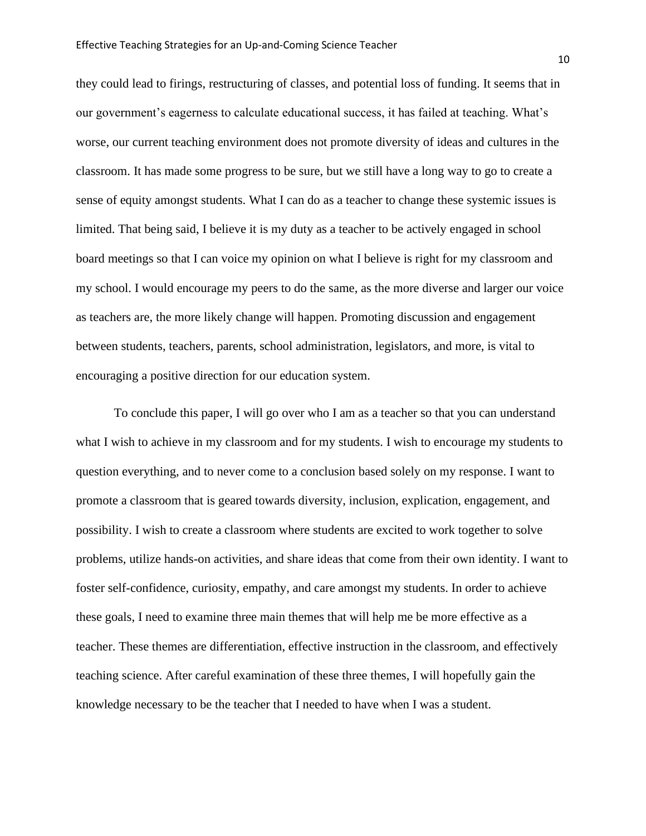they could lead to firings, restructuring of classes, and potential loss of funding. It seems that in our government's eagerness to calculate educational success, it has failed at teaching. What's worse, our current teaching environment does not promote diversity of ideas and cultures in the classroom. It has made some progress to be sure, but we still have a long way to go to create a sense of equity amongst students. What I can do as a teacher to change these systemic issues is limited. That being said, I believe it is my duty as a teacher to be actively engaged in school board meetings so that I can voice my opinion on what I believe is right for my classroom and my school. I would encourage my peers to do the same, as the more diverse and larger our voice as teachers are, the more likely change will happen. Promoting discussion and engagement between students, teachers, parents, school administration, legislators, and more, is vital to encouraging a positive direction for our education system.

To conclude this paper, I will go over who I am as a teacher so that you can understand what I wish to achieve in my classroom and for my students. I wish to encourage my students to question everything, and to never come to a conclusion based solely on my response. I want to promote a classroom that is geared towards diversity, inclusion, explication, engagement, and possibility. I wish to create a classroom where students are excited to work together to solve problems, utilize hands-on activities, and share ideas that come from their own identity. I want to foster self-confidence, curiosity, empathy, and care amongst my students. In order to achieve these goals, I need to examine three main themes that will help me be more effective as a teacher. These themes are differentiation, effective instruction in the classroom, and effectively teaching science. After careful examination of these three themes, I will hopefully gain the knowledge necessary to be the teacher that I needed to have when I was a student.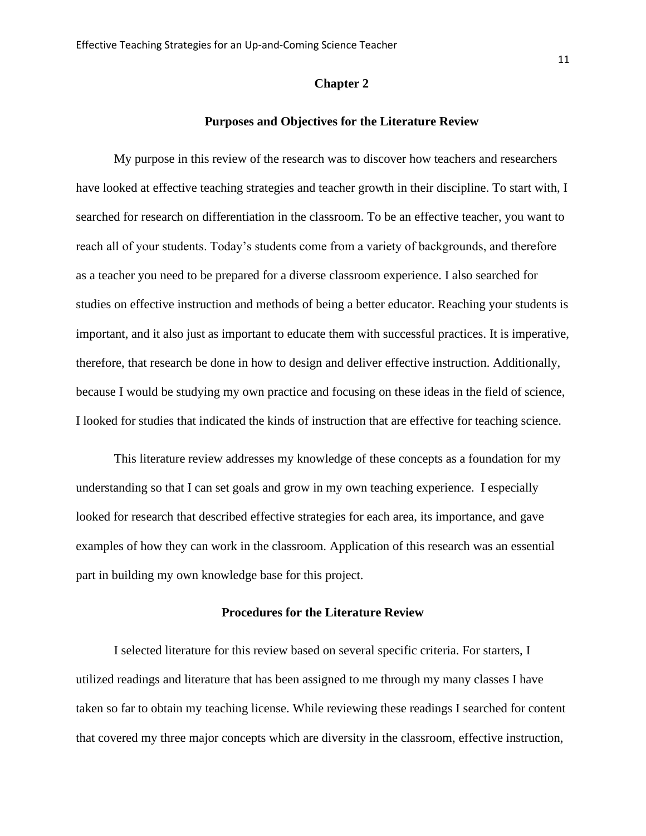#### **Chapter 2**

#### **Purposes and Objectives for the Literature Review**

My purpose in this review of the research was to discover how teachers and researchers have looked at effective teaching strategies and teacher growth in their discipline. To start with, I searched for research on differentiation in the classroom. To be an effective teacher, you want to reach all of your students. Today's students come from a variety of backgrounds, and therefore as a teacher you need to be prepared for a diverse classroom experience. I also searched for studies on effective instruction and methods of being a better educator. Reaching your students is important, and it also just as important to educate them with successful practices. It is imperative, therefore, that research be done in how to design and deliver effective instruction. Additionally, because I would be studying my own practice and focusing on these ideas in the field of science, I looked for studies that indicated the kinds of instruction that are effective for teaching science.

This literature review addresses my knowledge of these concepts as a foundation for my understanding so that I can set goals and grow in my own teaching experience. I especially looked for research that described effective strategies for each area, its importance, and gave examples of how they can work in the classroom. Application of this research was an essential part in building my own knowledge base for this project.

# **Procedures for the Literature Review**

I selected literature for this review based on several specific criteria. For starters, I utilized readings and literature that has been assigned to me through my many classes I have taken so far to obtain my teaching license. While reviewing these readings I searched for content that covered my three major concepts which are diversity in the classroom, effective instruction,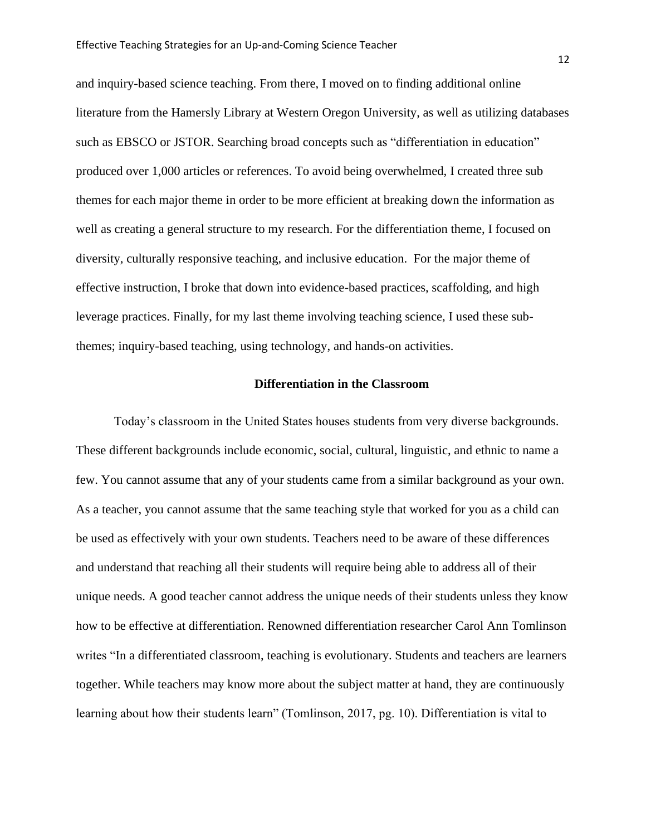and inquiry-based science teaching. From there, I moved on to finding additional online literature from the Hamersly Library at Western Oregon University, as well as utilizing databases such as EBSCO or JSTOR. Searching broad concepts such as "differentiation in education" produced over 1,000 articles or references. To avoid being overwhelmed, I created three sub themes for each major theme in order to be more efficient at breaking down the information as well as creating a general structure to my research. For the differentiation theme, I focused on diversity, culturally responsive teaching, and inclusive education. For the major theme of effective instruction, I broke that down into evidence-based practices, scaffolding, and high leverage practices. Finally, for my last theme involving teaching science, I used these subthemes; inquiry-based teaching, using technology, and hands-on activities.

# **Differentiation in the Classroom**

Today's classroom in the United States houses students from very diverse backgrounds. These different backgrounds include economic, social, cultural, linguistic, and ethnic to name a few. You cannot assume that any of your students came from a similar background as your own. As a teacher, you cannot assume that the same teaching style that worked for you as a child can be used as effectively with your own students. Teachers need to be aware of these differences and understand that reaching all their students will require being able to address all of their unique needs. A good teacher cannot address the unique needs of their students unless they know how to be effective at differentiation. Renowned differentiation researcher Carol Ann Tomlinson writes "In a differentiated classroom, teaching is evolutionary. Students and teachers are learners together. While teachers may know more about the subject matter at hand, they are continuously learning about how their students learn" (Tomlinson, 2017, pg. 10). Differentiation is vital to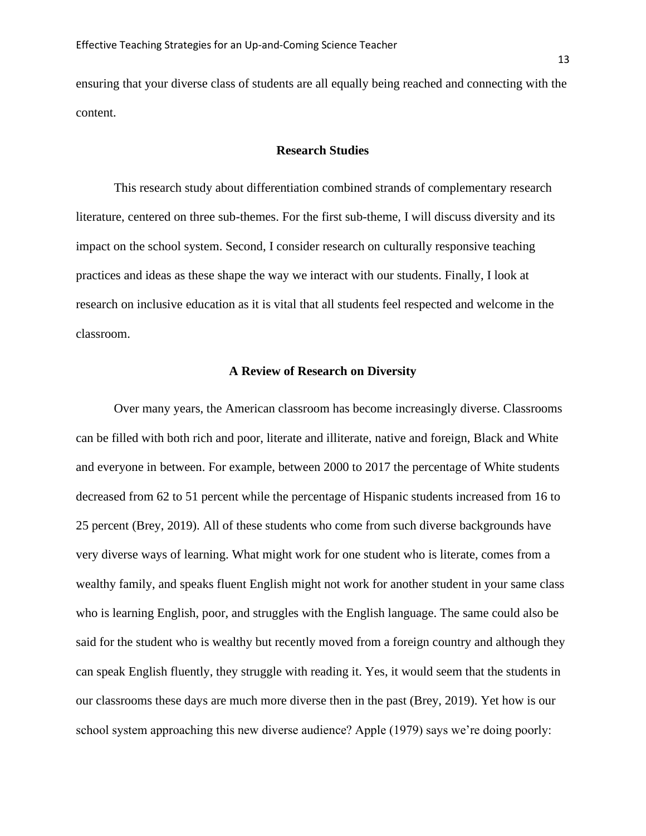ensuring that your diverse class of students are all equally being reached and connecting with the content.

#### **Research Studies**

This research study about differentiation combined strands of complementary research literature, centered on three sub-themes. For the first sub-theme, I will discuss diversity and its impact on the school system. Second, I consider research on culturally responsive teaching practices and ideas as these shape the way we interact with our students. Finally, I look at research on inclusive education as it is vital that all students feel respected and welcome in the classroom.

#### **A Review of Research on Diversity**

Over many years, the American classroom has become increasingly diverse. Classrooms can be filled with both rich and poor, literate and illiterate, native and foreign, Black and White and everyone in between. For example, between 2000 to 2017 the percentage of White students decreased from 62 to 51 percent while the percentage of Hispanic students increased from 16 to 25 percent (Brey, 2019). All of these students who come from such diverse backgrounds have very diverse ways of learning. What might work for one student who is literate, comes from a wealthy family, and speaks fluent English might not work for another student in your same class who is learning English, poor, and struggles with the English language. The same could also be said for the student who is wealthy but recently moved from a foreign country and although they can speak English fluently, they struggle with reading it. Yes, it would seem that the students in our classrooms these days are much more diverse then in the past (Brey, 2019). Yet how is our school system approaching this new diverse audience? Apple (1979) says we're doing poorly: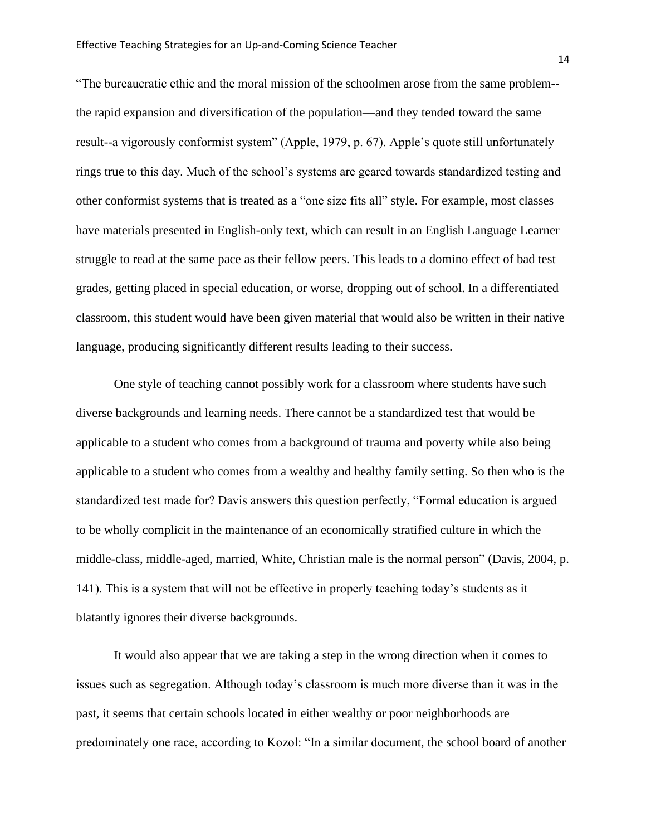"The bureaucratic ethic and the moral mission of the schoolmen arose from the same problem- the rapid expansion and diversification of the population—and they tended toward the same result--a vigorously conformist system" (Apple, 1979, p. 67). Apple's quote still unfortunately rings true to this day. Much of the school's systems are geared towards standardized testing and other conformist systems that is treated as a "one size fits all" style. For example, most classes have materials presented in English-only text, which can result in an English Language Learner struggle to read at the same pace as their fellow peers. This leads to a domino effect of bad test grades, getting placed in special education, or worse, dropping out of school. In a differentiated classroom, this student would have been given material that would also be written in their native language, producing significantly different results leading to their success.

One style of teaching cannot possibly work for a classroom where students have such diverse backgrounds and learning needs. There cannot be a standardized test that would be applicable to a student who comes from a background of trauma and poverty while also being applicable to a student who comes from a wealthy and healthy family setting. So then who is the standardized test made for? Davis answers this question perfectly, "Formal education is argued to be wholly complicit in the maintenance of an economically stratified culture in which the middle-class, middle-aged, married, White, Christian male is the normal person" (Davis, 2004, p. 141). This is a system that will not be effective in properly teaching today's students as it blatantly ignores their diverse backgrounds.

It would also appear that we are taking a step in the wrong direction when it comes to issues such as segregation. Although today's classroom is much more diverse than it was in the past, it seems that certain schools located in either wealthy or poor neighborhoods are predominately one race, according to Kozol: "In a similar document, the school board of another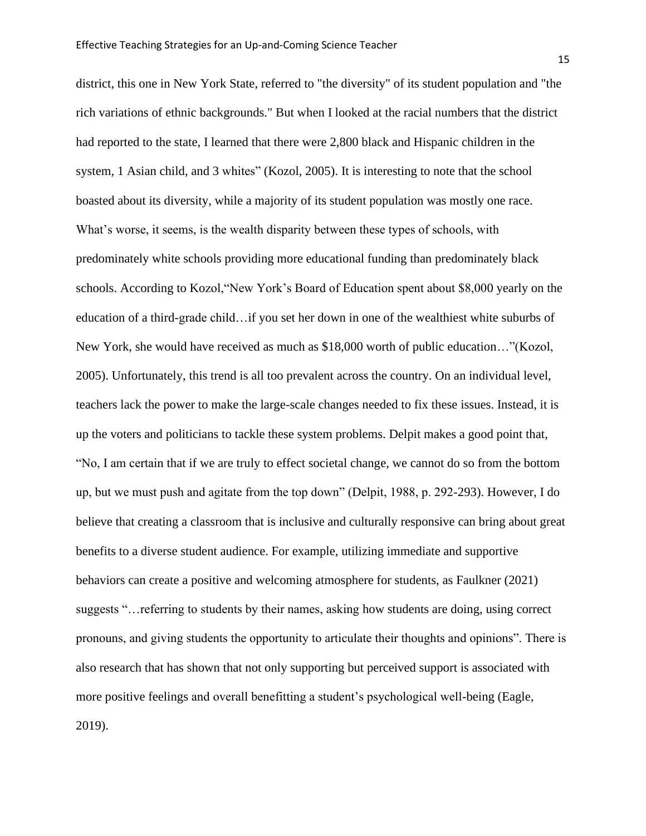district, this one in New York State, referred to "the diversity" of its student population and "the rich variations of ethnic backgrounds." But when I looked at the racial numbers that the district had reported to the state, I learned that there were 2,800 black and Hispanic children in the system, 1 Asian child, and 3 whites" (Kozol, 2005). It is interesting to note that the school boasted about its diversity, while a majority of its student population was mostly one race. What's worse, it seems, is the wealth disparity between these types of schools, with predominately white schools providing more educational funding than predominately black schools. According to Kozol,"New York's Board of Education spent about \$8,000 yearly on the education of a third-grade child…if you set her down in one of the wealthiest white suburbs of New York, she would have received as much as \$18,000 worth of public education…"(Kozol, 2005). Unfortunately, this trend is all too prevalent across the country. On an individual level, teachers lack the power to make the large-scale changes needed to fix these issues. Instead, it is up the voters and politicians to tackle these system problems. Delpit makes a good point that, "No, I am certain that if we are truly to effect societal change, we cannot do so from the bottom up, but we must push and agitate from the top down" (Delpit, 1988, p. 292-293). However, I do believe that creating a classroom that is inclusive and culturally responsive can bring about great benefits to a diverse student audience. For example, utilizing immediate and supportive behaviors can create a positive and welcoming atmosphere for students, as Faulkner (2021) suggests "…referring to students by their names, asking how students are doing, using correct pronouns, and giving students the opportunity to articulate their thoughts and opinions". There is also research that has shown that not only supporting but perceived support is associated with more positive feelings and overall benefitting a student's psychological well-being (Eagle, 2019).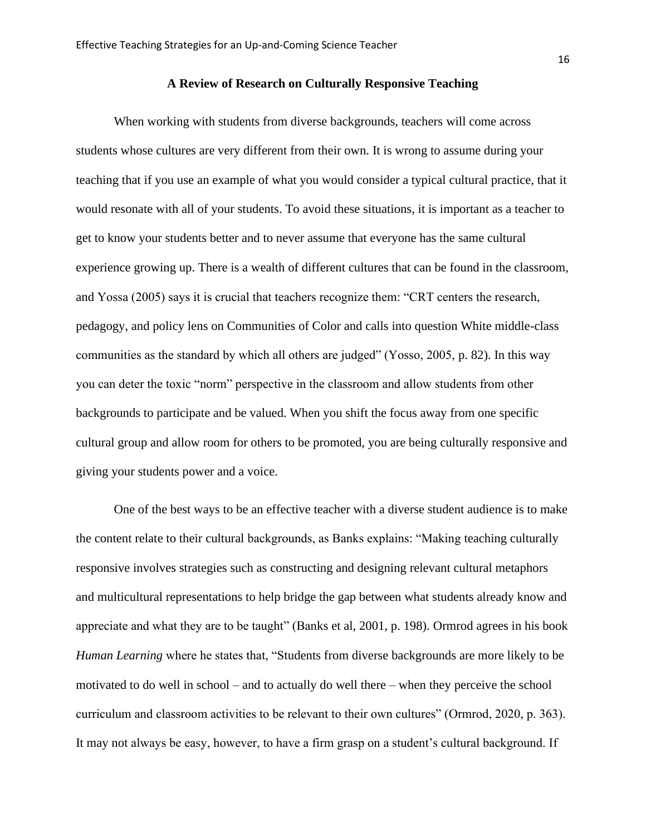When working with students from diverse backgrounds, teachers will come across students whose cultures are very different from their own. It is wrong to assume during your teaching that if you use an example of what you would consider a typical cultural practice, that it would resonate with all of your students. To avoid these situations, it is important as a teacher to get to know your students better and to never assume that everyone has the same cultural experience growing up. There is a wealth of different cultures that can be found in the classroom, and Yossa (2005) says it is crucial that teachers recognize them: "CRT centers the research, pedagogy, and policy lens on Communities of Color and calls into question White middle-class communities as the standard by which all others are judged" (Yosso, 2005, p. 82). In this way you can deter the toxic "norm" perspective in the classroom and allow students from other backgrounds to participate and be valued. When you shift the focus away from one specific cultural group and allow room for others to be promoted, you are being culturally responsive and giving your students power and a voice.

One of the best ways to be an effective teacher with a diverse student audience is to make the content relate to their cultural backgrounds, as Banks explains: "Making teaching culturally responsive involves strategies such as constructing and designing relevant cultural metaphors and multicultural representations to help bridge the gap between what students already know and appreciate and what they are to be taught" (Banks et al, 2001, p. 198). Ormrod agrees in his book *Human Learning* where he states that, "Students from diverse backgrounds are more likely to be motivated to do well in school – and to actually do well there – when they perceive the school curriculum and classroom activities to be relevant to their own cultures" (Ormrod, 2020, p. 363). It may not always be easy, however, to have a firm grasp on a student's cultural background. If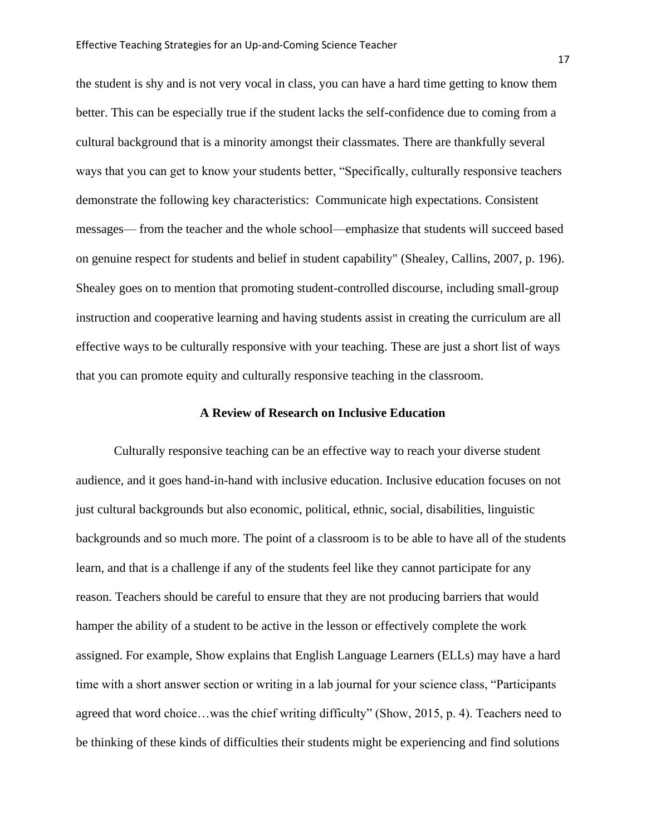the student is shy and is not very vocal in class, you can have a hard time getting to know them better. This can be especially true if the student lacks the self-confidence due to coming from a cultural background that is a minority amongst their classmates. There are thankfully several ways that you can get to know your students better, "Specifically, culturally responsive teachers demonstrate the following key characteristics: Communicate high expectations. Consistent messages— from the teacher and the whole school—emphasize that students will succeed based on genuine respect for students and belief in student capability" (Shealey, Callins, 2007, p. 196). Shealey goes on to mention that promoting student-controlled discourse, including small-group instruction and cooperative learning and having students assist in creating the curriculum are all effective ways to be culturally responsive with your teaching. These are just a short list of ways that you can promote equity and culturally responsive teaching in the classroom.

# **A Review of Research on Inclusive Education**

Culturally responsive teaching can be an effective way to reach your diverse student audience, and it goes hand-in-hand with inclusive education. Inclusive education focuses on not just cultural backgrounds but also economic, political, ethnic, social, disabilities, linguistic backgrounds and so much more. The point of a classroom is to be able to have all of the students learn, and that is a challenge if any of the students feel like they cannot participate for any reason. Teachers should be careful to ensure that they are not producing barriers that would hamper the ability of a student to be active in the lesson or effectively complete the work assigned. For example, Show explains that English Language Learners (ELLs) may have a hard time with a short answer section or writing in a lab journal for your science class, "Participants agreed that word choice…was the chief writing difficulty" (Show, 2015, p. 4). Teachers need to be thinking of these kinds of difficulties their students might be experiencing and find solutions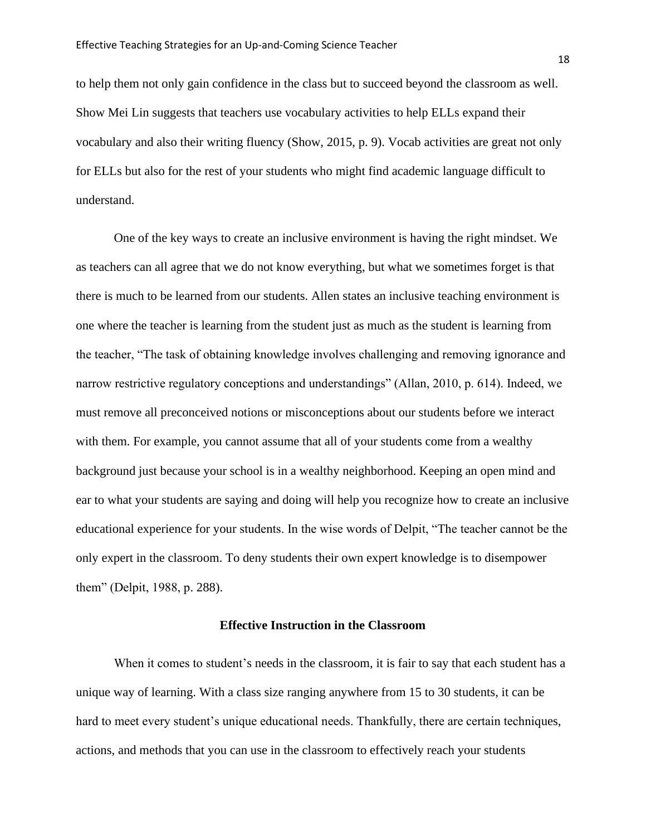to help them not only gain confidence in the class but to succeed beyond the classroom as well. Show Mei Lin suggests that teachers use vocabulary activities to help ELLs expand their vocabulary and also their writing fluency (Show, 2015, p. 9). Vocab activities are great not only for ELLs but also for the rest of your students who might find academic language difficult to understand.

One of the key ways to create an inclusive environment is having the right mindset. We as teachers can all agree that we do not know everything, but what we sometimes forget is that there is much to be learned from our students. Allen states an inclusive teaching environment is one where the teacher is learning from the student just as much as the student is learning from the teacher, "The task of obtaining knowledge involves challenging and removing ignorance and narrow restrictive regulatory conceptions and understandings" (Allan, 2010, p. 614). Indeed, we must remove all preconceived notions or misconceptions about our students before we interact with them. For example, you cannot assume that all of your students come from a wealthy background just because your school is in a wealthy neighborhood. Keeping an open mind and ear to what your students are saying and doing will help you recognize how to create an inclusive educational experience for your students. In the wise words of Delpit, "The teacher cannot be the only expert in the classroom. To deny students their own expert knowledge is to disempower them" (Delpit, 1988, p. 288).

#### **Effective Instruction in the Classroom**

When it comes to student's needs in the classroom, it is fair to say that each student has a unique way of learning. With a class size ranging anywhere from 15 to 30 students, it can be hard to meet every student's unique educational needs. Thankfully, there are certain techniques, actions, and methods that you can use in the classroom to effectively reach your students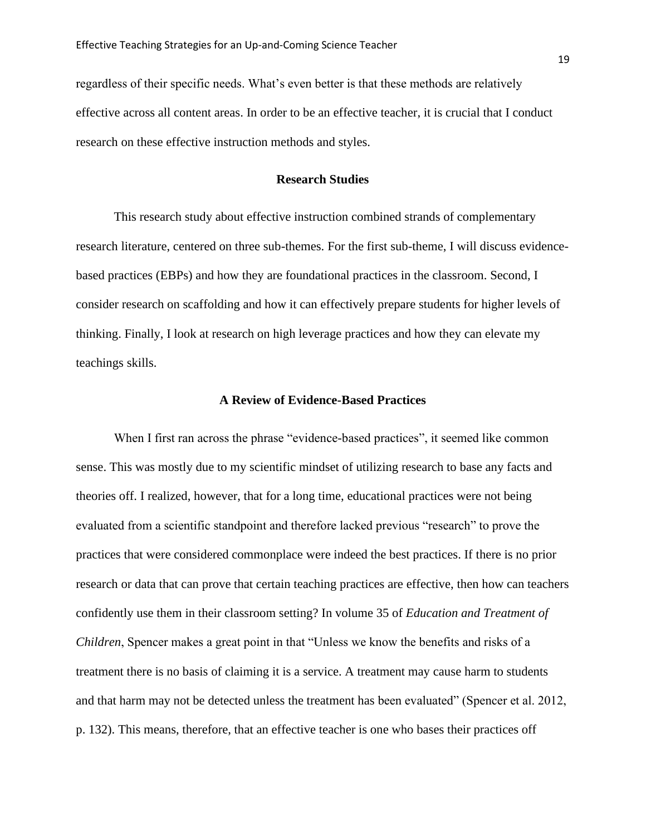regardless of their specific needs. What's even better is that these methods are relatively effective across all content areas. In order to be an effective teacher, it is crucial that I conduct research on these effective instruction methods and styles.

## **Research Studies**

This research study about effective instruction combined strands of complementary research literature, centered on three sub-themes. For the first sub-theme, I will discuss evidencebased practices (EBPs) and how they are foundational practices in the classroom. Second, I consider research on scaffolding and how it can effectively prepare students for higher levels of thinking. Finally, I look at research on high leverage practices and how they can elevate my teachings skills.

# **A Review of Evidence-Based Practices**

When I first ran across the phrase "evidence-based practices", it seemed like common sense. This was mostly due to my scientific mindset of utilizing research to base any facts and theories off. I realized, however, that for a long time, educational practices were not being evaluated from a scientific standpoint and therefore lacked previous "research" to prove the practices that were considered commonplace were indeed the best practices. If there is no prior research or data that can prove that certain teaching practices are effective, then how can teachers confidently use them in their classroom setting? In volume 35 of *Education and Treatment of Children*, Spencer makes a great point in that "Unless we know the benefits and risks of a treatment there is no basis of claiming it is a service. A treatment may cause harm to students and that harm may not be detected unless the treatment has been evaluated" (Spencer et al. 2012, p. 132). This means, therefore, that an effective teacher is one who bases their practices off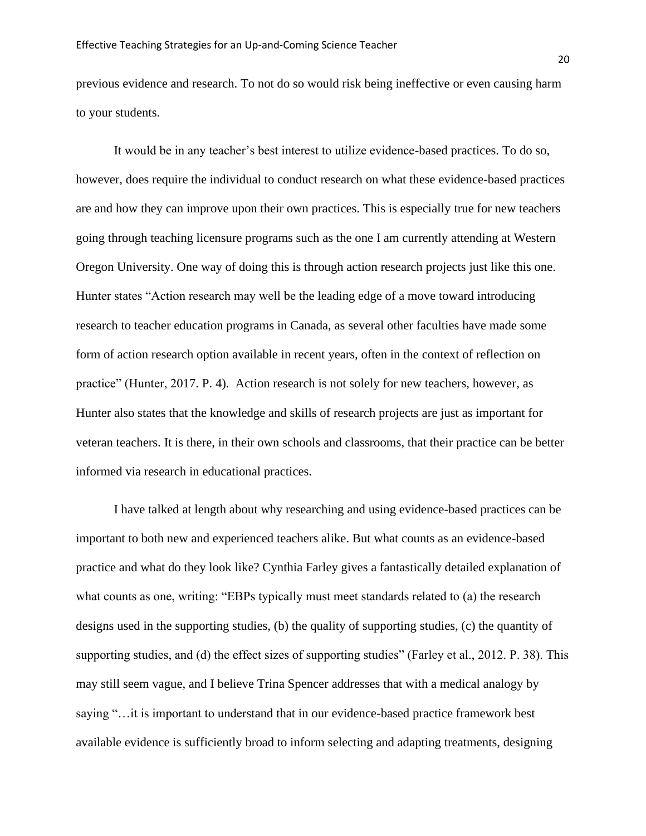previous evidence and research. To not do so would risk being ineffective or even causing harm to your students.

It would be in any teacher's best interest to utilize evidence-based practices. To do so, however, does require the individual to conduct research on what these evidence-based practices are and how they can improve upon their own practices. This is especially true for new teachers going through teaching licensure programs such as the one I am currently attending at Western Oregon University. One way of doing this is through action research projects just like this one. Hunter states "Action research may well be the leading edge of a move toward introducing research to teacher education programs in Canada, as several other faculties have made some form of action research option available in recent years, often in the context of reflection on practice" (Hunter, 2017. P. 4). Action research is not solely for new teachers, however, as Hunter also states that the knowledge and skills of research projects are just as important for veteran teachers. It is there, in their own schools and classrooms, that their practice can be better informed via research in educational practices.

I have talked at length about why researching and using evidence-based practices can be important to both new and experienced teachers alike. But what counts as an evidence-based practice and what do they look like? Cynthia Farley gives a fantastically detailed explanation of what counts as one, writing: "EBPs typically must meet standards related to (a) the research designs used in the supporting studies, (b) the quality of supporting studies, (c) the quantity of supporting studies, and (d) the effect sizes of supporting studies" (Farley et al., 2012. P. 38). This may still seem vague, and I believe Trina Spencer addresses that with a medical analogy by saying "…it is important to understand that in our evidence-based practice framework best available evidence is sufficiently broad to inform selecting and adapting treatments, designing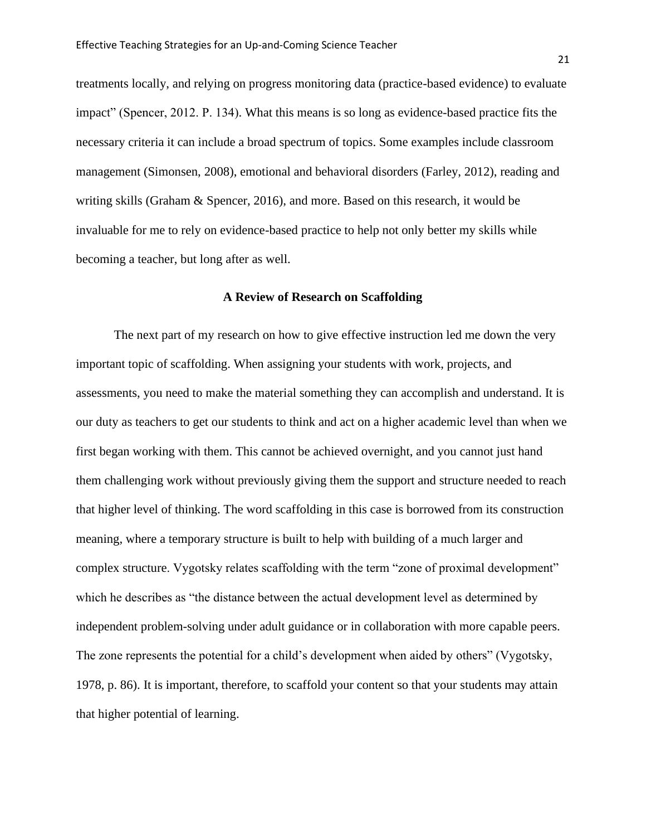treatments locally, and relying on progress monitoring data (practice-based evidence) to evaluate impact" (Spencer, 2012. P. 134). What this means is so long as evidence-based practice fits the necessary criteria it can include a broad spectrum of topics. Some examples include classroom management (Simonsen, 2008), emotional and behavioral disorders (Farley, 2012), reading and writing skills (Graham & Spencer, 2016), and more. Based on this research, it would be invaluable for me to rely on evidence-based practice to help not only better my skills while becoming a teacher, but long after as well.

# **A Review of Research on Scaffolding**

The next part of my research on how to give effective instruction led me down the very important topic of scaffolding. When assigning your students with work, projects, and assessments, you need to make the material something they can accomplish and understand. It is our duty as teachers to get our students to think and act on a higher academic level than when we first began working with them. This cannot be achieved overnight, and you cannot just hand them challenging work without previously giving them the support and structure needed to reach that higher level of thinking. The word scaffolding in this case is borrowed from its construction meaning, where a temporary structure is built to help with building of a much larger and complex structure. Vygotsky relates scaffolding with the term "zone of proximal development" which he describes as "the distance between the actual development level as determined by independent problem-solving under adult guidance or in collaboration with more capable peers. The zone represents the potential for a child's development when aided by others" (Vygotsky, 1978, p. 86). It is important, therefore, to scaffold your content so that your students may attain that higher potential of learning.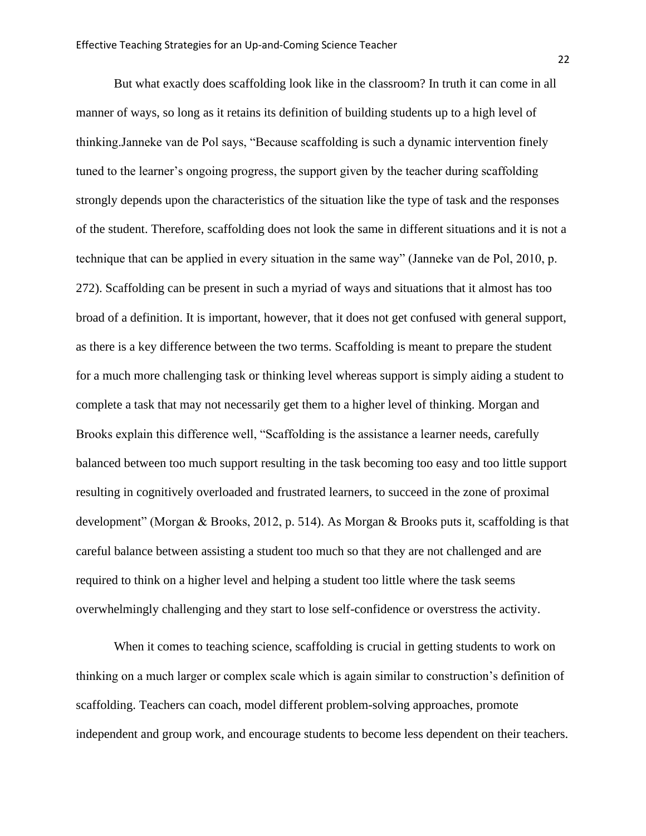But what exactly does scaffolding look like in the classroom? In truth it can come in all manner of ways, so long as it retains its definition of building students up to a high level of thinking.Janneke van de Pol says, "Because scaffolding is such a dynamic intervention finely tuned to the learner's ongoing progress, the support given by the teacher during scaffolding strongly depends upon the characteristics of the situation like the type of task and the responses of the student. Therefore, scaffolding does not look the same in different situations and it is not a technique that can be applied in every situation in the same way" (Janneke van de Pol, 2010, p. 272). Scaffolding can be present in such a myriad of ways and situations that it almost has too broad of a definition. It is important, however, that it does not get confused with general support, as there is a key difference between the two terms. Scaffolding is meant to prepare the student for a much more challenging task or thinking level whereas support is simply aiding a student to complete a task that may not necessarily get them to a higher level of thinking. Morgan and Brooks explain this difference well, "Scaffolding is the assistance a learner needs, carefully balanced between too much support resulting in the task becoming too easy and too little support resulting in cognitively overloaded and frustrated learners, to succeed in the zone of proximal development" (Morgan & Brooks, 2012, p. 514). As Morgan & Brooks puts it, scaffolding is that careful balance between assisting a student too much so that they are not challenged and are required to think on a higher level and helping a student too little where the task seems overwhelmingly challenging and they start to lose self-confidence or overstress the activity.

When it comes to teaching science, scaffolding is crucial in getting students to work on thinking on a much larger or complex scale which is again similar to construction's definition of scaffolding. Teachers can coach, model different problem-solving approaches, promote independent and group work, and encourage students to become less dependent on their teachers.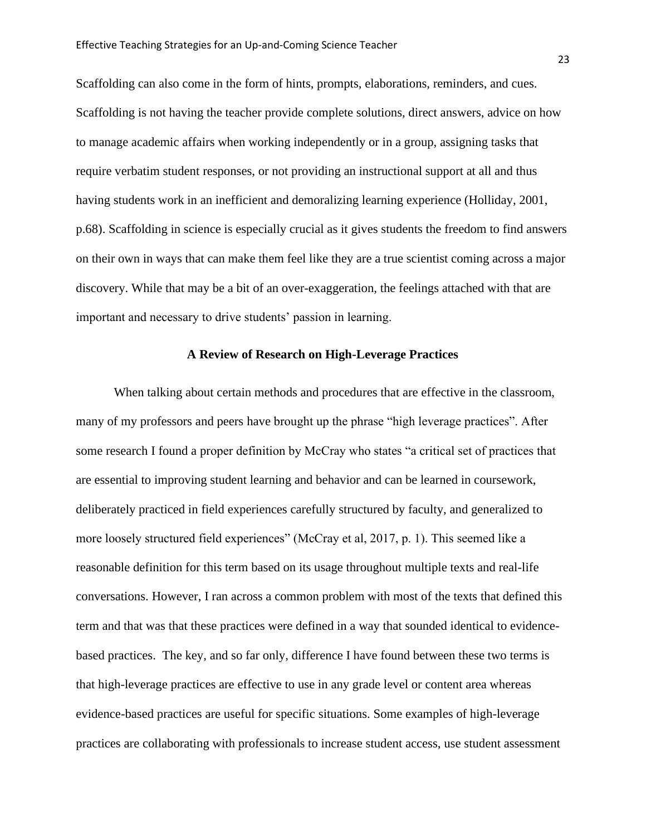Scaffolding can also come in the form of hints, prompts, elaborations, reminders, and cues. Scaffolding is not having the teacher provide complete solutions, direct answers, advice on how to manage academic affairs when working independently or in a group, assigning tasks that require verbatim student responses, or not providing an instructional support at all and thus having students work in an inefficient and demoralizing learning experience (Holliday, 2001, p.68). Scaffolding in science is especially crucial as it gives students the freedom to find answers on their own in ways that can make them feel like they are a true scientist coming across a major discovery. While that may be a bit of an over-exaggeration, the feelings attached with that are important and necessary to drive students' passion in learning.

# **A Review of Research on High-Leverage Practices**

When talking about certain methods and procedures that are effective in the classroom, many of my professors and peers have brought up the phrase "high leverage practices". After some research I found a proper definition by McCray who states "a critical set of practices that are essential to improving student learning and behavior and can be learned in coursework, deliberately practiced in field experiences carefully structured by faculty, and generalized to more loosely structured field experiences" (McCray et al, 2017, p. 1). This seemed like a reasonable definition for this term based on its usage throughout multiple texts and real-life conversations. However, I ran across a common problem with most of the texts that defined this term and that was that these practices were defined in a way that sounded identical to evidencebased practices. The key, and so far only, difference I have found between these two terms is that high-leverage practices are effective to use in any grade level or content area whereas evidence-based practices are useful for specific situations. Some examples of high-leverage practices are collaborating with professionals to increase student access, use student assessment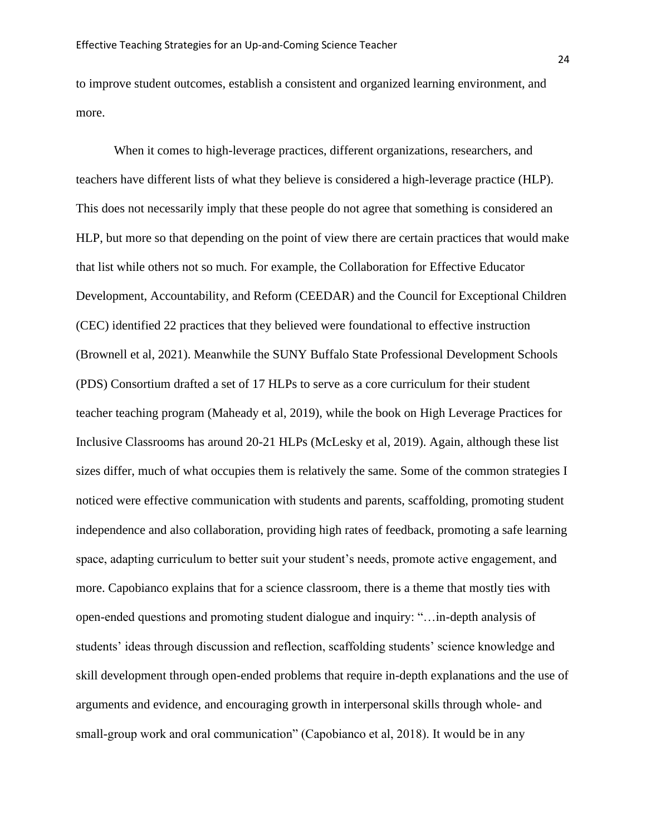to improve student outcomes, establish a consistent and organized learning environment, and more.

When it comes to high-leverage practices, different organizations, researchers, and teachers have different lists of what they believe is considered a high-leverage practice (HLP). This does not necessarily imply that these people do not agree that something is considered an HLP, but more so that depending on the point of view there are certain practices that would make that list while others not so much. For example, the Collaboration for Effective Educator Development, Accountability, and Reform (CEEDAR) and the Council for Exceptional Children (CEC) identified 22 practices that they believed were foundational to effective instruction (Brownell et al, 2021). Meanwhile the SUNY Buffalo State Professional Development Schools (PDS) Consortium drafted a set of 17 HLPs to serve as a core curriculum for their student teacher teaching program (Maheady et al, 2019), while the book on High Leverage Practices for Inclusive Classrooms has around 20-21 HLPs (McLesky et al, 2019). Again, although these list sizes differ, much of what occupies them is relatively the same. Some of the common strategies I noticed were effective communication with students and parents, scaffolding, promoting student independence and also collaboration, providing high rates of feedback, promoting a safe learning space, adapting curriculum to better suit your student's needs, promote active engagement, and more. Capobianco explains that for a science classroom, there is a theme that mostly ties with open-ended questions and promoting student dialogue and inquiry: "…in-depth analysis of students' ideas through discussion and reflection, scaffolding students' science knowledge and skill development through open-ended problems that require in-depth explanations and the use of arguments and evidence, and encouraging growth in interpersonal skills through whole- and small-group work and oral communication" (Capobianco et al, 2018). It would be in any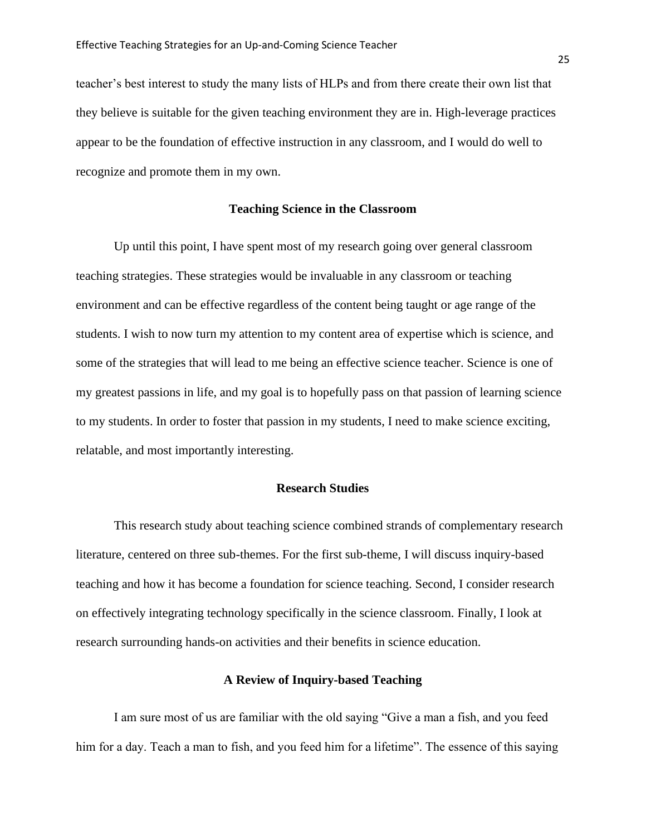teacher's best interest to study the many lists of HLPs and from there create their own list that they believe is suitable for the given teaching environment they are in. High-leverage practices appear to be the foundation of effective instruction in any classroom, and I would do well to recognize and promote them in my own.

#### **Teaching Science in the Classroom**

Up until this point, I have spent most of my research going over general classroom teaching strategies. These strategies would be invaluable in any classroom or teaching environment and can be effective regardless of the content being taught or age range of the students. I wish to now turn my attention to my content area of expertise which is science, and some of the strategies that will lead to me being an effective science teacher. Science is one of my greatest passions in life, and my goal is to hopefully pass on that passion of learning science to my students. In order to foster that passion in my students, I need to make science exciting, relatable, and most importantly interesting.

# **Research Studies**

This research study about teaching science combined strands of complementary research literature, centered on three sub-themes. For the first sub-theme, I will discuss inquiry-based teaching and how it has become a foundation for science teaching. Second, I consider research on effectively integrating technology specifically in the science classroom. Finally, I look at research surrounding hands-on activities and their benefits in science education.

# **A Review of Inquiry-based Teaching**

I am sure most of us are familiar with the old saying "Give a man a fish, and you feed him for a day. Teach a man to fish, and you feed him for a lifetime". The essence of this saying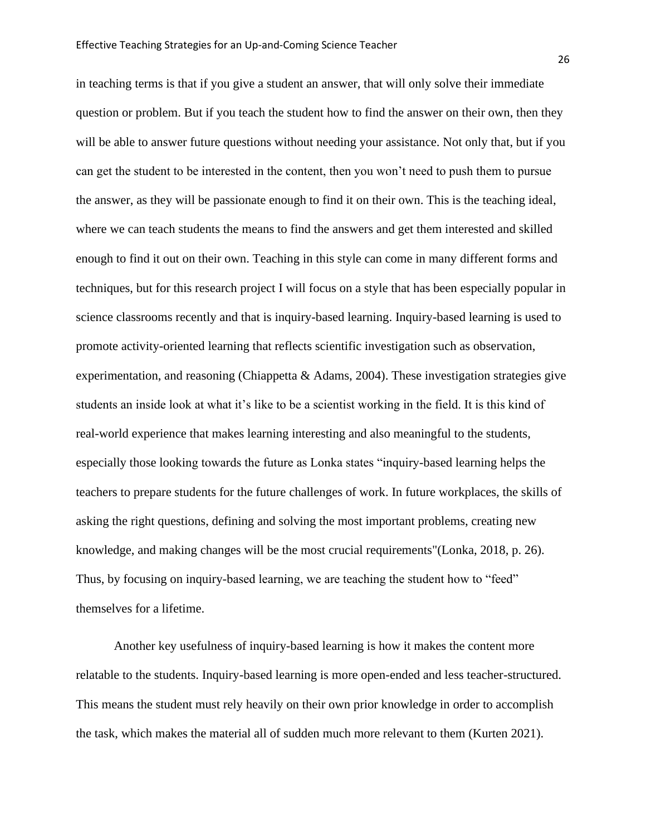in teaching terms is that if you give a student an answer, that will only solve their immediate question or problem. But if you teach the student how to find the answer on their own, then they will be able to answer future questions without needing your assistance. Not only that, but if you can get the student to be interested in the content, then you won't need to push them to pursue the answer, as they will be passionate enough to find it on their own. This is the teaching ideal, where we can teach students the means to find the answers and get them interested and skilled enough to find it out on their own. Teaching in this style can come in many different forms and techniques, but for this research project I will focus on a style that has been especially popular in science classrooms recently and that is inquiry-based learning. Inquiry-based learning is used to promote activity-oriented learning that reflects scientific investigation such as observation, experimentation, and reasoning (Chiappetta & Adams, 2004). These investigation strategies give students an inside look at what it's like to be a scientist working in the field. It is this kind of real-world experience that makes learning interesting and also meaningful to the students, especially those looking towards the future as Lonka states "inquiry-based learning helps the teachers to prepare students for the future challenges of work. In future workplaces, the skills of asking the right questions, defining and solving the most important problems, creating new knowledge, and making changes will be the most crucial requirements"(Lonka, 2018, p. 26). Thus, by focusing on inquiry-based learning, we are teaching the student how to "feed" themselves for a lifetime.

Another key usefulness of inquiry-based learning is how it makes the content more relatable to the students. Inquiry-based learning is more open-ended and less teacher-structured. This means the student must rely heavily on their own prior knowledge in order to accomplish the task, which makes the material all of sudden much more relevant to them (Kurten 2021).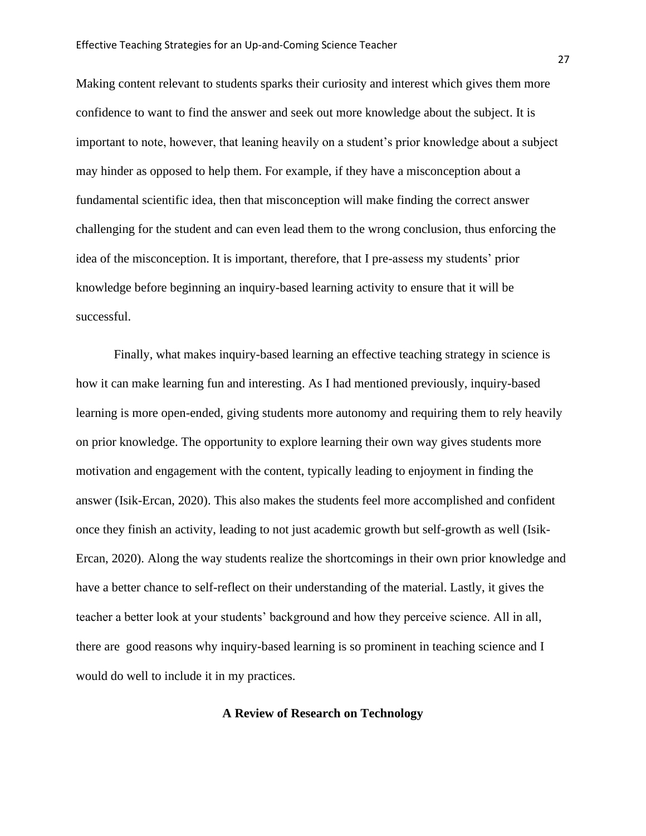Making content relevant to students sparks their curiosity and interest which gives them more confidence to want to find the answer and seek out more knowledge about the subject. It is important to note, however, that leaning heavily on a student's prior knowledge about a subject may hinder as opposed to help them. For example, if they have a misconception about a fundamental scientific idea, then that misconception will make finding the correct answer challenging for the student and can even lead them to the wrong conclusion, thus enforcing the idea of the misconception. It is important, therefore, that I pre-assess my students' prior knowledge before beginning an inquiry-based learning activity to ensure that it will be successful.

Finally, what makes inquiry-based learning an effective teaching strategy in science is how it can make learning fun and interesting. As I had mentioned previously, inquiry-based learning is more open-ended, giving students more autonomy and requiring them to rely heavily on prior knowledge. The opportunity to explore learning their own way gives students more motivation and engagement with the content, typically leading to enjoyment in finding the answer (Isik-Ercan, 2020). This also makes the students feel more accomplished and confident once they finish an activity, leading to not just academic growth but self-growth as well (Isik-Ercan, 2020). Along the way students realize the shortcomings in their own prior knowledge and have a better chance to self-reflect on their understanding of the material. Lastly, it gives the teacher a better look at your students' background and how they perceive science. All in all, there are good reasons why inquiry-based learning is so prominent in teaching science and I would do well to include it in my practices.

# **A Review of Research on Technology**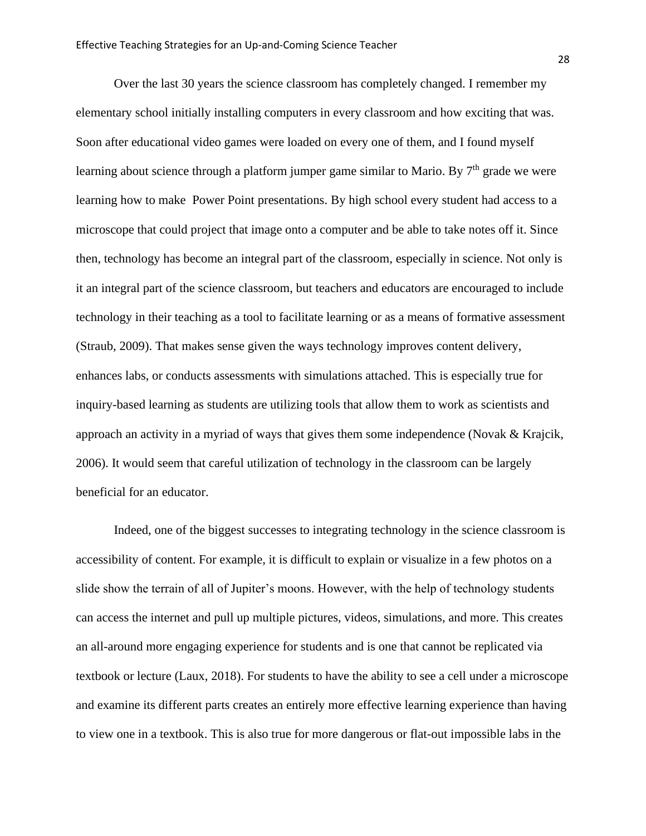Over the last 30 years the science classroom has completely changed. I remember my elementary school initially installing computers in every classroom and how exciting that was. Soon after educational video games were loaded on every one of them, and I found myself learning about science through a platform jumper game similar to Mario. By  $7<sup>th</sup>$  grade we were learning how to make Power Point presentations. By high school every student had access to a microscope that could project that image onto a computer and be able to take notes off it. Since then, technology has become an integral part of the classroom, especially in science. Not only is it an integral part of the science classroom, but teachers and educators are encouraged to include technology in their teaching as a tool to facilitate learning or as a means of formative assessment (Straub, 2009). That makes sense given the ways technology improves content delivery, enhances labs, or conducts assessments with simulations attached. This is especially true for inquiry-based learning as students are utilizing tools that allow them to work as scientists and approach an activity in a myriad of ways that gives them some independence (Novak & Krajcik, 2006). It would seem that careful utilization of technology in the classroom can be largely beneficial for an educator.

Indeed, one of the biggest successes to integrating technology in the science classroom is accessibility of content. For example, it is difficult to explain or visualize in a few photos on a slide show the terrain of all of Jupiter's moons. However, with the help of technology students can access the internet and pull up multiple pictures, videos, simulations, and more. This creates an all-around more engaging experience for students and is one that cannot be replicated via textbook or lecture (Laux, 2018). For students to have the ability to see a cell under a microscope and examine its different parts creates an entirely more effective learning experience than having to view one in a textbook. This is also true for more dangerous or flat-out impossible labs in the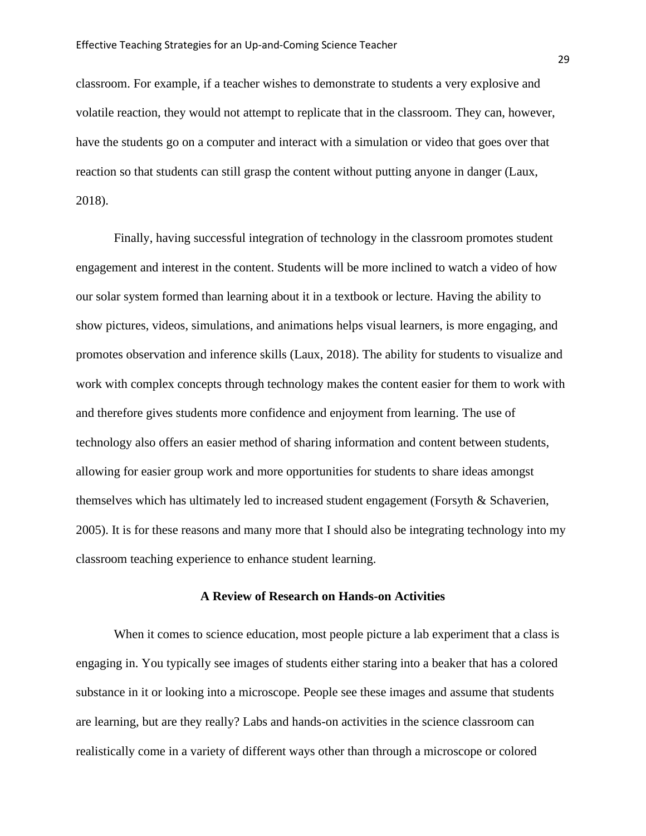classroom. For example, if a teacher wishes to demonstrate to students a very explosive and volatile reaction, they would not attempt to replicate that in the classroom. They can, however, have the students go on a computer and interact with a simulation or video that goes over that reaction so that students can still grasp the content without putting anyone in danger (Laux, 2018).

Finally, having successful integration of technology in the classroom promotes student engagement and interest in the content. Students will be more inclined to watch a video of how our solar system formed than learning about it in a textbook or lecture. Having the ability to show pictures, videos, simulations, and animations helps visual learners, is more engaging, and promotes observation and inference skills (Laux, 2018). The ability for students to visualize and work with complex concepts through technology makes the content easier for them to work with and therefore gives students more confidence and enjoyment from learning. The use of technology also offers an easier method of sharing information and content between students, allowing for easier group work and more opportunities for students to share ideas amongst themselves which has ultimately led to increased student engagement (Forsyth & Schaverien, 2005). It is for these reasons and many more that I should also be integrating technology into my classroom teaching experience to enhance student learning.

#### **A Review of Research on Hands-on Activities**

When it comes to science education, most people picture a lab experiment that a class is engaging in. You typically see images of students either staring into a beaker that has a colored substance in it or looking into a microscope. People see these images and assume that students are learning, but are they really? Labs and hands-on activities in the science classroom can realistically come in a variety of different ways other than through a microscope or colored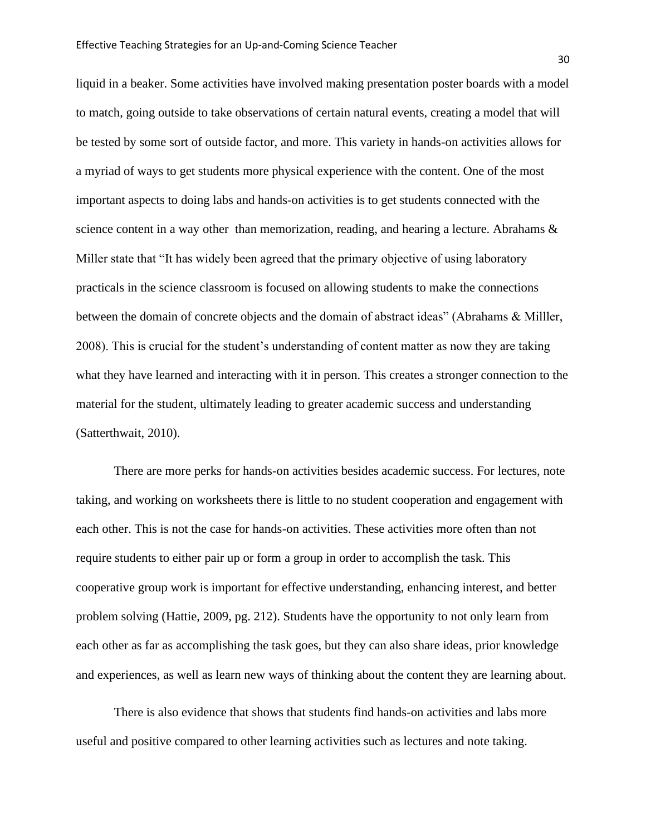liquid in a beaker. Some activities have involved making presentation poster boards with a model to match, going outside to take observations of certain natural events, creating a model that will be tested by some sort of outside factor, and more. This variety in hands-on activities allows for a myriad of ways to get students more physical experience with the content. One of the most important aspects to doing labs and hands-on activities is to get students connected with the science content in a way other than memorization, reading, and hearing a lecture. Abrahams & Miller state that "It has widely been agreed that the primary objective of using laboratory practicals in the science classroom is focused on allowing students to make the connections between the domain of concrete objects and the domain of abstract ideas" (Abrahams & Milller, 2008). This is crucial for the student's understanding of content matter as now they are taking what they have learned and interacting with it in person. This creates a stronger connection to the material for the student, ultimately leading to greater academic success and understanding (Satterthwait, 2010).

There are more perks for hands-on activities besides academic success. For lectures, note taking, and working on worksheets there is little to no student cooperation and engagement with each other. This is not the case for hands-on activities. These activities more often than not require students to either pair up or form a group in order to accomplish the task. This cooperative group work is important for effective understanding, enhancing interest, and better problem solving (Hattie, 2009, pg. 212). Students have the opportunity to not only learn from each other as far as accomplishing the task goes, but they can also share ideas, prior knowledge and experiences, as well as learn new ways of thinking about the content they are learning about.

There is also evidence that shows that students find hands-on activities and labs more useful and positive compared to other learning activities such as lectures and note taking.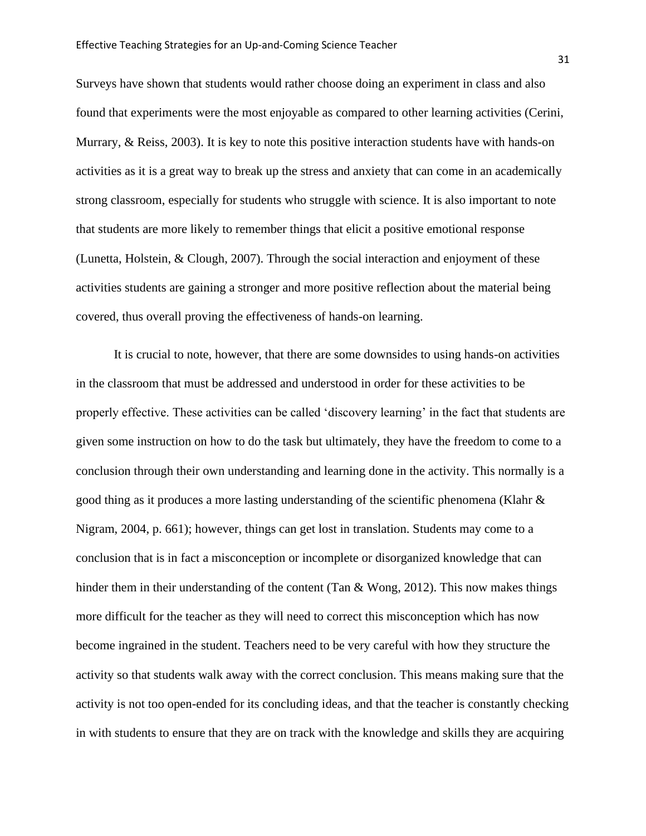Surveys have shown that students would rather choose doing an experiment in class and also found that experiments were the most enjoyable as compared to other learning activities (Cerini, Murrary, & Reiss, 2003). It is key to note this positive interaction students have with hands-on activities as it is a great way to break up the stress and anxiety that can come in an academically strong classroom, especially for students who struggle with science. It is also important to note that students are more likely to remember things that elicit a positive emotional response (Lunetta, Holstein, & Clough, 2007). Through the social interaction and enjoyment of these activities students are gaining a stronger and more positive reflection about the material being covered, thus overall proving the effectiveness of hands-on learning.

It is crucial to note, however, that there are some downsides to using hands-on activities in the classroom that must be addressed and understood in order for these activities to be properly effective. These activities can be called 'discovery learning' in the fact that students are given some instruction on how to do the task but ultimately, they have the freedom to come to a conclusion through their own understanding and learning done in the activity. This normally is a good thing as it produces a more lasting understanding of the scientific phenomena (Klahr & Nigram, 2004, p. 661); however, things can get lost in translation. Students may come to a conclusion that is in fact a misconception or incomplete or disorganized knowledge that can hinder them in their understanding of the content (Tan  $\&$  Wong, 2012). This now makes things more difficult for the teacher as they will need to correct this misconception which has now become ingrained in the student. Teachers need to be very careful with how they structure the activity so that students walk away with the correct conclusion. This means making sure that the activity is not too open-ended for its concluding ideas, and that the teacher is constantly checking in with students to ensure that they are on track with the knowledge and skills they are acquiring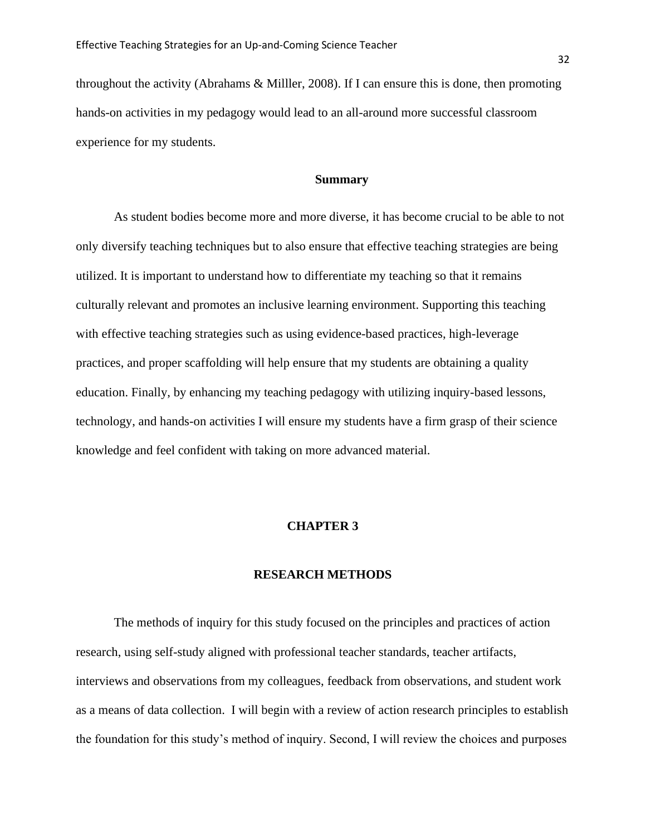throughout the activity (Abrahams & Milller, 2008). If I can ensure this is done, then promoting hands-on activities in my pedagogy would lead to an all-around more successful classroom experience for my students.

# **Summary**

As student bodies become more and more diverse, it has become crucial to be able to not only diversify teaching techniques but to also ensure that effective teaching strategies are being utilized. It is important to understand how to differentiate my teaching so that it remains culturally relevant and promotes an inclusive learning environment. Supporting this teaching with effective teaching strategies such as using evidence-based practices, high-leverage practices, and proper scaffolding will help ensure that my students are obtaining a quality education. Finally, by enhancing my teaching pedagogy with utilizing inquiry-based lessons, technology, and hands-on activities I will ensure my students have a firm grasp of their science knowledge and feel confident with taking on more advanced material.

#### **CHAPTER 3**

#### **RESEARCH METHODS**

The methods of inquiry for this study focused on the principles and practices of action research, using self-study aligned with professional teacher standards, teacher artifacts, interviews and observations from my colleagues, feedback from observations, and student work as a means of data collection. I will begin with a review of action research principles to establish the foundation for this study's method of inquiry. Second, I will review the choices and purposes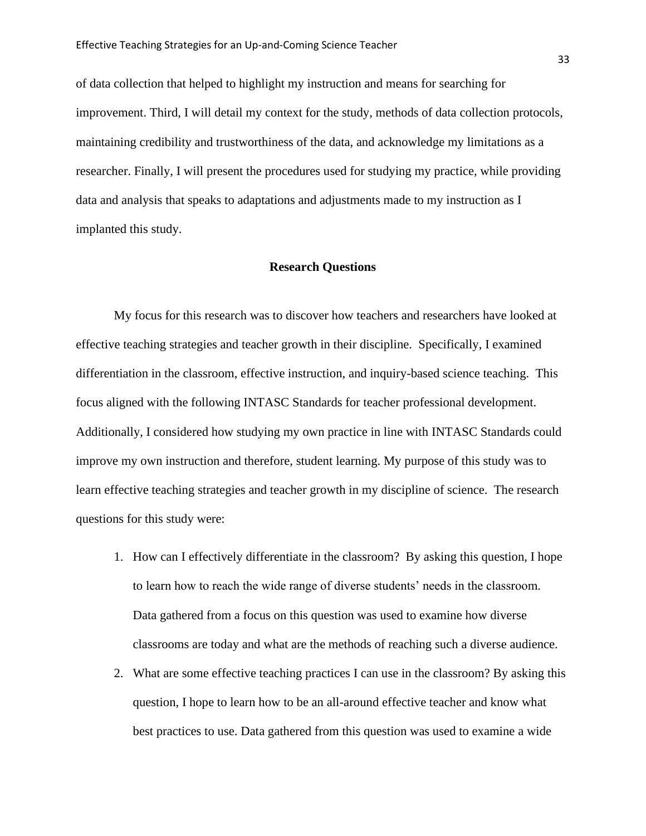of data collection that helped to highlight my instruction and means for searching for improvement. Third, I will detail my context for the study, methods of data collection protocols, maintaining credibility and trustworthiness of the data, and acknowledge my limitations as a researcher. Finally, I will present the procedures used for studying my practice, while providing data and analysis that speaks to adaptations and adjustments made to my instruction as I implanted this study.

### **Research Questions**

My focus for this research was to discover how teachers and researchers have looked at effective teaching strategies and teacher growth in their discipline. Specifically, I examined differentiation in the classroom, effective instruction, and inquiry-based science teaching. This focus aligned with the following INTASC Standards for teacher professional development. Additionally, I considered how studying my own practice in line with INTASC Standards could improve my own instruction and therefore, student learning. My purpose of this study was to learn effective teaching strategies and teacher growth in my discipline of science. The research questions for this study were:

- 1. How can I effectively differentiate in the classroom? By asking this question, I hope to learn how to reach the wide range of diverse students' needs in the classroom*.* Data gathered from a focus on this question was used to examine how diverse classrooms are today and what are the methods of reaching such a diverse audience.
- 2. What are some effective teaching practices I can use in the classroom? By asking this question, I hope to learn how to be an all-around effective teacher and know what best practices to use. Data gathered from this question was used to examine a wide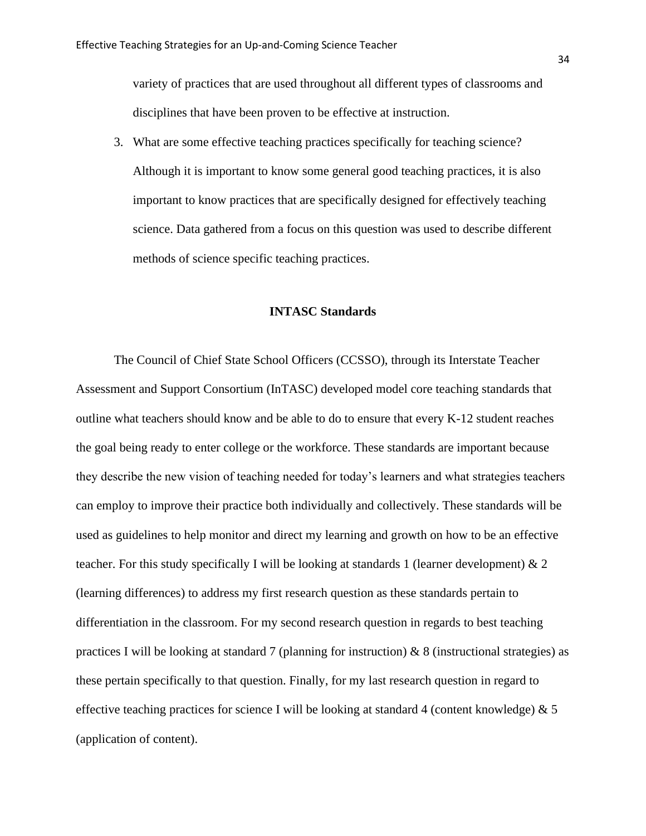variety of practices that are used throughout all different types of classrooms and disciplines that have been proven to be effective at instruction.

3. What are some effective teaching practices specifically for teaching science? Although it is important to know some general good teaching practices, it is also important to know practices that are specifically designed for effectively teaching science. Data gathered from a focus on this question was used to describe different methods of science specific teaching practices.

#### **INTASC Standards**

The Council of Chief State School Officers (CCSSO), through its Interstate Teacher Assessment and Support Consortium (InTASC) developed model core teaching standards that outline what teachers should know and be able to do to ensure that every K-12 student reaches the goal being ready to enter college or the workforce. These standards are important because they describe the new vision of teaching needed for today's learners and what strategies teachers can employ to improve their practice both individually and collectively. These standards will be used as guidelines to help monitor and direct my learning and growth on how to be an effective teacher. For this study specifically I will be looking at standards 1 (learner development) & 2 (learning differences) to address my first research question as these standards pertain to differentiation in the classroom. For my second research question in regards to best teaching practices I will be looking at standard 7 (planning for instruction)  $\& 8$  (instructional strategies) as these pertain specifically to that question. Finally, for my last research question in regard to effective teaching practices for science I will be looking at standard 4 (content knowledge)  $\& 5$ (application of content).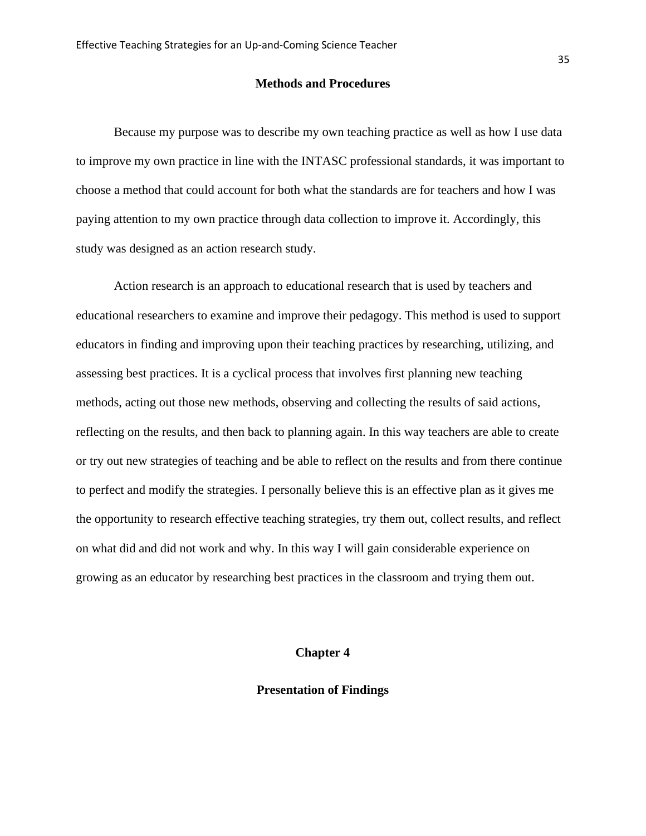#### **Methods and Procedures**

Because my purpose was to describe my own teaching practice as well as how I use data to improve my own practice in line with the INTASC professional standards, it was important to choose a method that could account for both what the standards are for teachers and how I was paying attention to my own practice through data collection to improve it. Accordingly, this study was designed as an action research study.

Action research is an approach to educational research that is used by teachers and educational researchers to examine and improve their pedagogy. This method is used to support educators in finding and improving upon their teaching practices by researching, utilizing, and assessing best practices. It is a cyclical process that involves first planning new teaching methods, acting out those new methods, observing and collecting the results of said actions, reflecting on the results, and then back to planning again. In this way teachers are able to create or try out new strategies of teaching and be able to reflect on the results and from there continue to perfect and modify the strategies. I personally believe this is an effective plan as it gives me the opportunity to research effective teaching strategies, try them out, collect results, and reflect on what did and did not work and why. In this way I will gain considerable experience on growing as an educator by researching best practices in the classroom and trying them out.

# **Chapter 4**

# **Presentation of Findings**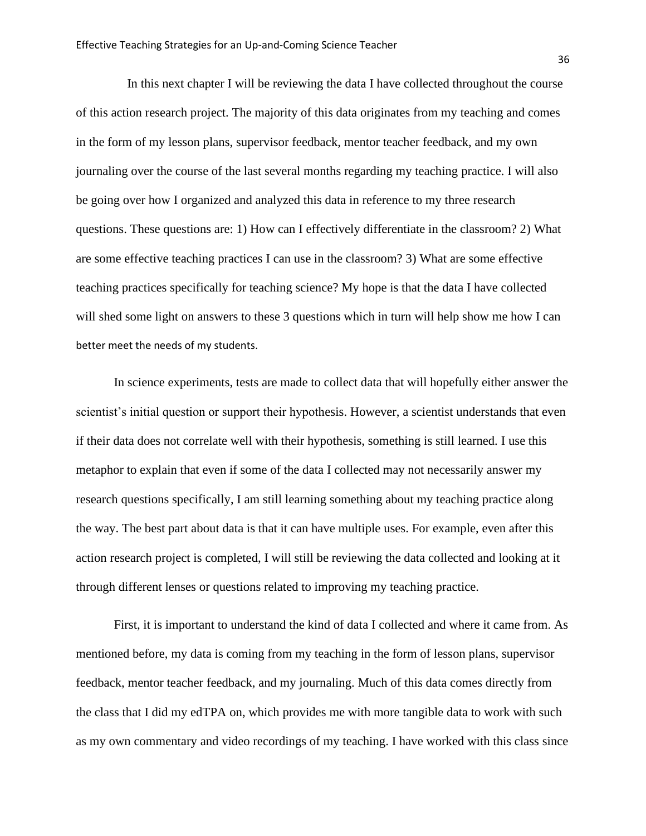In this next chapter I will be reviewing the data I have collected throughout the course of this action research project. The majority of this data originates from my teaching and comes in the form of my lesson plans, supervisor feedback, mentor teacher feedback, and my own journaling over the course of the last several months regarding my teaching practice. I will also be going over how I organized and analyzed this data in reference to my three research questions. These questions are: 1) How can I effectively differentiate in the classroom? 2) What are some effective teaching practices I can use in the classroom? 3) What are some effective teaching practices specifically for teaching science? My hope is that the data I have collected will shed some light on answers to these 3 questions which in turn will help show me how I can better meet the needs of my students.

In science experiments, tests are made to collect data that will hopefully either answer the scientist's initial question or support their hypothesis. However, a scientist understands that even if their data does not correlate well with their hypothesis, something is still learned. I use this metaphor to explain that even if some of the data I collected may not necessarily answer my research questions specifically, I am still learning something about my teaching practice along the way. The best part about data is that it can have multiple uses. For example, even after this action research project is completed, I will still be reviewing the data collected and looking at it through different lenses or questions related to improving my teaching practice.

First, it is important to understand the kind of data I collected and where it came from. As mentioned before, my data is coming from my teaching in the form of lesson plans, supervisor feedback, mentor teacher feedback, and my journaling. Much of this data comes directly from the class that I did my edTPA on, which provides me with more tangible data to work with such as my own commentary and video recordings of my teaching. I have worked with this class since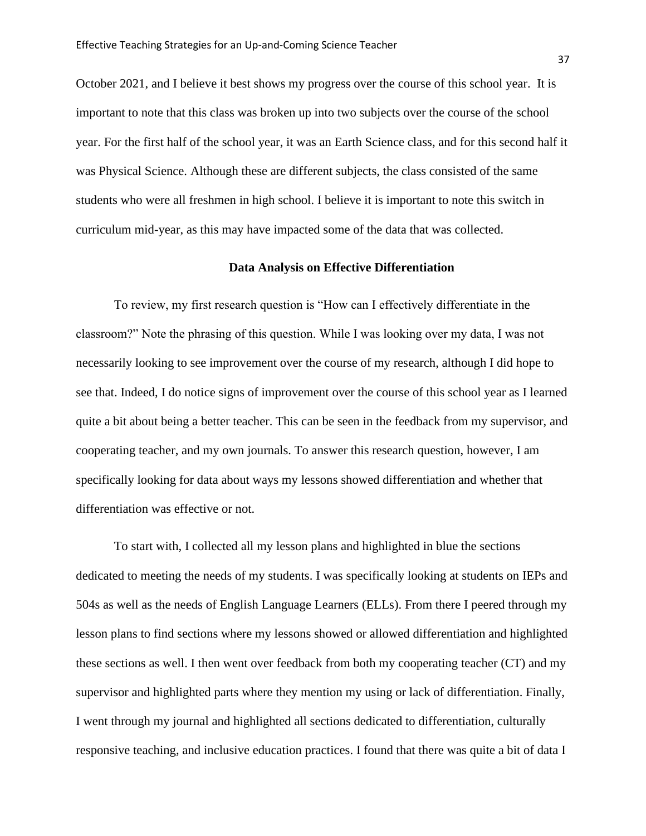October 2021, and I believe it best shows my progress over the course of this school year. It is important to note that this class was broken up into two subjects over the course of the school year. For the first half of the school year, it was an Earth Science class, and for this second half it was Physical Science. Although these are different subjects, the class consisted of the same students who were all freshmen in high school. I believe it is important to note this switch in curriculum mid-year, as this may have impacted some of the data that was collected.

# **Data Analysis on Effective Differentiation**

To review, my first research question is "How can I effectively differentiate in the classroom?" Note the phrasing of this question. While I was looking over my data, I was not necessarily looking to see improvement over the course of my research, although I did hope to see that. Indeed, I do notice signs of improvement over the course of this school year as I learned quite a bit about being a better teacher. This can be seen in the feedback from my supervisor, and cooperating teacher, and my own journals. To answer this research question, however, I am specifically looking for data about ways my lessons showed differentiation and whether that differentiation was effective or not.

To start with, I collected all my lesson plans and highlighted in blue the sections dedicated to meeting the needs of my students. I was specifically looking at students on IEPs and 504s as well as the needs of English Language Learners (ELLs). From there I peered through my lesson plans to find sections where my lessons showed or allowed differentiation and highlighted these sections as well. I then went over feedback from both my cooperating teacher (CT) and my supervisor and highlighted parts where they mention my using or lack of differentiation. Finally, I went through my journal and highlighted all sections dedicated to differentiation, culturally responsive teaching, and inclusive education practices. I found that there was quite a bit of data I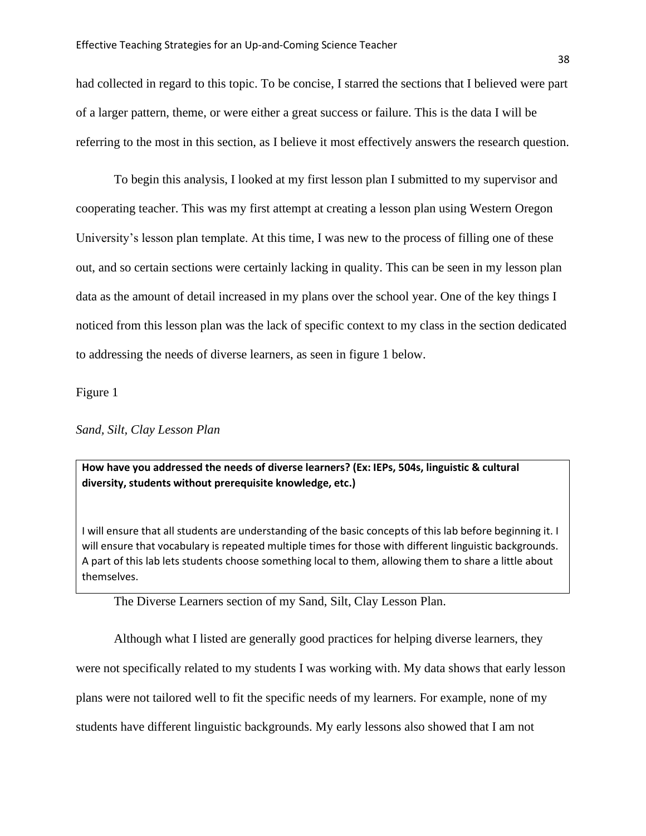had collected in regard to this topic. To be concise, I starred the sections that I believed were part of a larger pattern, theme, or were either a great success or failure. This is the data I will be referring to the most in this section, as I believe it most effectively answers the research question.

To begin this analysis, I looked at my first lesson plan I submitted to my supervisor and cooperating teacher. This was my first attempt at creating a lesson plan using Western Oregon University's lesson plan template. At this time, I was new to the process of filling one of these out, and so certain sections were certainly lacking in quality. This can be seen in my lesson plan data as the amount of detail increased in my plans over the school year. One of the key things I noticed from this lesson plan was the lack of specific context to my class in the section dedicated to addressing the needs of diverse learners, as seen in figure 1 below.

Figure 1

*Sand, Silt, Clay Lesson Plan*

**How have you addressed the needs of diverse learners? (Ex: IEPs, 504s, linguistic & cultural diversity, students without prerequisite knowledge, etc.)**

I will ensure that all students are understanding of the basic concepts of this lab before beginning it. I will ensure that vocabulary is repeated multiple times for those with different linguistic backgrounds. A part of this lab lets students choose something local to them, allowing them to share a little about themselves.

The Diverse Learners section of my Sand, Silt, Clay Lesson Plan.

Although what I listed are generally good practices for helping diverse learners, they were not specifically related to my students I was working with. My data shows that early lesson plans were not tailored well to fit the specific needs of my learners. For example, none of my students have different linguistic backgrounds. My early lessons also showed that I am not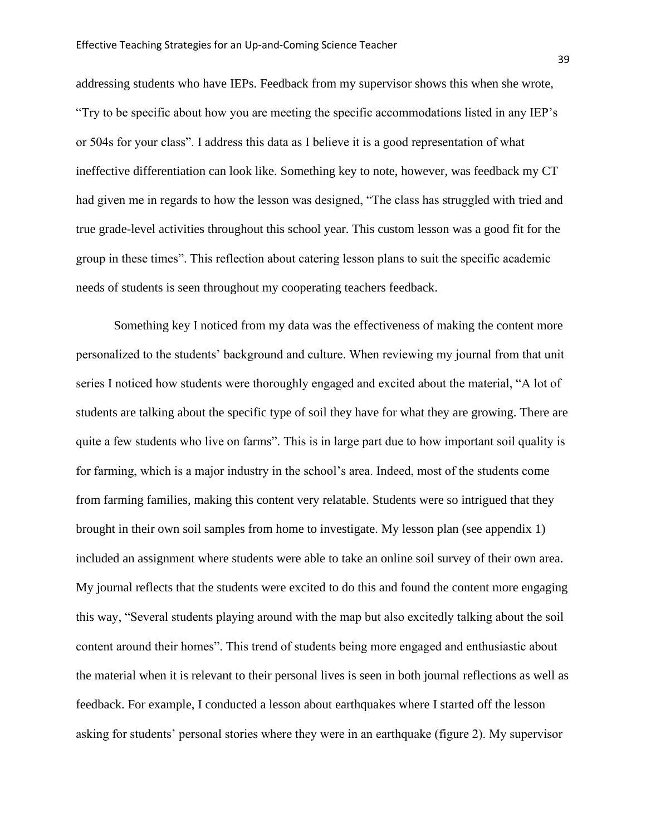addressing students who have IEPs. Feedback from my supervisor shows this when she wrote, "Try to be specific about how you are meeting the specific accommodations listed in any IEP's or 504s for your class". I address this data as I believe it is a good representation of what ineffective differentiation can look like. Something key to note, however, was feedback my CT had given me in regards to how the lesson was designed, "The class has struggled with tried and true grade-level activities throughout this school year. This custom lesson was a good fit for the group in these times". This reflection about catering lesson plans to suit the specific academic needs of students is seen throughout my cooperating teachers feedback.

Something key I noticed from my data was the effectiveness of making the content more personalized to the students' background and culture. When reviewing my journal from that unit series I noticed how students were thoroughly engaged and excited about the material, "A lot of students are talking about the specific type of soil they have for what they are growing. There are quite a few students who live on farms". This is in large part due to how important soil quality is for farming, which is a major industry in the school's area. Indeed, most of the students come from farming families, making this content very relatable. Students were so intrigued that they brought in their own soil samples from home to investigate. My lesson plan (see appendix 1) included an assignment where students were able to take an online soil survey of their own area. My journal reflects that the students were excited to do this and found the content more engaging this way, "Several students playing around with the map but also excitedly talking about the soil content around their homes". This trend of students being more engaged and enthusiastic about the material when it is relevant to their personal lives is seen in both journal reflections as well as feedback. For example, I conducted a lesson about earthquakes where I started off the lesson asking for students' personal stories where they were in an earthquake (figure 2). My supervisor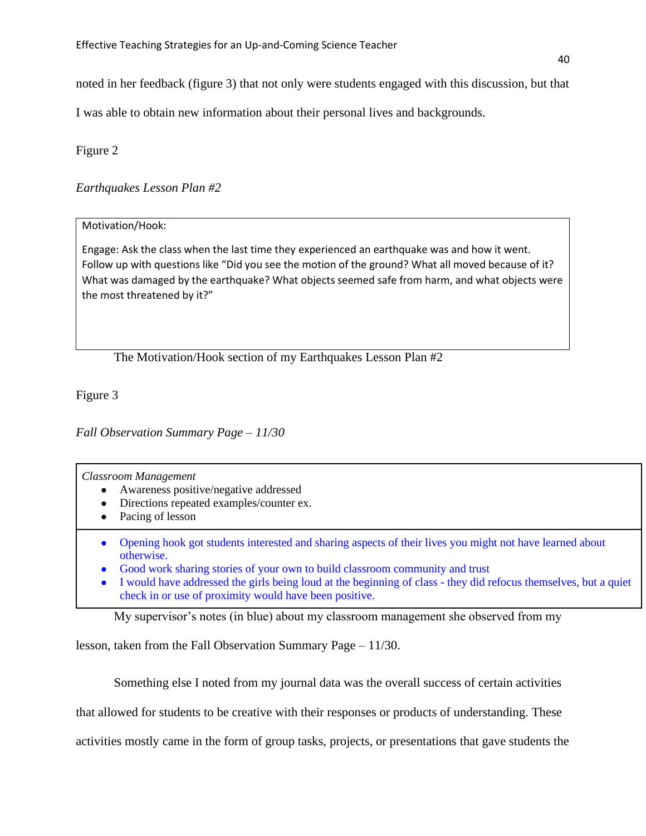noted in her feedback (figure 3) that not only were students engaged with this discussion, but that

I was able to obtain new information about their personal lives and backgrounds.

Figure 2

# *Earthquakes Lesson Plan #2*

# Motivation/Hook:

Engage: Ask the class when the last time they experienced an earthquake was and how it went. Follow up with questions like "Did you see the motion of the ground? What all moved because of it? What was damaged by the earthquake? What objects seemed safe from harm, and what objects were the most threatened by it?"

The Motivation/Hook section of my Earthquakes Lesson Plan #2

Figure 3

*Fall Observation Summary Page – 11/30*

*Classroom Management*

- Awareness positive/negative addressed
- Directions repeated examples/counter ex.
- Pacing of lesson
- Opening hook got students interested and sharing aspects of their lives you might not have learned about otherwise.
- Good work sharing stories of your own to build classroom community and trust
- I would have addressed the girls being loud at the beginning of class they did refocus themselves, but a quiet check in or use of proximity would have been positive.

My supervisor's notes (in blue) about my classroom management she observed from my

lesson, taken from the Fall Observation Summary Page – 11/30.

Something else I noted from my journal data was the overall success of certain activities

that allowed for students to be creative with their responses or products of understanding. These

activities mostly came in the form of group tasks, projects, or presentations that gave students the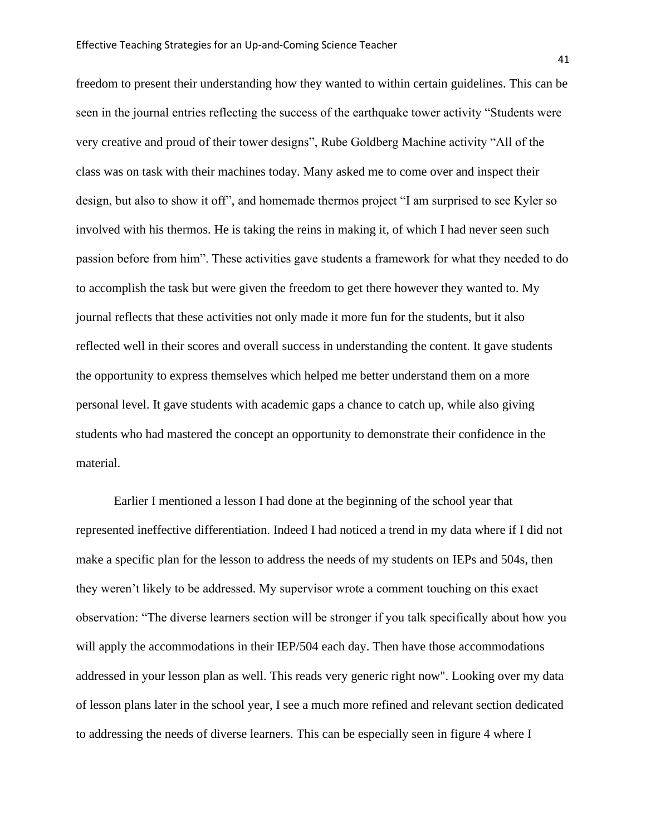freedom to present their understanding how they wanted to within certain guidelines. This can be seen in the journal entries reflecting the success of the earthquake tower activity "Students were very creative and proud of their tower designs", Rube Goldberg Machine activity "All of the class was on task with their machines today. Many asked me to come over and inspect their design, but also to show it off", and homemade thermos project "I am surprised to see Kyler so involved with his thermos. He is taking the reins in making it, of which I had never seen such passion before from him". These activities gave students a framework for what they needed to do to accomplish the task but were given the freedom to get there however they wanted to. My journal reflects that these activities not only made it more fun for the students, but it also reflected well in their scores and overall success in understanding the content. It gave students the opportunity to express themselves which helped me better understand them on a more personal level. It gave students with academic gaps a chance to catch up, while also giving students who had mastered the concept an opportunity to demonstrate their confidence in the material.

Earlier I mentioned a lesson I had done at the beginning of the school year that represented ineffective differentiation. Indeed I had noticed a trend in my data where if I did not make a specific plan for the lesson to address the needs of my students on IEPs and 504s, then they weren't likely to be addressed. My supervisor wrote a comment touching on this exact observation: "The diverse learners section will be stronger if you talk specifically about how you will apply the accommodations in their IEP/504 each day. Then have those accommodations addressed in your lesson plan as well. This reads very generic right now". Looking over my data of lesson plans later in the school year, I see a much more refined and relevant section dedicated to addressing the needs of diverse learners. This can be especially seen in figure 4 where I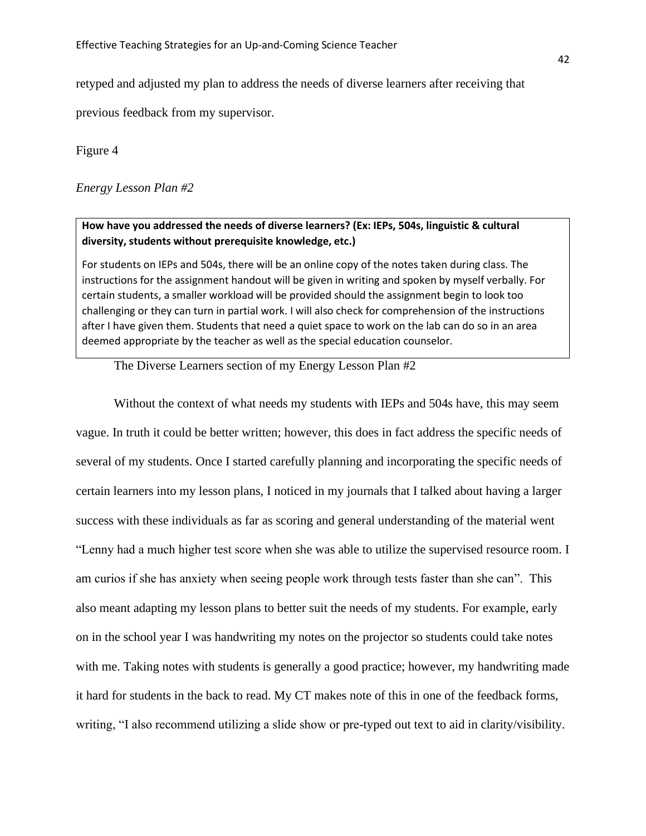retyped and adjusted my plan to address the needs of diverse learners after receiving that

previous feedback from my supervisor.

Figure 4

# *Energy Lesson Plan #2*

# **How have you addressed the needs of diverse learners? (Ex: IEPs, 504s, linguistic & cultural diversity, students without prerequisite knowledge, etc.)**

For students on IEPs and 504s, there will be an online copy of the notes taken during class. The instructions for the assignment handout will be given in writing and spoken by myself verbally. For certain students, a smaller workload will be provided should the assignment begin to look too challenging or they can turn in partial work. I will also check for comprehension of the instructions after I have given them. Students that need a quiet space to work on the lab can do so in an area deemed appropriate by the teacher as well as the special education counselor.

The Diverse Learners section of my Energy Lesson Plan #2

Without the context of what needs my students with IEPs and 504s have, this may seem vague. In truth it could be better written; however, this does in fact address the specific needs of several of my students. Once I started carefully planning and incorporating the specific needs of certain learners into my lesson plans, I noticed in my journals that I talked about having a larger success with these individuals as far as scoring and general understanding of the material went "Lenny had a much higher test score when she was able to utilize the supervised resource room. I am curios if she has anxiety when seeing people work through tests faster than she can". This also meant adapting my lesson plans to better suit the needs of my students. For example, early on in the school year I was handwriting my notes on the projector so students could take notes with me. Taking notes with students is generally a good practice; however, my handwriting made it hard for students in the back to read. My CT makes note of this in one of the feedback forms, writing, "I also recommend utilizing a slide show or pre-typed out text to aid in clarity/visibility.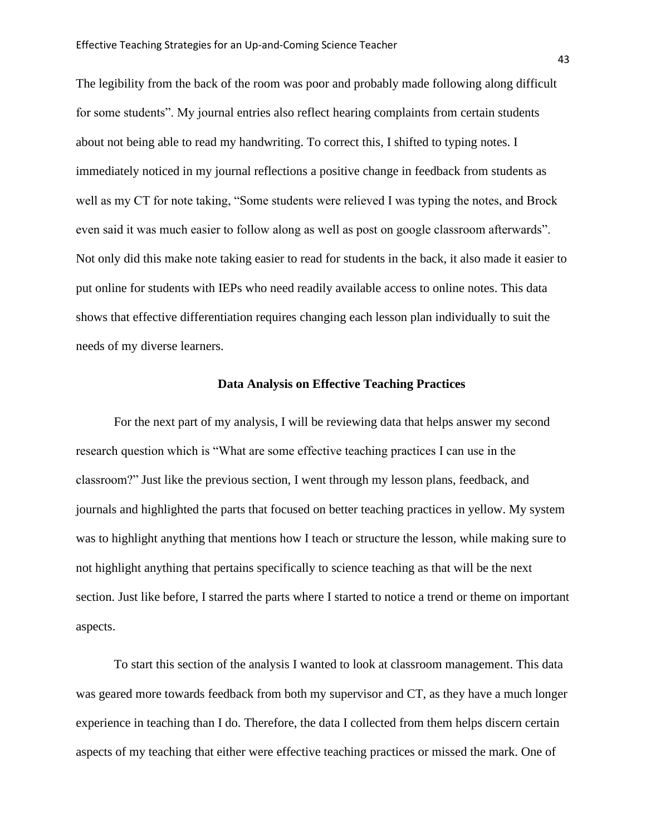The legibility from the back of the room was poor and probably made following along difficult for some students". My journal entries also reflect hearing complaints from certain students about not being able to read my handwriting. To correct this, I shifted to typing notes. I immediately noticed in my journal reflections a positive change in feedback from students as well as my CT for note taking, "Some students were relieved I was typing the notes, and Brock even said it was much easier to follow along as well as post on google classroom afterwards". Not only did this make note taking easier to read for students in the back, it also made it easier to put online for students with IEPs who need readily available access to online notes. This data shows that effective differentiation requires changing each lesson plan individually to suit the needs of my diverse learners.

#### **Data Analysis on Effective Teaching Practices**

For the next part of my analysis, I will be reviewing data that helps answer my second research question which is "What are some effective teaching practices I can use in the classroom?" Just like the previous section, I went through my lesson plans, feedback, and journals and highlighted the parts that focused on better teaching practices in yellow. My system was to highlight anything that mentions how I teach or structure the lesson, while making sure to not highlight anything that pertains specifically to science teaching as that will be the next section. Just like before, I starred the parts where I started to notice a trend or theme on important aspects.

To start this section of the analysis I wanted to look at classroom management. This data was geared more towards feedback from both my supervisor and CT, as they have a much longer experience in teaching than I do. Therefore, the data I collected from them helps discern certain aspects of my teaching that either were effective teaching practices or missed the mark. One of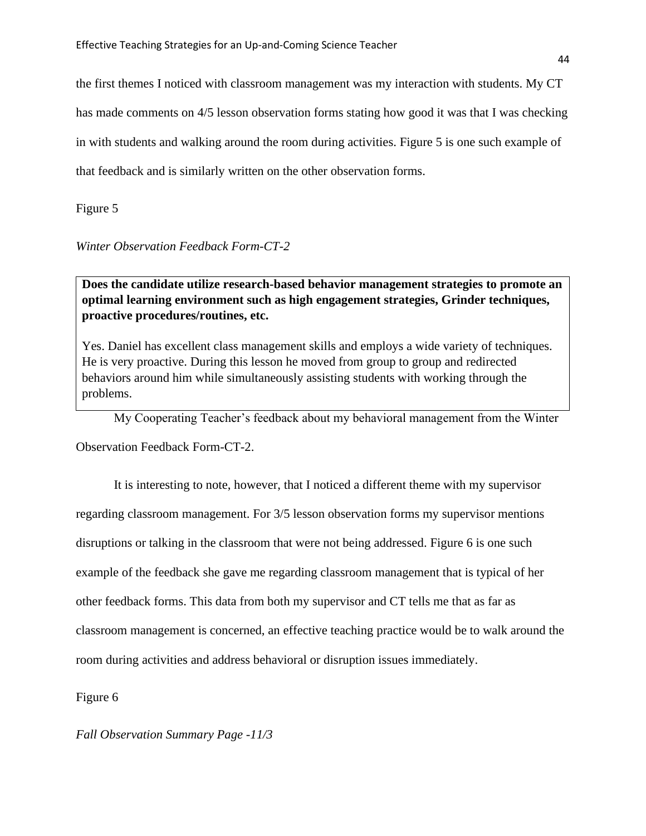the first themes I noticed with classroom management was my interaction with students. My CT has made comments on 4/5 lesson observation forms stating how good it was that I was checking in with students and walking around the room during activities. Figure 5 is one such example of that feedback and is similarly written on the other observation forms.

Figure 5

*Winter Observation Feedback Form-CT-2*

**Does the candidate utilize research-based behavior management strategies to promote an optimal learning environment such as high engagement strategies, Grinder techniques, proactive procedures/routines, etc.** 

Yes. Daniel has excellent class management skills and employs a wide variety of techniques. He is very proactive. During this lesson he moved from group to group and redirected behaviors around him while simultaneously assisting students with working through the problems.

My Cooperating Teacher's feedback about my behavioral management from the Winter Observation Feedback Form-CT-2.

It is interesting to note, however, that I noticed a different theme with my supervisor regarding classroom management. For 3/5 lesson observation forms my supervisor mentions disruptions or talking in the classroom that were not being addressed. Figure 6 is one such example of the feedback she gave me regarding classroom management that is typical of her other feedback forms. This data from both my supervisor and CT tells me that as far as classroom management is concerned, an effective teaching practice would be to walk around the room during activities and address behavioral or disruption issues immediately.

Figure 6

*Fall Observation Summary Page -11/3*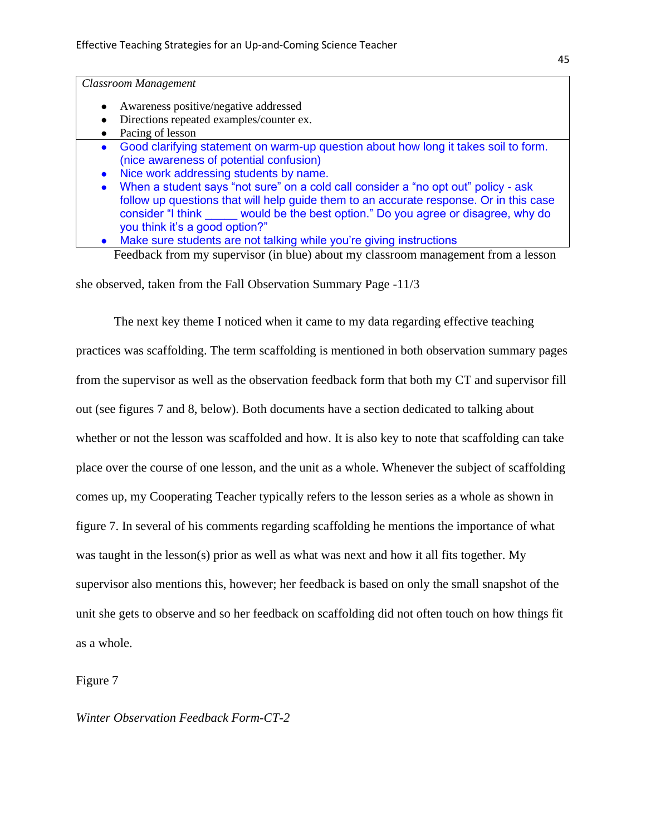*Classroom Management*

- Awareness positive/negative addressed
- Directions repeated examples/counter ex.
- Pacing of lesson
- Good clarifying statement on warm-up question about how long it takes soil to form. (nice awareness of potential confusion)
- Nice work addressing students by name.
- When a student says "not sure" on a cold call consider a "no opt out" policy ask follow up questions that will help guide them to an accurate response. Or in this case consider "I think \_\_\_\_\_ would be the best option." Do you agree or disagree, why do you think it's a good option?"
- Make sure students are not talking while you're giving instructions

Feedback from my supervisor (in blue) about my classroom management from a lesson

she observed, taken from the Fall Observation Summary Page -11/3

The next key theme I noticed when it came to my data regarding effective teaching practices was scaffolding. The term scaffolding is mentioned in both observation summary pages from the supervisor as well as the observation feedback form that both my CT and supervisor fill out (see figures 7 and 8, below). Both documents have a section dedicated to talking about whether or not the lesson was scaffolded and how. It is also key to note that scaffolding can take place over the course of one lesson, and the unit as a whole. Whenever the subject of scaffolding comes up, my Cooperating Teacher typically refers to the lesson series as a whole as shown in figure 7. In several of his comments regarding scaffolding he mentions the importance of what was taught in the lesson(s) prior as well as what was next and how it all fits together. My supervisor also mentions this, however; her feedback is based on only the small snapshot of the unit she gets to observe and so her feedback on scaffolding did not often touch on how things fit as a whole.

Figure 7

## *Winter Observation Feedback Form-CT-2*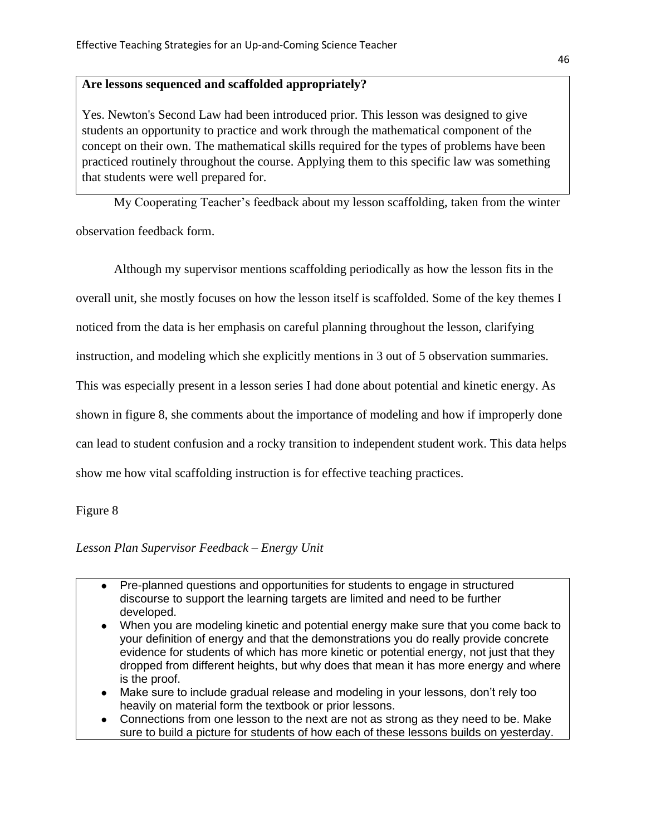# **Are lessons sequenced and scaffolded appropriately?**

Yes. Newton's Second Law had been introduced prior. This lesson was designed to give students an opportunity to practice and work through the mathematical component of the concept on their own. The mathematical skills required for the types of problems have been practiced routinely throughout the course. Applying them to this specific law was something that students were well prepared for.

My Cooperating Teacher's feedback about my lesson scaffolding, taken from the winter

observation feedback form.

Although my supervisor mentions scaffolding periodically as how the lesson fits in the overall unit, she mostly focuses on how the lesson itself is scaffolded. Some of the key themes I

noticed from the data is her emphasis on careful planning throughout the lesson, clarifying

instruction, and modeling which she explicitly mentions in 3 out of 5 observation summaries.

This was especially present in a lesson series I had done about potential and kinetic energy. As

shown in figure 8, she comments about the importance of modeling and how if improperly done

can lead to student confusion and a rocky transition to independent student work. This data helps

show me how vital scaffolding instruction is for effective teaching practices.

# Figure 8

# *Lesson Plan Supervisor Feedback – Energy Unit*

- Pre-planned questions and opportunities for students to engage in structured discourse to support the learning targets are limited and need to be further developed.
- When you are modeling kinetic and potential energy make sure that you come back to your definition of energy and that the demonstrations you do really provide concrete evidence for students of which has more kinetic or potential energy, not just that they dropped from different heights, but why does that mean it has more energy and where is the proof.
- Make sure to include gradual release and modeling in your lessons, don't rely too heavily on material form the textbook or prior lessons.
- Connections from one lesson to the next are not as strong as they need to be. Make sure to build a picture for students of how each of these lessons builds on yesterday.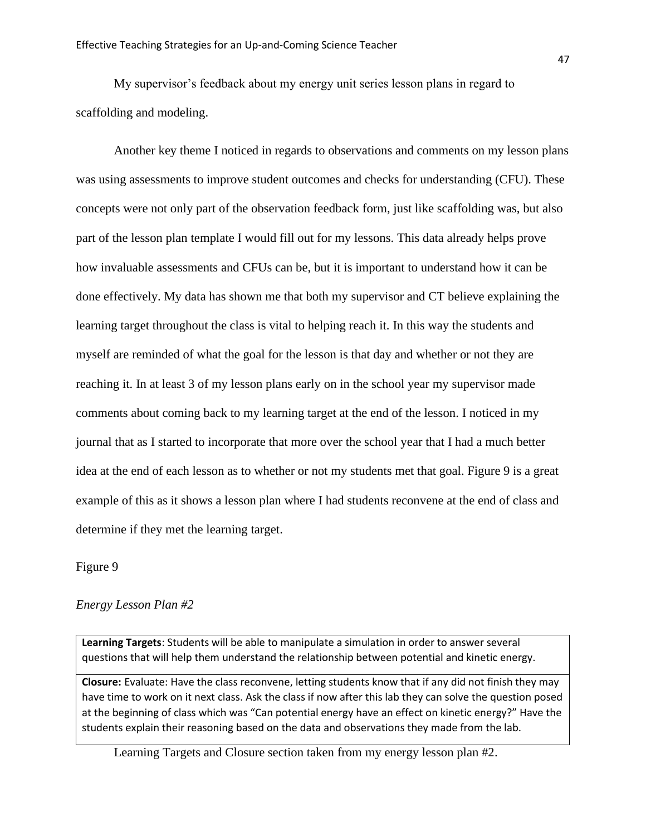My supervisor's feedback about my energy unit series lesson plans in regard to scaffolding and modeling.

Another key theme I noticed in regards to observations and comments on my lesson plans was using assessments to improve student outcomes and checks for understanding (CFU). These concepts were not only part of the observation feedback form, just like scaffolding was, but also part of the lesson plan template I would fill out for my lessons. This data already helps prove how invaluable assessments and CFUs can be, but it is important to understand how it can be done effectively. My data has shown me that both my supervisor and CT believe explaining the learning target throughout the class is vital to helping reach it. In this way the students and myself are reminded of what the goal for the lesson is that day and whether or not they are reaching it. In at least 3 of my lesson plans early on in the school year my supervisor made comments about coming back to my learning target at the end of the lesson. I noticed in my journal that as I started to incorporate that more over the school year that I had a much better idea at the end of each lesson as to whether or not my students met that goal. Figure 9 is a great example of this as it shows a lesson plan where I had students reconvene at the end of class and determine if they met the learning target.

Figure 9

# *Energy Lesson Plan #2*

**Learning Targets**: Students will be able to manipulate a simulation in order to answer several questions that will help them understand the relationship between potential and kinetic energy.

**Closure:** Evaluate: Have the class reconvene, letting students know that if any did not finish they may have time to work on it next class. Ask the class if now after this lab they can solve the question posed at the beginning of class which was "Can potential energy have an effect on kinetic energy?" Have the students explain their reasoning based on the data and observations they made from the lab.

Learning Targets and Closure section taken from my energy lesson plan #2.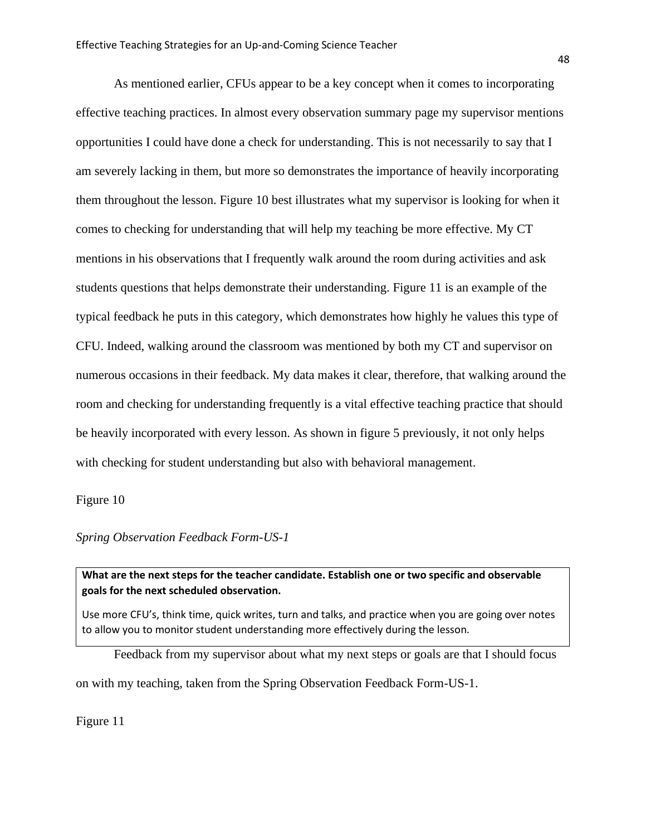As mentioned earlier, CFUs appear to be a key concept when it comes to incorporating effective teaching practices. In almost every observation summary page my supervisor mentions opportunities I could have done a check for understanding. This is not necessarily to say that I am severely lacking in them, but more so demonstrates the importance of heavily incorporating them throughout the lesson. Figure 10 best illustrates what my supervisor is looking for when it comes to checking for understanding that will help my teaching be more effective. My CT mentions in his observations that I frequently walk around the room during activities and ask students questions that helps demonstrate their understanding. Figure 11 is an example of the typical feedback he puts in this category, which demonstrates how highly he values this type of CFU. Indeed, walking around the classroom was mentioned by both my CT and supervisor on numerous occasions in their feedback. My data makes it clear, therefore, that walking around the room and checking for understanding frequently is a vital effective teaching practice that should be heavily incorporated with every lesson. As shown in figure 5 previously, it not only helps with checking for student understanding but also with behavioral management.

Figure 10

*Spring Observation Feedback Form-US-1*

**What are the next steps for the teacher candidate. Establish one or two specific and observable goals for the next scheduled observation.**

Use more CFU's, think time, quick writes, turn and talks, and practice when you are going over notes to allow you to monitor student understanding more effectively during the lesson.

Feedback from my supervisor about what my next steps or goals are that I should focus on with my teaching, taken from the Spring Observation Feedback Form-US-1.

Figure 11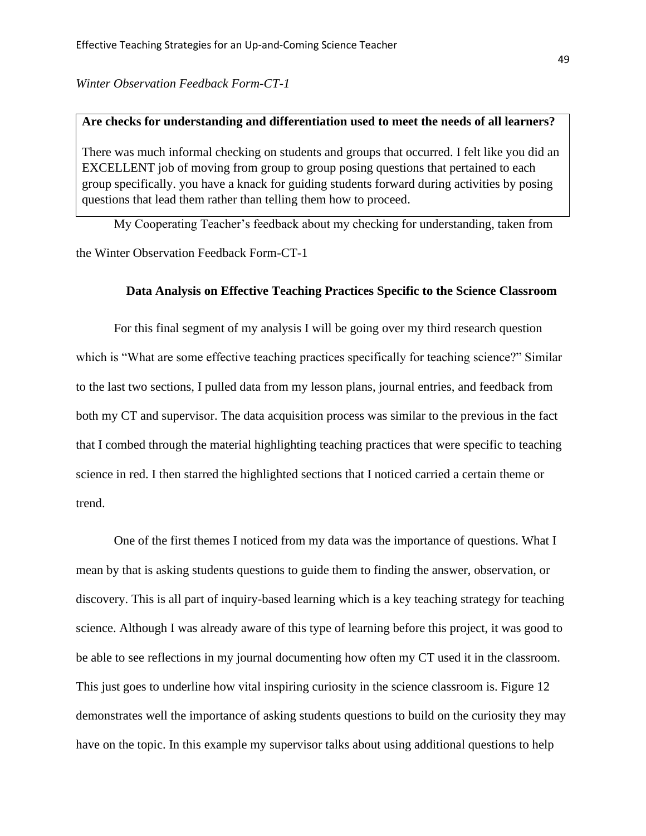*Winter Observation Feedback Form-CT-1*

# **Are checks for understanding and differentiation used to meet the needs of all learners?**

There was much informal checking on students and groups that occurred. I felt like you did an EXCELLENT job of moving from group to group posing questions that pertained to each group specifically. you have a knack for guiding students forward during activities by posing questions that lead them rather than telling them how to proceed.

My Cooperating Teacher's feedback about my checking for understanding, taken from the Winter Observation Feedback Form-CT-1

# **Data Analysis on Effective Teaching Practices Specific to the Science Classroom**

For this final segment of my analysis I will be going over my third research question which is "What are some effective teaching practices specifically for teaching science?" Similar to the last two sections, I pulled data from my lesson plans, journal entries, and feedback from both my CT and supervisor. The data acquisition process was similar to the previous in the fact that I combed through the material highlighting teaching practices that were specific to teaching science in red. I then starred the highlighted sections that I noticed carried a certain theme or trend.

One of the first themes I noticed from my data was the importance of questions. What I mean by that is asking students questions to guide them to finding the answer, observation, or discovery. This is all part of inquiry-based learning which is a key teaching strategy for teaching science. Although I was already aware of this type of learning before this project, it was good to be able to see reflections in my journal documenting how often my CT used it in the classroom. This just goes to underline how vital inspiring curiosity in the science classroom is. Figure 12 demonstrates well the importance of asking students questions to build on the curiosity they may have on the topic. In this example my supervisor talks about using additional questions to help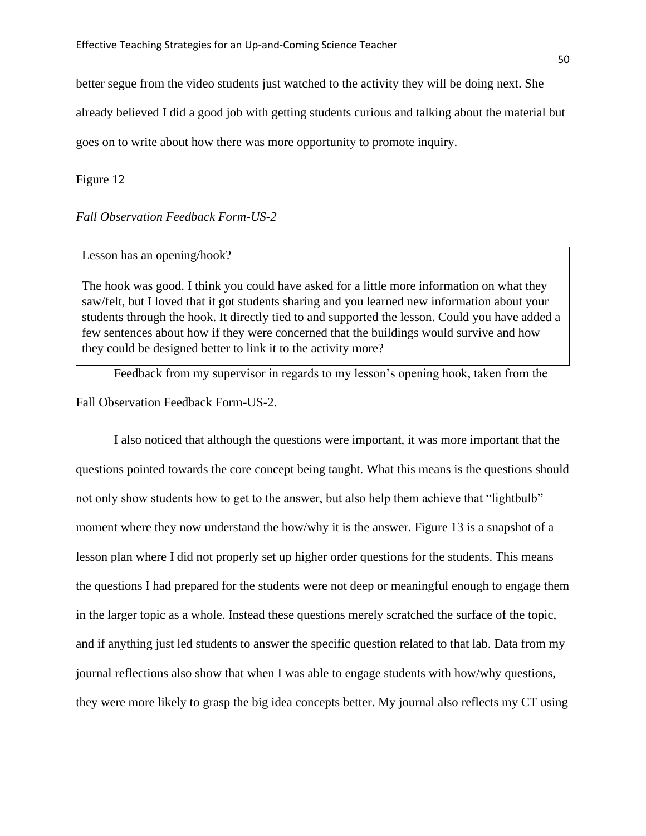better segue from the video students just watched to the activity they will be doing next. She already believed I did a good job with getting students curious and talking about the material but goes on to write about how there was more opportunity to promote inquiry.

Figure 12

# *Fall Observation Feedback Form-US-2*

# Lesson has an opening/hook?

The hook was good. I think you could have asked for a little more information on what they saw/felt, but I loved that it got students sharing and you learned new information about your students through the hook. It directly tied to and supported the lesson. Could you have added a few sentences about how if they were concerned that the buildings would survive and how they could be designed better to link it to the activity more?

Feedback from my supervisor in regards to my lesson's opening hook, taken from the Fall Observation Feedback Form-US-2.

I also noticed that although the questions were important, it was more important that the questions pointed towards the core concept being taught. What this means is the questions should not only show students how to get to the answer, but also help them achieve that "lightbulb" moment where they now understand the how/why it is the answer. Figure 13 is a snapshot of a lesson plan where I did not properly set up higher order questions for the students. This means the questions I had prepared for the students were not deep or meaningful enough to engage them in the larger topic as a whole. Instead these questions merely scratched the surface of the topic, and if anything just led students to answer the specific question related to that lab. Data from my journal reflections also show that when I was able to engage students with how/why questions, they were more likely to grasp the big idea concepts better. My journal also reflects my CT using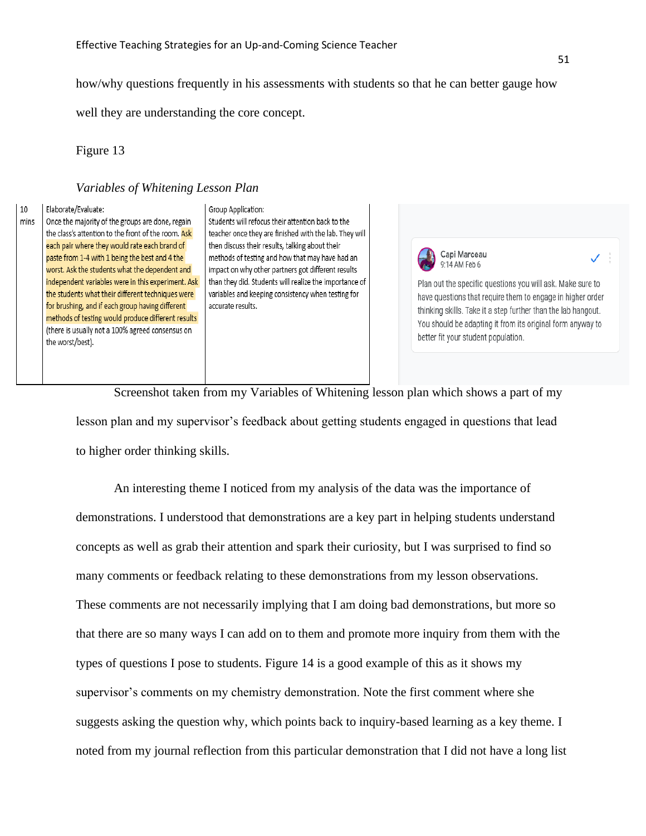how/why questions frequently in his assessments with students so that he can better gauge how

well they are understanding the core concept.

Figure 13

# *Variables of Whitening Lesson Plan*

#### $10$ Elaborate/Evaluate:

mins Once the majority of the groups are done, regain the class's attention to the front of the room. Ask each pair where they would rate each brand of paste from 1-4 with 1 being the best and 4 the worst. Ask the students what the dependent and independent variables were in this experiment. Ask the students what their different techniques were for brushing, and if each group having different methods of testing would produce different results (there is usually not a 100% agreed consensus on the worst/best).

#### Group Application:

Students will refocus their attention back to the teacher once they are finished with the lab. They will then discuss their results, talking about their methods of testing and how that may have had an impact on why other partners got different results than they did. Students will realize the importance of variables and keeping consistency when testing for accurate results.



Plan out the specific questions you will ask. Make sure to have questions that require them to engage in higher order thinking skills. Take it a step further than the lab hangout. You should be adapting it from its original form anyway to better fit your student population.

Screenshot taken from my Variables of Whitening lesson plan which shows a part of my lesson plan and my supervisor's feedback about getting students engaged in questions that lead to higher order thinking skills.

An interesting theme I noticed from my analysis of the data was the importance of demonstrations. I understood that demonstrations are a key part in helping students understand concepts as well as grab their attention and spark their curiosity, but I was surprised to find so many comments or feedback relating to these demonstrations from my lesson observations. These comments are not necessarily implying that I am doing bad demonstrations, but more so that there are so many ways I can add on to them and promote more inquiry from them with the types of questions I pose to students. Figure 14 is a good example of this as it shows my supervisor's comments on my chemistry demonstration. Note the first comment where she suggests asking the question why, which points back to inquiry-based learning as a key theme. I noted from my journal reflection from this particular demonstration that I did not have a long list ✓ ∃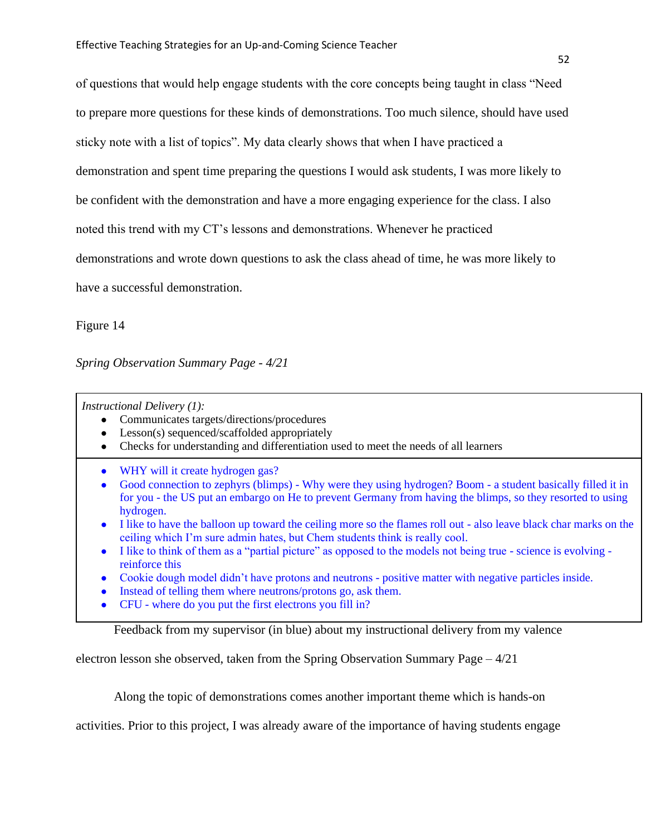of questions that would help engage students with the core concepts being taught in class "Need to prepare more questions for these kinds of demonstrations. Too much silence, should have used sticky note with a list of topics". My data clearly shows that when I have practiced a demonstration and spent time preparing the questions I would ask students, I was more likely to be confident with the demonstration and have a more engaging experience for the class. I also noted this trend with my CT's lessons and demonstrations. Whenever he practiced demonstrations and wrote down questions to ask the class ahead of time, he was more likely to have a successful demonstration.

Figure 14

*Spring Observation Summary Page - 4/21*

*Instructional Delivery (1):*

- Communicates targets/directions/procedures
- Lesson(s) sequenced/scaffolded appropriately
- Checks for understanding and differentiation used to meet the needs of all learners
- WHY will it create hydrogen gas?
- Good connection to zephyrs (blimps) Why were they using hydrogen? Boom a student basically filled it in for you - the US put an embargo on He to prevent Germany from having the blimps, so they resorted to using hydrogen.
- I like to have the balloon up toward the ceiling more so the flames roll out also leave black char marks on the ceiling which I'm sure admin hates, but Chem students think is really cool.
- I like to think of them as a "partial picture" as opposed to the models not being true science is evolving reinforce this
- Cookie dough model didn't have protons and neutrons positive matter with negative particles inside.
- Instead of telling them where neutrons/protons go, ask them.
- CFU where do you put the first electrons you fill in?

Feedback from my supervisor (in blue) about my instructional delivery from my valence

electron lesson she observed, taken from the Spring Observation Summary Page – 4/21

Along the topic of demonstrations comes another important theme which is hands-on

activities. Prior to this project, I was already aware of the importance of having students engage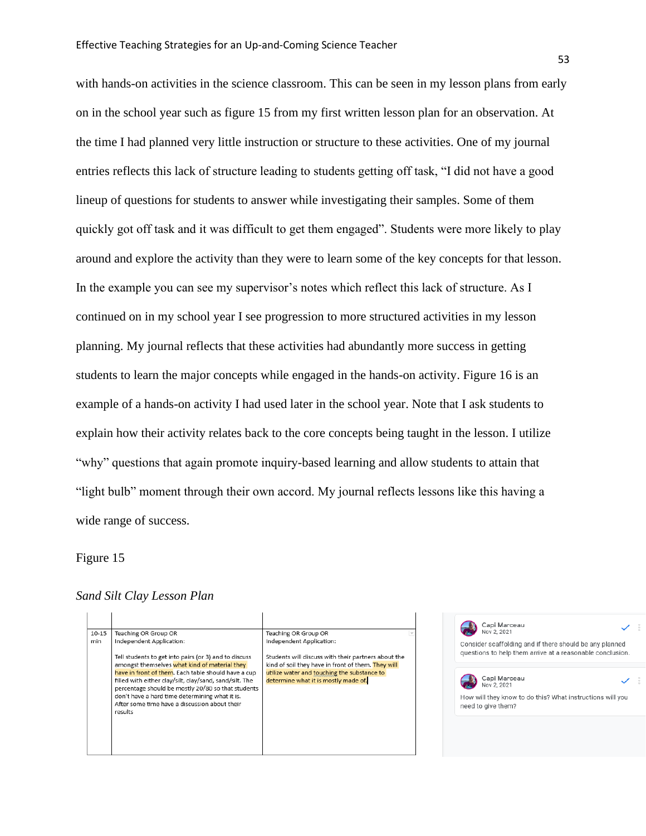with hands-on activities in the science classroom. This can be seen in my lesson plans from early on in the school year such as figure 15 from my first written lesson plan for an observation. At the time I had planned very little instruction or structure to these activities. One of my journal entries reflects this lack of structure leading to students getting off task, "I did not have a good lineup of questions for students to answer while investigating their samples. Some of them quickly got off task and it was difficult to get them engaged". Students were more likely to play around and explore the activity than they were to learn some of the key concepts for that lesson. In the example you can see my supervisor's notes which reflect this lack of structure. As I continued on in my school year I see progression to more structured activities in my lesson planning. My journal reflects that these activities had abundantly more success in getting students to learn the major concepts while engaged in the hands-on activity. Figure 16 is an example of a hands-on activity I had used later in the school year. Note that I ask students to explain how their activity relates back to the core concepts being taught in the lesson. I utilize "why" questions that again promote inquiry-based learning and allow students to attain that "light bulb" moment through their own accord. My journal reflects lessons like this having a wide range of success.

## Figure 15

# *Sand Silt Clay Lesson Plan*

| $10 - 15$<br>min | Teaching OR Group OR<br>Independent Application:<br>Tell students to get into pairs (or 3) and to discuss<br>amongst themselves what kind of material they<br>have in front of them. Each table should have a cup<br>filled with either clay/silt, clay/sand, sand/silt. The<br>percentage should be mostly 20/80 so that students<br>don't have a hard time determining what it is.<br>After some time have a discussion about their<br>results | Teaching OR Group OR<br>Independent Application:<br>Students will discuss with their partners about the<br>kind of soil they have in front of them. They will | Capi Marceau<br>Nov 2, 2021<br>Consider scaffolding and if there should be any planned<br>questions to help them arrive at a reasonable conclusion. |
|------------------|--------------------------------------------------------------------------------------------------------------------------------------------------------------------------------------------------------------------------------------------------------------------------------------------------------------------------------------------------------------------------------------------------------------------------------------------------|---------------------------------------------------------------------------------------------------------------------------------------------------------------|-----------------------------------------------------------------------------------------------------------------------------------------------------|
|                  |                                                                                                                                                                                                                                                                                                                                                                                                                                                  | utilize water and touching the substance to<br>determine what it is mostly made of.                                                                           | Capi Marceau<br>Nov 2. 2021<br>How will they know to do this? What instructions will you<br>need to give them?                                      |
|                  |                                                                                                                                                                                                                                                                                                                                                                                                                                                  |                                                                                                                                                               |                                                                                                                                                     |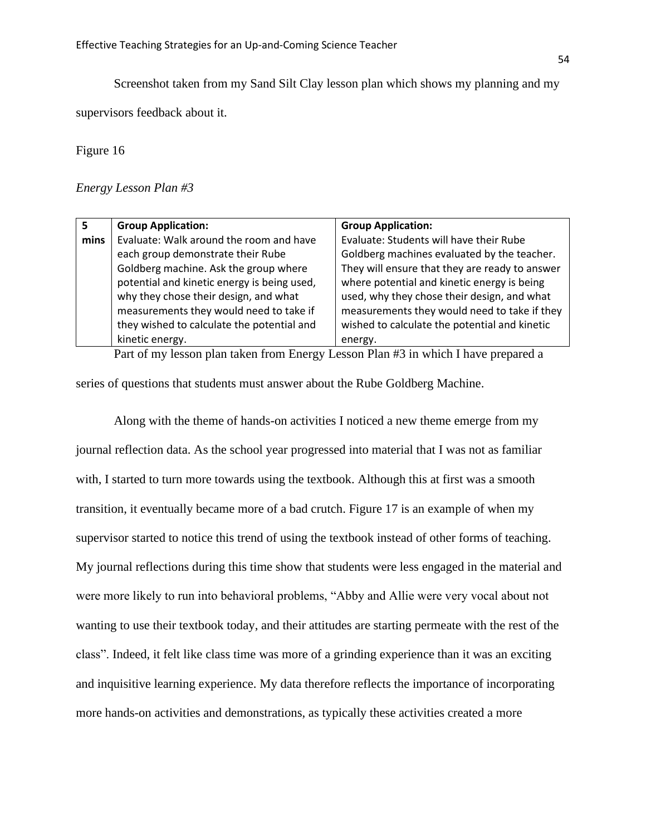Screenshot taken from my Sand Silt Clay lesson plan which shows my planning and my

supervisors feedback about it.

Figure 16

*Energy Lesson Plan #3*

|      | <b>Group Application:</b>                   | <b>Group Application:</b>                      |
|------|---------------------------------------------|------------------------------------------------|
| mins | Evaluate: Walk around the room and have     | Evaluate: Students will have their Rube        |
|      | each group demonstrate their Rube           | Goldberg machines evaluated by the teacher.    |
|      | Goldberg machine. Ask the group where       | They will ensure that they are ready to answer |
|      | potential and kinetic energy is being used, | where potential and kinetic energy is being    |
|      | why they chose their design, and what       | used, why they chose their design, and what    |
|      | measurements they would need to take if     | measurements they would need to take if they   |
|      | they wished to calculate the potential and  | wished to calculate the potential and kinetic  |
|      | kinetic energy.                             | energy.                                        |

Part of my lesson plan taken from Energy Lesson Plan #3 in which I have prepared a series of questions that students must answer about the Rube Goldberg Machine.

Along with the theme of hands-on activities I noticed a new theme emerge from my journal reflection data. As the school year progressed into material that I was not as familiar with, I started to turn more towards using the textbook. Although this at first was a smooth transition, it eventually became more of a bad crutch. Figure 17 is an example of when my supervisor started to notice this trend of using the textbook instead of other forms of teaching. My journal reflections during this time show that students were less engaged in the material and were more likely to run into behavioral problems, "Abby and Allie were very vocal about not wanting to use their textbook today, and their attitudes are starting permeate with the rest of the class". Indeed, it felt like class time was more of a grinding experience than it was an exciting and inquisitive learning experience. My data therefore reflects the importance of incorporating more hands-on activities and demonstrations, as typically these activities created a more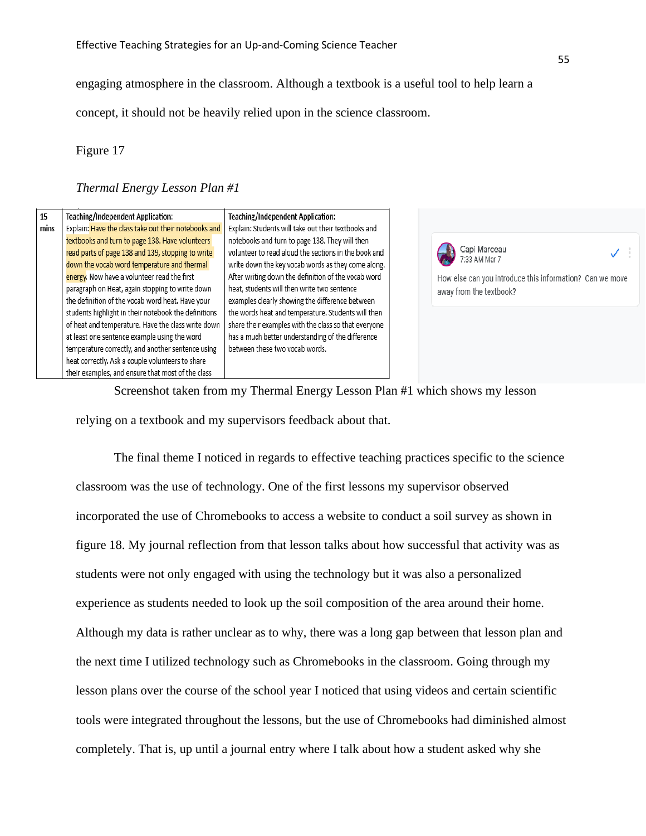engaging atmosphere in the classroom. Although a textbook is a useful tool to help learn a

concept, it should not be heavily relied upon in the science classroom.

Figure 17

# *Thermal Energy Lesson Plan #1*

| 15   | Teaching/Independent Application:                                                                    | Teaching/Independent Application:                                                                      |                                                          |
|------|------------------------------------------------------------------------------------------------------|--------------------------------------------------------------------------------------------------------|----------------------------------------------------------|
| mins | Explain: Have the class take out their notebooks and                                                 | Explain: Students will take out their textbooks and                                                    |                                                          |
|      | textbooks and turn to page 138. Have volunteers<br>read parts of page 138 and 139, stopping to write | notebooks and turn to page 138. They will then<br>volunteer to read aloud the sections in the book and | Capi Marceau                                             |
|      | down the vocab word temperature and thermal                                                          | write down the key vocab words as they come along.                                                     |                                                          |
|      | energy. Now have a volunteer read the first                                                          | After writing down the definition of the vocab word                                                    | How else can you introduce this information? Can we move |
|      | paragraph on Heat, again stopping to write down                                                      | heat, students will then write two sentence                                                            | away from the textbook?                                  |
|      | the definition of the vocab word heat. Have your                                                     | examples clearly showing the difference between                                                        |                                                          |
|      | students highlight in their notebook the definitions                                                 | the words heat and temperature. Students will then                                                     |                                                          |
|      | of heat and temperature. Have the class write down                                                   | share their examples with the class so that everyone                                                   |                                                          |
|      | at least one sentence example using the word                                                         | has a much better understanding of the difference                                                      |                                                          |
|      | temperature correctly, and another sentence using                                                    | between these two vocab words.                                                                         |                                                          |
|      | heat correctly. Ask a couple volunteers to share                                                     |                                                                                                        |                                                          |
|      | their examples, and ensure that most of the class                                                    |                                                                                                        |                                                          |

Screenshot taken from my Thermal Energy Lesson Plan #1 which shows my lesson relying on a textbook and my supervisors feedback about that.

The final theme I noticed in regards to effective teaching practices specific to the science classroom was the use of technology. One of the first lessons my supervisor observed incorporated the use of Chromebooks to access a website to conduct a soil survey as shown in figure 18. My journal reflection from that lesson talks about how successful that activity was as students were not only engaged with using the technology but it was also a personalized experience as students needed to look up the soil composition of the area around their home. Although my data is rather unclear as to why, there was a long gap between that lesson plan and the next time I utilized technology such as Chromebooks in the classroom. Going through my lesson plans over the course of the school year I noticed that using videos and certain scientific tools were integrated throughout the lessons, but the use of Chromebooks had diminished almost completely. That is, up until a journal entry where I talk about how a student asked why she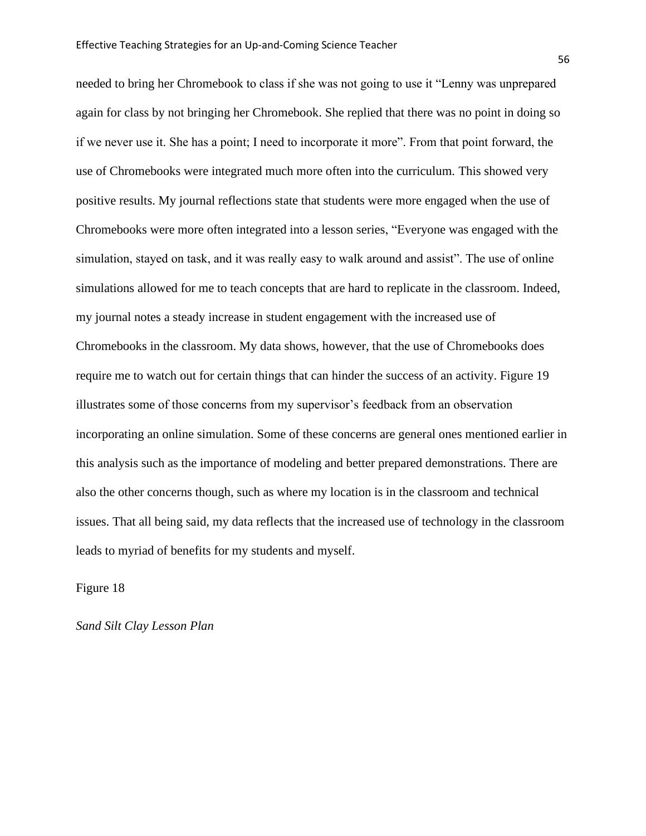needed to bring her Chromebook to class if she was not going to use it "Lenny was unprepared again for class by not bringing her Chromebook. She replied that there was no point in doing so if we never use it. She has a point; I need to incorporate it more". From that point forward, the use of Chromebooks were integrated much more often into the curriculum. This showed very positive results. My journal reflections state that students were more engaged when the use of Chromebooks were more often integrated into a lesson series, "Everyone was engaged with the simulation, stayed on task, and it was really easy to walk around and assist". The use of online simulations allowed for me to teach concepts that are hard to replicate in the classroom. Indeed, my journal notes a steady increase in student engagement with the increased use of Chromebooks in the classroom. My data shows, however, that the use of Chromebooks does require me to watch out for certain things that can hinder the success of an activity. Figure 19 illustrates some of those concerns from my supervisor's feedback from an observation incorporating an online simulation. Some of these concerns are general ones mentioned earlier in this analysis such as the importance of modeling and better prepared demonstrations. There are also the other concerns though, such as where my location is in the classroom and technical issues. That all being said, my data reflects that the increased use of technology in the classroom leads to myriad of benefits for my students and myself.

Figure 18

*Sand Silt Clay Lesson Plan*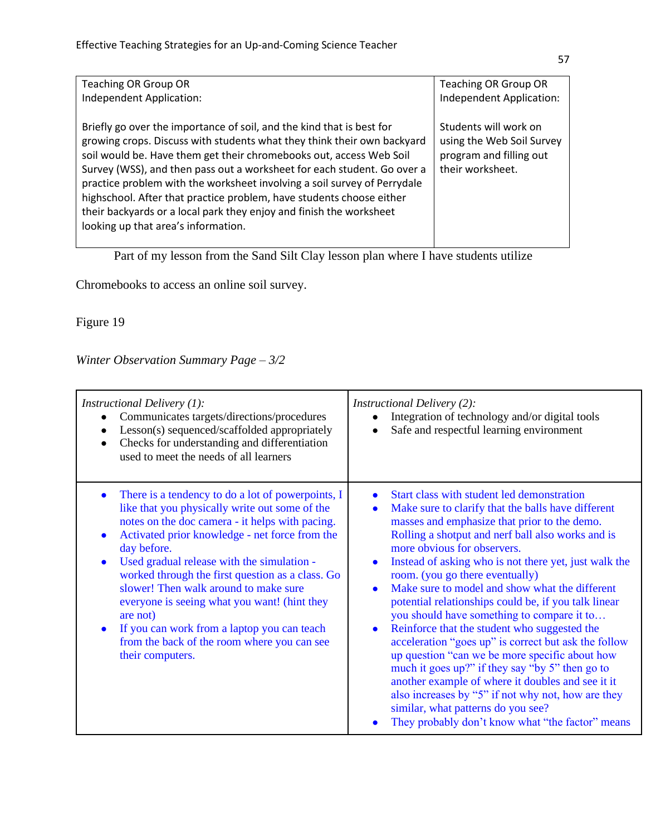| <b>Teaching OR Group OR</b>                                                                                                                                                                                                                                                                                                                                                                                                                                                                                                                                          | <b>Teaching OR Group OR</b>                                                                       |
|----------------------------------------------------------------------------------------------------------------------------------------------------------------------------------------------------------------------------------------------------------------------------------------------------------------------------------------------------------------------------------------------------------------------------------------------------------------------------------------------------------------------------------------------------------------------|---------------------------------------------------------------------------------------------------|
| Independent Application:                                                                                                                                                                                                                                                                                                                                                                                                                                                                                                                                             | Independent Application:                                                                          |
| Briefly go over the importance of soil, and the kind that is best for<br>growing crops. Discuss with students what they think their own backyard<br>soil would be. Have them get their chromebooks out, access Web Soil<br>Survey (WSS), and then pass out a worksheet for each student. Go over a<br>practice problem with the worksheet involving a soil survey of Perrydale<br>highschool. After that practice problem, have students choose either<br>their backyards or a local park they enjoy and finish the worksheet<br>looking up that area's information. | Students will work on<br>using the Web Soil Survey<br>program and filling out<br>their worksheet. |
|                                                                                                                                                                                                                                                                                                                                                                                                                                                                                                                                                                      |                                                                                                   |

Part of my lesson from the Sand Silt Clay lesson plan where I have students utilize

Chromebooks to access an online soil survey.

Figure 19

# *Winter Observation Summary Page – 3/2*

| <i>Instructional Delivery (1):</i><br>Communicates targets/directions/procedures<br>Lesson(s) sequenced/scaffolded appropriately<br>Checks for understanding and differentiation<br>used to meet the needs of all learners                                                                                                                                                                                                                                                                                                                                   | <i>Instructional Delivery (2):</i><br>Integration of technology and/or digital tools<br>Safe and respectful learning environment                                                                                                                                                                                                                                                                                                                                                                                                                                                                                                                                                                                                                                                                                                                                                                                                                                            |
|--------------------------------------------------------------------------------------------------------------------------------------------------------------------------------------------------------------------------------------------------------------------------------------------------------------------------------------------------------------------------------------------------------------------------------------------------------------------------------------------------------------------------------------------------------------|-----------------------------------------------------------------------------------------------------------------------------------------------------------------------------------------------------------------------------------------------------------------------------------------------------------------------------------------------------------------------------------------------------------------------------------------------------------------------------------------------------------------------------------------------------------------------------------------------------------------------------------------------------------------------------------------------------------------------------------------------------------------------------------------------------------------------------------------------------------------------------------------------------------------------------------------------------------------------------|
| There is a tendency to do a lot of powerpoints, I<br>$\bullet$<br>like that you physically write out some of the<br>notes on the doc camera - it helps with pacing.<br>Activated prior knowledge - net force from the<br>day before.<br>Used gradual release with the simulation -<br>worked through the first question as a class. Go<br>slower! Then walk around to make sure<br>everyone is seeing what you want! (hint they<br>are not<br>If you can work from a laptop you can teach<br>from the back of the room where you can see<br>their computers. | Start class with student led demonstration<br>$\bullet$<br>Make sure to clarify that the balls have different<br>$\bullet$<br>masses and emphasize that prior to the demo.<br>Rolling a shotput and nerf ball also works and is<br>more obvious for observers.<br>Instead of asking who is not there yet, just walk the<br>$\bullet$<br>room. (you go there eventually)<br>Make sure to model and show what the different<br>$\bullet$<br>potential relationships could be, if you talk linear<br>you should have something to compare it to<br>Reinforce that the student who suggested the<br>$\bullet$<br>acceleration "goes up" is correct but ask the follow<br>up question "can we be more specific about how<br>much it goes up?" if they say "by 5" then go to<br>another example of where it doubles and see it it<br>also increases by "5" if not why not, how are they<br>similar, what patterns do you see?<br>They probably don't know what "the factor" means |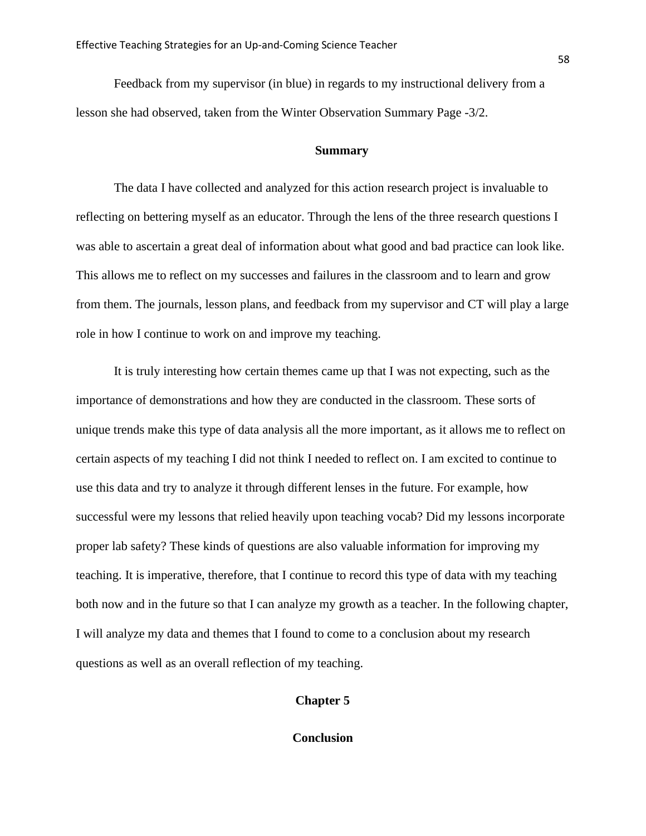Feedback from my supervisor (in blue) in regards to my instructional delivery from a lesson she had observed, taken from the Winter Observation Summary Page -3/2.

# **Summary**

The data I have collected and analyzed for this action research project is invaluable to reflecting on bettering myself as an educator. Through the lens of the three research questions I was able to ascertain a great deal of information about what good and bad practice can look like. This allows me to reflect on my successes and failures in the classroom and to learn and grow from them. The journals, lesson plans, and feedback from my supervisor and CT will play a large role in how I continue to work on and improve my teaching.

It is truly interesting how certain themes came up that I was not expecting, such as the importance of demonstrations and how they are conducted in the classroom. These sorts of unique trends make this type of data analysis all the more important, as it allows me to reflect on certain aspects of my teaching I did not think I needed to reflect on. I am excited to continue to use this data and try to analyze it through different lenses in the future. For example, how successful were my lessons that relied heavily upon teaching vocab? Did my lessons incorporate proper lab safety? These kinds of questions are also valuable information for improving my teaching. It is imperative, therefore, that I continue to record this type of data with my teaching both now and in the future so that I can analyze my growth as a teacher. In the following chapter, I will analyze my data and themes that I found to come to a conclusion about my research questions as well as an overall reflection of my teaching.

## **Chapter 5**

**Conclusion**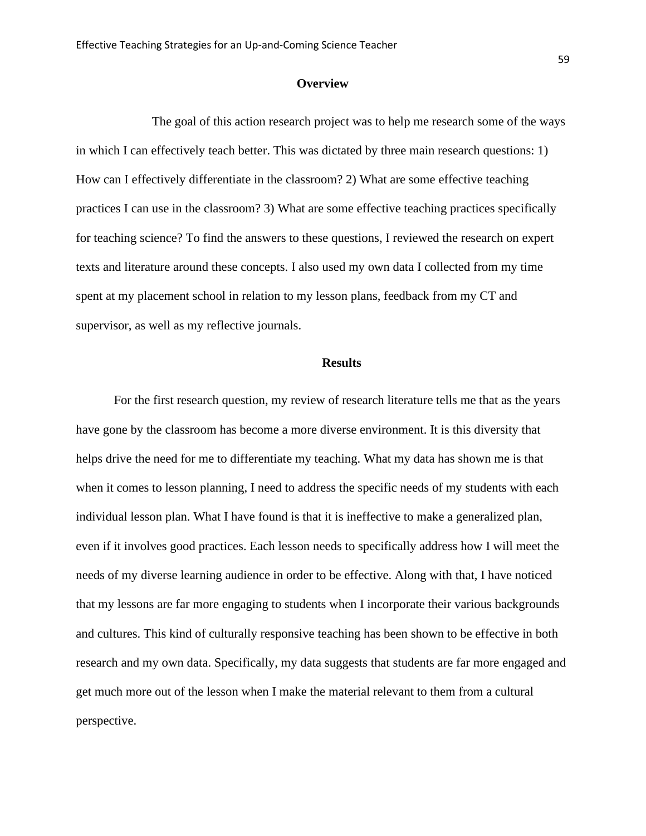## **Overview**

The goal of this action research project was to help me research some of the ways in which I can effectively teach better. This was dictated by three main research questions: 1) How can I effectively differentiate in the classroom? 2) What are some effective teaching practices I can use in the classroom? 3) What are some effective teaching practices specifically for teaching science? To find the answers to these questions, I reviewed the research on expert texts and literature around these concepts. I also used my own data I collected from my time spent at my placement school in relation to my lesson plans, feedback from my CT and supervisor, as well as my reflective journals.

#### **Results**

For the first research question, my review of research literature tells me that as the years have gone by the classroom has become a more diverse environment. It is this diversity that helps drive the need for me to differentiate my teaching. What my data has shown me is that when it comes to lesson planning, I need to address the specific needs of my students with each individual lesson plan. What I have found is that it is ineffective to make a generalized plan, even if it involves good practices. Each lesson needs to specifically address how I will meet the needs of my diverse learning audience in order to be effective. Along with that, I have noticed that my lessons are far more engaging to students when I incorporate their various backgrounds and cultures. This kind of culturally responsive teaching has been shown to be effective in both research and my own data. Specifically, my data suggests that students are far more engaged and get much more out of the lesson when I make the material relevant to them from a cultural perspective.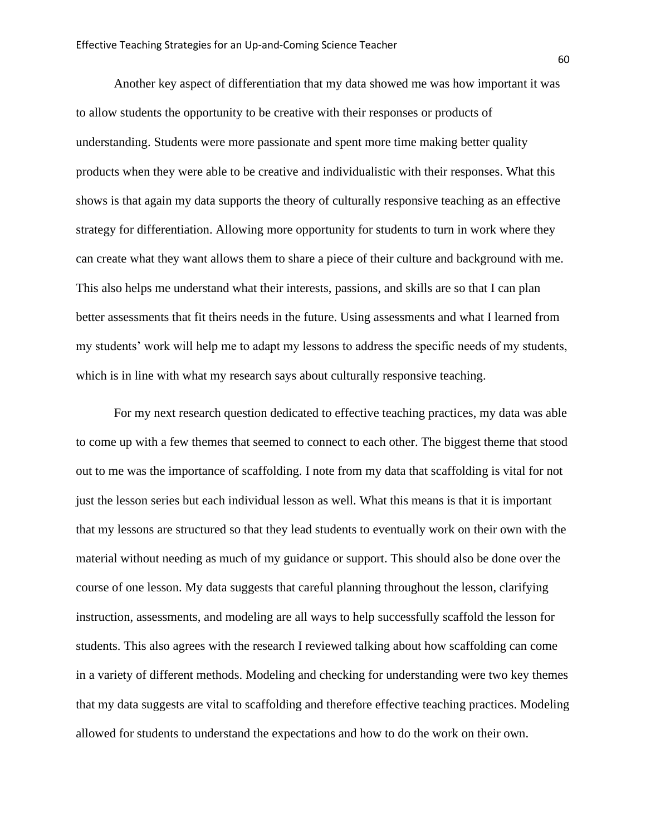Another key aspect of differentiation that my data showed me was how important it was to allow students the opportunity to be creative with their responses or products of understanding. Students were more passionate and spent more time making better quality products when they were able to be creative and individualistic with their responses. What this shows is that again my data supports the theory of culturally responsive teaching as an effective strategy for differentiation. Allowing more opportunity for students to turn in work where they can create what they want allows them to share a piece of their culture and background with me. This also helps me understand what their interests, passions, and skills are so that I can plan better assessments that fit theirs needs in the future. Using assessments and what I learned from my students' work will help me to adapt my lessons to address the specific needs of my students, which is in line with what my research says about culturally responsive teaching.

For my next research question dedicated to effective teaching practices, my data was able to come up with a few themes that seemed to connect to each other. The biggest theme that stood out to me was the importance of scaffolding. I note from my data that scaffolding is vital for not just the lesson series but each individual lesson as well. What this means is that it is important that my lessons are structured so that they lead students to eventually work on their own with the material without needing as much of my guidance or support. This should also be done over the course of one lesson. My data suggests that careful planning throughout the lesson, clarifying instruction, assessments, and modeling are all ways to help successfully scaffold the lesson for students. This also agrees with the research I reviewed talking about how scaffolding can come in a variety of different methods. Modeling and checking for understanding were two key themes that my data suggests are vital to scaffolding and therefore effective teaching practices. Modeling allowed for students to understand the expectations and how to do the work on their own.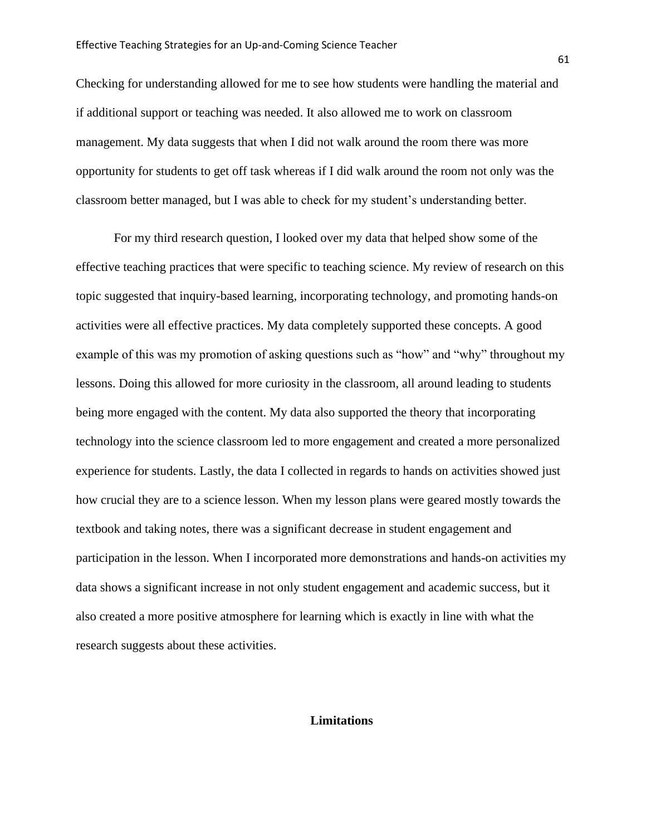Checking for understanding allowed for me to see how students were handling the material and if additional support or teaching was needed. It also allowed me to work on classroom management. My data suggests that when I did not walk around the room there was more opportunity for students to get off task whereas if I did walk around the room not only was the classroom better managed, but I was able to check for my student's understanding better.

For my third research question, I looked over my data that helped show some of the effective teaching practices that were specific to teaching science. My review of research on this topic suggested that inquiry-based learning, incorporating technology, and promoting hands-on activities were all effective practices. My data completely supported these concepts. A good example of this was my promotion of asking questions such as "how" and "why" throughout my lessons. Doing this allowed for more curiosity in the classroom, all around leading to students being more engaged with the content. My data also supported the theory that incorporating technology into the science classroom led to more engagement and created a more personalized experience for students. Lastly, the data I collected in regards to hands on activities showed just how crucial they are to a science lesson. When my lesson plans were geared mostly towards the textbook and taking notes, there was a significant decrease in student engagement and participation in the lesson. When I incorporated more demonstrations and hands-on activities my data shows a significant increase in not only student engagement and academic success, but it also created a more positive atmosphere for learning which is exactly in line with what the research suggests about these activities.

# **Limitations**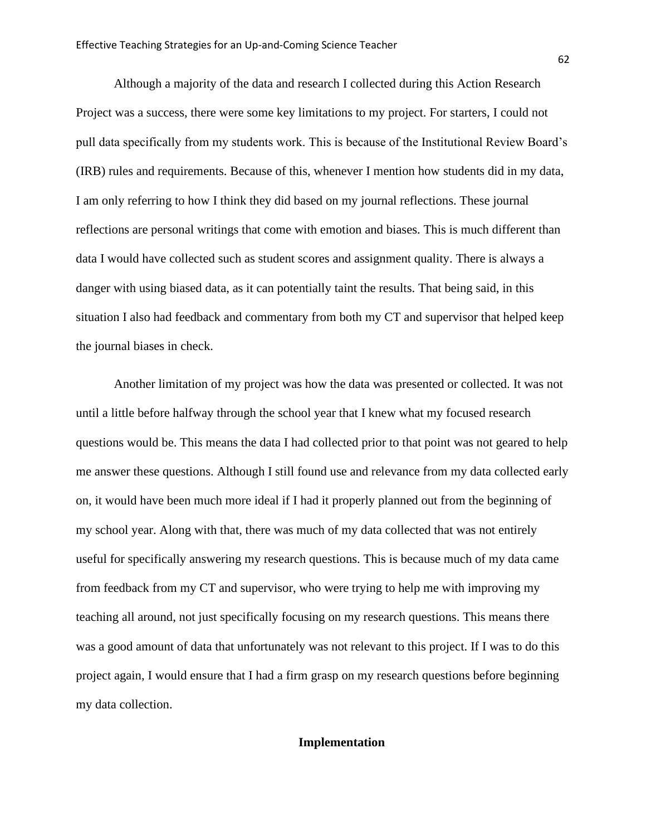Although a majority of the data and research I collected during this Action Research Project was a success, there were some key limitations to my project. For starters, I could not pull data specifically from my students work. This is because of the Institutional Review Board's (IRB) rules and requirements. Because of this, whenever I mention how students did in my data, I am only referring to how I think they did based on my journal reflections. These journal reflections are personal writings that come with emotion and biases. This is much different than data I would have collected such as student scores and assignment quality. There is always a danger with using biased data, as it can potentially taint the results. That being said, in this situation I also had feedback and commentary from both my CT and supervisor that helped keep the journal biases in check.

Another limitation of my project was how the data was presented or collected. It was not until a little before halfway through the school year that I knew what my focused research questions would be. This means the data I had collected prior to that point was not geared to help me answer these questions. Although I still found use and relevance from my data collected early on, it would have been much more ideal if I had it properly planned out from the beginning of my school year. Along with that, there was much of my data collected that was not entirely useful for specifically answering my research questions. This is because much of my data came from feedback from my CT and supervisor, who were trying to help me with improving my teaching all around, not just specifically focusing on my research questions. This means there was a good amount of data that unfortunately was not relevant to this project. If I was to do this project again, I would ensure that I had a firm grasp on my research questions before beginning my data collection.

# **Implementation**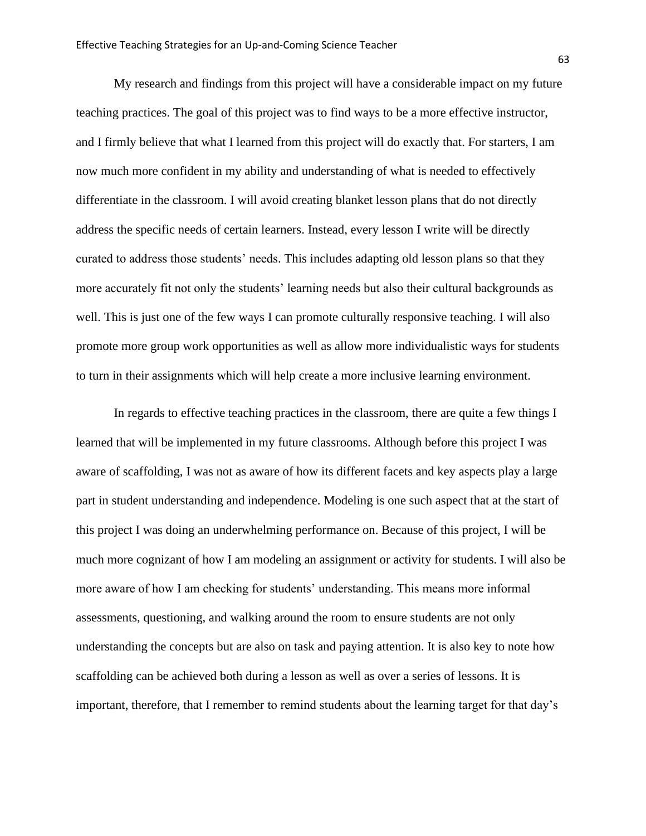My research and findings from this project will have a considerable impact on my future teaching practices. The goal of this project was to find ways to be a more effective instructor, and I firmly believe that what I learned from this project will do exactly that. For starters, I am now much more confident in my ability and understanding of what is needed to effectively differentiate in the classroom. I will avoid creating blanket lesson plans that do not directly address the specific needs of certain learners. Instead, every lesson I write will be directly curated to address those students' needs. This includes adapting old lesson plans so that they more accurately fit not only the students' learning needs but also their cultural backgrounds as well. This is just one of the few ways I can promote culturally responsive teaching. I will also promote more group work opportunities as well as allow more individualistic ways for students to turn in their assignments which will help create a more inclusive learning environment.

In regards to effective teaching practices in the classroom, there are quite a few things I learned that will be implemented in my future classrooms. Although before this project I was aware of scaffolding, I was not as aware of how its different facets and key aspects play a large part in student understanding and independence. Modeling is one such aspect that at the start of this project I was doing an underwhelming performance on. Because of this project, I will be much more cognizant of how I am modeling an assignment or activity for students. I will also be more aware of how I am checking for students' understanding. This means more informal assessments, questioning, and walking around the room to ensure students are not only understanding the concepts but are also on task and paying attention. It is also key to note how scaffolding can be achieved both during a lesson as well as over a series of lessons. It is important, therefore, that I remember to remind students about the learning target for that day's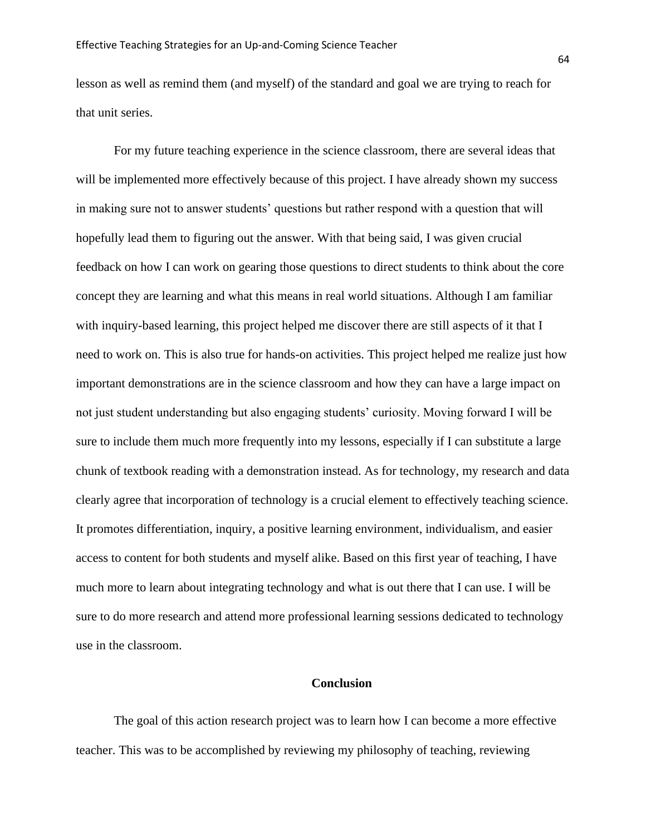lesson as well as remind them (and myself) of the standard and goal we are trying to reach for that unit series.

For my future teaching experience in the science classroom, there are several ideas that will be implemented more effectively because of this project. I have already shown my success in making sure not to answer students' questions but rather respond with a question that will hopefully lead them to figuring out the answer. With that being said, I was given crucial feedback on how I can work on gearing those questions to direct students to think about the core concept they are learning and what this means in real world situations. Although I am familiar with inquiry-based learning, this project helped me discover there are still aspects of it that I need to work on. This is also true for hands-on activities. This project helped me realize just how important demonstrations are in the science classroom and how they can have a large impact on not just student understanding but also engaging students' curiosity. Moving forward I will be sure to include them much more frequently into my lessons, especially if I can substitute a large chunk of textbook reading with a demonstration instead. As for technology, my research and data clearly agree that incorporation of technology is a crucial element to effectively teaching science. It promotes differentiation, inquiry, a positive learning environment, individualism, and easier access to content for both students and myself alike. Based on this first year of teaching, I have much more to learn about integrating technology and what is out there that I can use. I will be sure to do more research and attend more professional learning sessions dedicated to technology use in the classroom.

#### **Conclusion**

The goal of this action research project was to learn how I can become a more effective teacher. This was to be accomplished by reviewing my philosophy of teaching, reviewing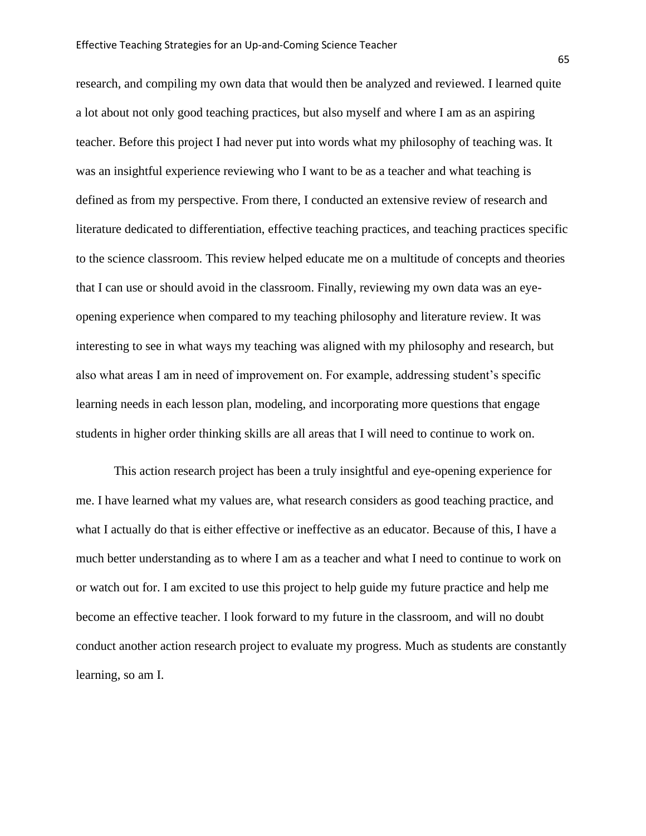research, and compiling my own data that would then be analyzed and reviewed. I learned quite a lot about not only good teaching practices, but also myself and where I am as an aspiring teacher. Before this project I had never put into words what my philosophy of teaching was. It was an insightful experience reviewing who I want to be as a teacher and what teaching is defined as from my perspective. From there, I conducted an extensive review of research and literature dedicated to differentiation, effective teaching practices, and teaching practices specific to the science classroom. This review helped educate me on a multitude of concepts and theories that I can use or should avoid in the classroom. Finally, reviewing my own data was an eyeopening experience when compared to my teaching philosophy and literature review. It was interesting to see in what ways my teaching was aligned with my philosophy and research, but also what areas I am in need of improvement on. For example, addressing student's specific learning needs in each lesson plan, modeling, and incorporating more questions that engage students in higher order thinking skills are all areas that I will need to continue to work on.

This action research project has been a truly insightful and eye-opening experience for me. I have learned what my values are, what research considers as good teaching practice, and what I actually do that is either effective or ineffective as an educator. Because of this, I have a much better understanding as to where I am as a teacher and what I need to continue to work on or watch out for. I am excited to use this project to help guide my future practice and help me become an effective teacher. I look forward to my future in the classroom, and will no doubt conduct another action research project to evaluate my progress. Much as students are constantly learning, so am I.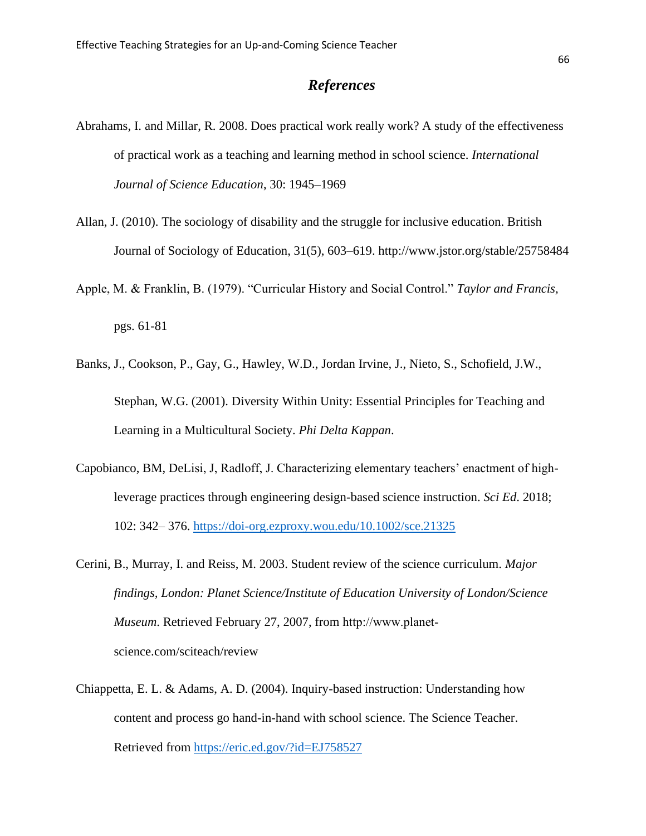### *References*

- Abrahams, I. and Millar, R. 2008. Does practical work really work? A study of the effectiveness of practical work as a teaching and learning method in school science. *International Journal of Science Education*, 30: 1945–1969
- Allan, J. (2010). The sociology of disability and the struggle for inclusive education. British Journal of Sociology of Education, 31(5), 603–619. http://www.jstor.org/stable/25758484
- Apple, M. & Franklin, B. (1979). "Curricular History and Social Control." *Taylor and Francis,* pgs. 61-81
- Banks, J., Cookson, P., Gay, G., Hawley, W.D., Jordan Irvine, J., Nieto, S., Schofield, J.W., Stephan, W.G. (2001). Diversity Within Unity: Essential Principles for Teaching and Learning in a Multicultural Society. *Phi Delta Kappan*.
- Capobianco, BM, DeLisi, J, Radloff, J. Characterizing elementary teachers' enactment of highleverage practices through engineering design-based science instruction. *Sci Ed*. 2018; 102: 342– 376.<https://doi-org.ezproxy.wou.edu/10.1002/sce.21325>
- Cerini, B., Murray, I. and Reiss, M. 2003. Student review of the science curriculum. *Major findings, London: Planet Science/Institute of Education University of London/Science Museum*. Retrieved February 27, 2007, from http://www.planet‐ science.com/sciteach/review
- Chiappetta, E. L. & Adams, A. D. (2004). Inquiry-based instruction: Understanding how content and process go hand-in-hand with school science. The Science Teacher. Retrieved from<https://eric.ed.gov/?id=EJ758527>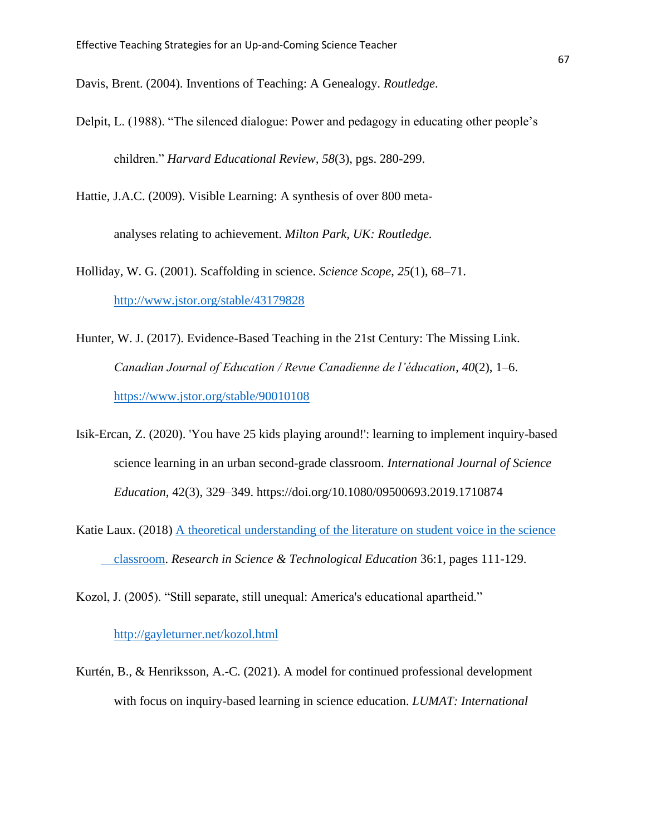Davis, Brent. (2004). Inventions of Teaching: A Genealogy. *Routledge*.

Delpit, L. (1988). "The silenced dialogue: Power and pedagogy in educating other people's children." *Harvard Educational Review, 58*(3), pgs. 280-299.

Hattie, J.A.C. (2009). Visible Learning: A synthesis of over 800 meta-

analyses relating to achievement. *Milton Park, UK: Routledge.*

Holliday, W. G. (2001). Scaffolding in science. *Science Scope*, *25*(1), 68–71. <http://www.jstor.org/stable/43179828>

- Hunter, W. J. (2017). Evidence-Based Teaching in the 21st Century: The Missing Link. *Canadian Journal of Education / Revue Canadienne de l'éducation*, *40*(2), 1–6. <https://www.jstor.org/stable/90010108>
- Isik-Ercan, Z. (2020). 'You have 25 kids playing around!': learning to implement inquiry-based science learning in an urban second-grade classroom. *International Journal of Science Education*, 42(3), 329–349. https://doi.org/10.1080/09500693.2019.1710874
- Katie Laux. (2018) [A theoretical understanding of the literature on student voice in the science](https://www-tandfonline-com.ezproxy.wou.edu/doi/abs/10.1080/02635143.2017.1353963)  [classroom.](https://www-tandfonline-com.ezproxy.wou.edu/doi/abs/10.1080/02635143.2017.1353963) *Research in Science & Technological Education* 36:1, pages 111-129.

Kozol, J. (2005). "Still separate, still unequal: America's educational apartheid."

#### <http://gayleturner.net/kozol.html>

Kurtén, B., & Henriksson, A.-C. (2021). A model for continued professional development with focus on inquiry-based learning in science education. *LUMAT: International*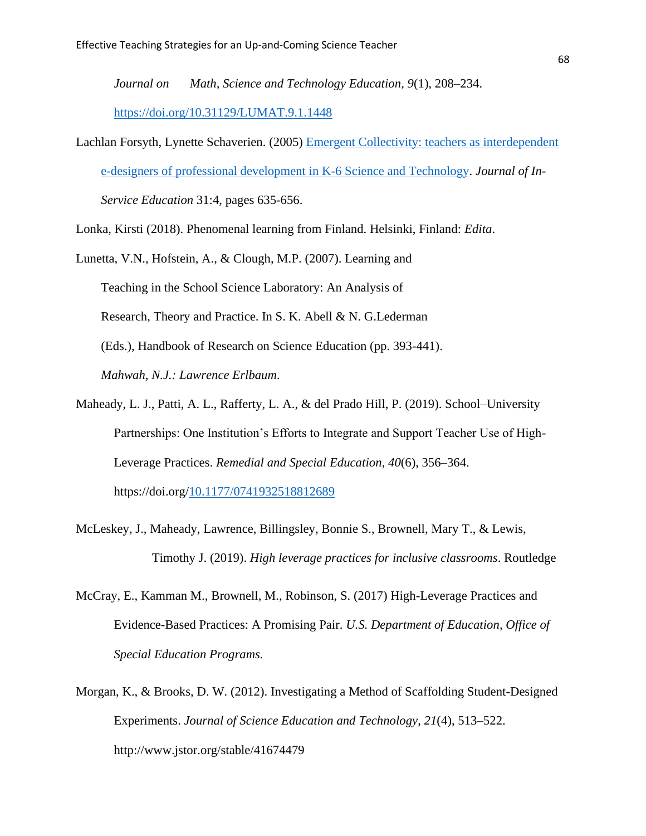*Journal on Math, Science and Technology Education*, *9*(1), 208–234. <https://doi.org/10.31129/LUMAT.9.1.1448>

- Lachlan Forsyth, Lynette Schaverien. (2005) [Emergent Collectivity: teachers as interdependent](https://www-tandfonline-com.ezproxy.wou.edu/doi/abs/10.1080/13674580500200298)  [e-designers of professional development in K-6 Science and Technology.](https://www-tandfonline-com.ezproxy.wou.edu/doi/abs/10.1080/13674580500200298) *Journal of In-Service Education* 31:4, pages 635-656.
- Lonka, Kirsti (2018). Phenomenal learning from Finland. Helsinki, Finland: *Edita*.

Lunetta, V.N., Hofstein, A., & Clough, M.P. (2007). Learning and Teaching in the School Science Laboratory: An Analysis of Research, Theory and Practice. In S. K. Abell & N. G.Lederman (Eds.), Handbook of Research on Science Education (pp. 393-441). *Mahwah, N.J.: Lawrence Erlbaum*.

- Maheady, L. J., Patti, A. L., Rafferty, L. A., & del Prado Hill, P. (2019). School–University Partnerships: One Institution's Efforts to Integrate and Support Teacher Use of High-Leverage Practices. *Remedial and Special Education*, *40*(6), 356–364. https://doi.org[/10.1177/0741932518812689](https://doi-org.ezproxy.wou.edu/10.1177/0741932518812689)
- McLeskey, J., Maheady, Lawrence, Billingsley, Bonnie S., Brownell, Mary T., & Lewis, Timothy J. (2019). *High leverage practices for inclusive classrooms*. Routledge
- McCray, E., Kamman M., Brownell, M., Robinson, S. (2017) High-Leverage Practices and Evidence-Based Practices: A Promising Pair. *U.S. Department of Education, Office of Special Education Programs.*
- Morgan, K., & Brooks, D. W. (2012). Investigating a Method of Scaffolding Student-Designed Experiments. *Journal of Science Education and Technology*, *21*(4), 513–522. http://www.jstor.org/stable/41674479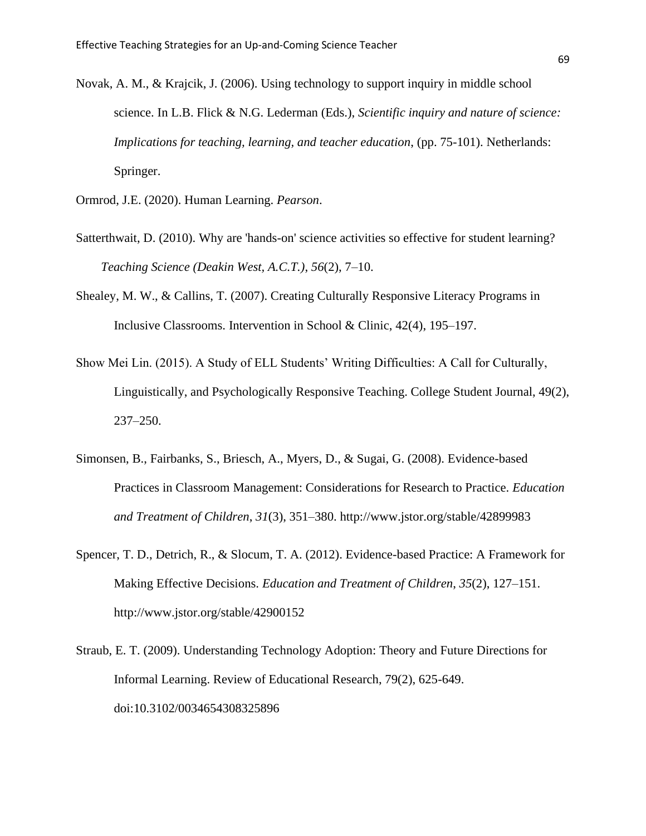- Novak, A. M., & Krajcik, J. (2006). Using technology to support inquiry in middle school science. In L.B. Flick & N.G. Lederman (Eds.), *Scientific inquiry and nature of science: Implications for teaching, learning, and teacher education, (pp. 75-101). Netherlands:* Springer.
- Ormrod, J.E. (2020). Human Learning. *Pearson*.
- Satterthwait, D. (2010). Why are 'hands-on' science activities so effective for student learning? *Teaching Science (Deakin West, A.C.T.)*, *56*(2), 7–10.
- Shealey, M. W., & Callins, T. (2007). Creating Culturally Responsive Literacy Programs in Inclusive Classrooms. Intervention in School & Clinic, 42(4), 195–197.
- Show Mei Lin. (2015). A Study of ELL Students' Writing Difficulties: A Call for Culturally, Linguistically, and Psychologically Responsive Teaching. College Student Journal, 49(2), 237–250.
- Simonsen, B., Fairbanks, S., Briesch, A., Myers, D., & Sugai, G. (2008). Evidence-based Practices in Classroom Management: Considerations for Research to Practice. *Education and Treatment of Children*, *31*(3), 351–380. http://www.jstor.org/stable/42899983
- Spencer, T. D., Detrich, R., & Slocum, T. A. (2012). Evidence-based Practice: A Framework for Making Effective Decisions. *Education and Treatment of Children*, *35*(2), 127–151. http://www.jstor.org/stable/42900152
- Straub, E. T. (2009). Understanding Technology Adoption: Theory and Future Directions for Informal Learning. Review of Educational Research, 79(2), 625-649. doi:10.3102/0034654308325896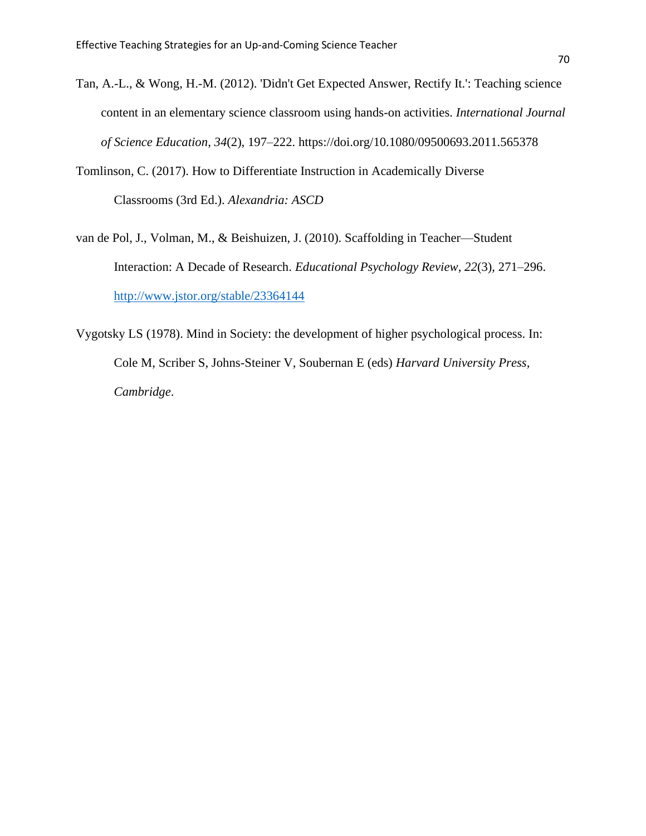- Tan, A.-L., & Wong, H.-M. (2012). 'Didn't Get Expected Answer, Rectify It.': Teaching science content in an elementary science classroom using hands-on activities. *International Journal of Science Education*, *34*(2), 197–222. https://doi.org/10.1080/09500693.2011.565378
- Tomlinson, C. (2017). How to Differentiate Instruction in Academically Diverse Classrooms (3rd Ed.). *Alexandria: ASCD*
- van de Pol, J., Volman, M., & Beishuizen, J. (2010). Scaffolding in Teacher—Student Interaction: A Decade of Research. *Educational Psychology Review*, *22*(3), 271–296. <http://www.jstor.org/stable/23364144>
- Vygotsky LS (1978). Mind in Society: the development of higher psychological process. In: Cole M, Scriber S, Johns-Steiner V, Soubernan E (eds) *Harvard University Press, Cambridge*.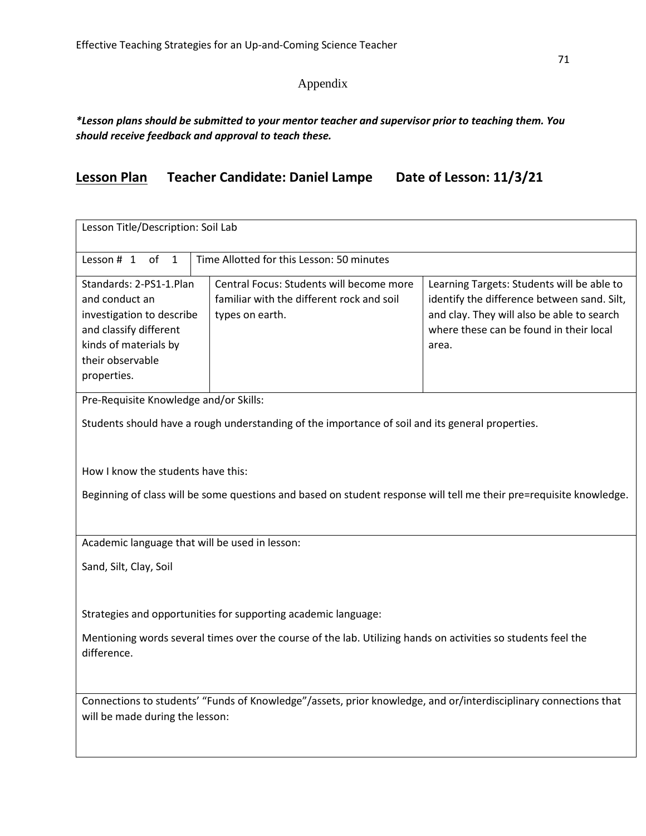## Appendix

#### *\*Lesson plans should be submitted to your mentor teacher and supervisor prior to teaching them. You should receive feedback and approval to teach these.*

# **Lesson Plan Teacher Candidate: Daniel Lampe Date of Lesson: 11/3/21**

| Lesson Title/Description: Soil Lab                                                                                                                           |                                                                                                          |                                                                                                                                                                                             |  |  |  |
|--------------------------------------------------------------------------------------------------------------------------------------------------------------|----------------------------------------------------------------------------------------------------------|---------------------------------------------------------------------------------------------------------------------------------------------------------------------------------------------|--|--|--|
| Time Allotted for this Lesson: 50 minutes<br>Lesson # 1<br>of<br>$\mathbf{1}$                                                                                |                                                                                                          |                                                                                                                                                                                             |  |  |  |
| Standards: 2-PS1-1.Plan<br>and conduct an<br>investigation to describe<br>and classify different<br>kinds of materials by<br>their observable<br>properties. | Central Focus: Students will become more<br>familiar with the different rock and soil<br>types on earth. | Learning Targets: Students will be able to<br>identify the difference between sand. Silt,<br>and clay. They will also be able to search<br>where these can be found in their local<br>area. |  |  |  |
| Pre-Requisite Knowledge and/or Skills:                                                                                                                       |                                                                                                          |                                                                                                                                                                                             |  |  |  |
|                                                                                                                                                              | Students should have a rough understanding of the importance of soil and its general properties.         |                                                                                                                                                                                             |  |  |  |
| How I know the students have this:<br>Beginning of class will be some questions and based on student response will tell me their pre=requisite knowledge.    |                                                                                                          |                                                                                                                                                                                             |  |  |  |
| Academic language that will be used in lesson:                                                                                                               |                                                                                                          |                                                                                                                                                                                             |  |  |  |
| Sand, Silt, Clay, Soil                                                                                                                                       |                                                                                                          |                                                                                                                                                                                             |  |  |  |
| Strategies and opportunities for supporting academic language:                                                                                               |                                                                                                          |                                                                                                                                                                                             |  |  |  |
| Mentioning words several times over the course of the lab. Utilizing hands on activities so students feel the<br>difference.                                 |                                                                                                          |                                                                                                                                                                                             |  |  |  |
| Connections to students' "Funds of Knowledge"/assets, prior knowledge, and or/interdisciplinary connections that<br>will be made during the lesson:          |                                                                                                          |                                                                                                                                                                                             |  |  |  |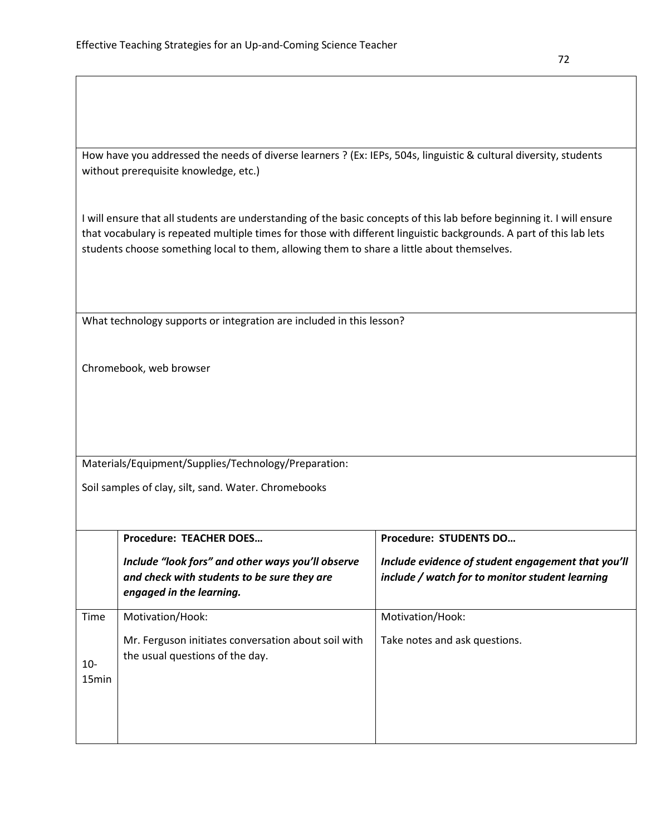How have you addressed the needs of diverse learners ? (Ex: IEPs, 504s, linguistic & cultural diversity, students without prerequisite knowledge, etc.)

I will ensure that all students are understanding of the basic concepts of this lab before beginning it. I will ensure that vocabulary is repeated multiple times for those with different linguistic backgrounds. A part of this lab lets students choose something local to them, allowing them to share a little about themselves.

What technology supports or integration are included in this lesson?

Chromebook, web browser

Materials/Equipment/Supplies/Technology/Preparation:

Soil samples of clay, silt, sand. Water. Chromebooks

|                          | <b>Procedure: TEACHER DOES</b>                                                                                               | <b>Procedure: STUDENTS DO</b>                                                                         |
|--------------------------|------------------------------------------------------------------------------------------------------------------------------|-------------------------------------------------------------------------------------------------------|
|                          | Include "look fors" and other ways you'll observe<br>and check with students to be sure they are<br>engaged in the learning. | Include evidence of student engagement that you'll<br>include / watch for to monitor student learning |
| Time                     | Motivation/Hook:                                                                                                             | Motivation/Hook:                                                                                      |
| 10-<br>15 <sub>min</sub> | Mr. Ferguson initiates conversation about soil with<br>the usual questions of the day.                                       | Take notes and ask questions.                                                                         |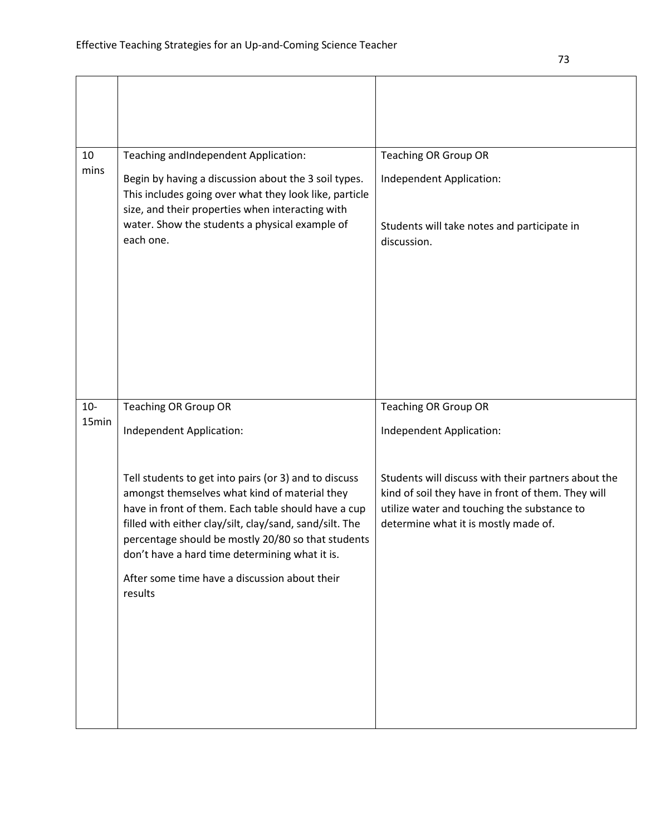| 10    | Teaching andIndependent Application:                                                                       | <b>Teaching OR Group OR</b>                                                                               |
|-------|------------------------------------------------------------------------------------------------------------|-----------------------------------------------------------------------------------------------------------|
| mins  | Begin by having a discussion about the 3 soil types.                                                       | Independent Application:                                                                                  |
|       | This includes going over what they look like, particle<br>size, and their properties when interacting with |                                                                                                           |
|       | water. Show the students a physical example of                                                             | Students will take notes and participate in                                                               |
|       | each one.                                                                                                  | discussion.                                                                                               |
|       |                                                                                                            |                                                                                                           |
|       |                                                                                                            |                                                                                                           |
|       |                                                                                                            |                                                                                                           |
|       |                                                                                                            |                                                                                                           |
|       |                                                                                                            |                                                                                                           |
|       |                                                                                                            |                                                                                                           |
| $10-$ | <b>Teaching OR Group OR</b>                                                                                | <b>Teaching OR Group OR</b>                                                                               |
| 15min | Independent Application:                                                                                   | Independent Application:                                                                                  |
|       |                                                                                                            |                                                                                                           |
|       |                                                                                                            |                                                                                                           |
|       | Tell students to get into pairs (or 3) and to discuss<br>amongst themselves what kind of material they     | Students will discuss with their partners about the<br>kind of soil they have in front of them. They will |
|       | have in front of them. Each table should have a cup                                                        | utilize water and touching the substance to                                                               |
|       | filled with either clay/silt, clay/sand, sand/silt. The                                                    | determine what it is mostly made of.                                                                      |
|       | percentage should be mostly 20/80 so that students<br>don't have a hard time determining what it is.       |                                                                                                           |
|       | After some time have a discussion about their                                                              |                                                                                                           |
|       | results                                                                                                    |                                                                                                           |
|       |                                                                                                            |                                                                                                           |
|       |                                                                                                            |                                                                                                           |
|       |                                                                                                            |                                                                                                           |
|       |                                                                                                            |                                                                                                           |
|       |                                                                                                            |                                                                                                           |
|       |                                                                                                            |                                                                                                           |